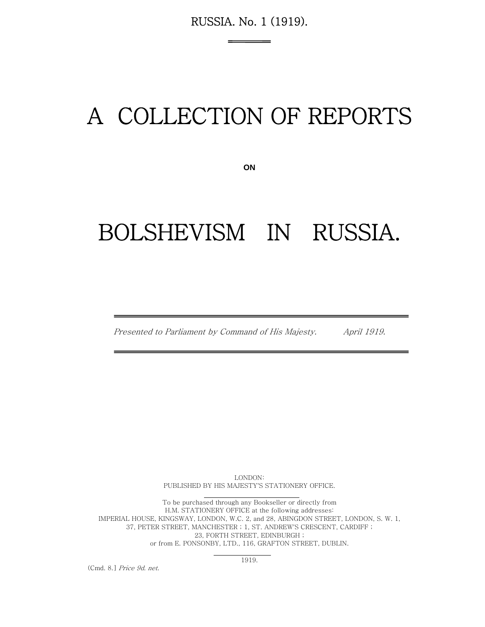RUSSIA. No. 1 (1919).

# A COLLECTION OF REPORTS

**ON** 

# BOLSHEVISM IN RUSSIA.

Presented to Parliament by Command of His Majesty. April 1919.

LONDON: PUBLISHED BY HIS MAJESTY'S STATIONERY OFFICE.

To be purchased through any Bookseller or directly from H.M. STATIONERY OFFICE at the following addresses: IMPERIAL HOUSE, KINGSWAY, LONDON, W.C. 2, and 28, ABINGDON STREET, LONDON, S. W. 1, 37, PETER STREET, MANCHESTER ; 1, ST. ANDREW'S CRESCENT, CARDIFF ; 23, FORTH STREET, EDINBURGH ; or from E. PONSONBY, LTD., 116, GRAFTON STREET, DUBLIN.

(Cmd. 8.] Price 9d. net.

1919.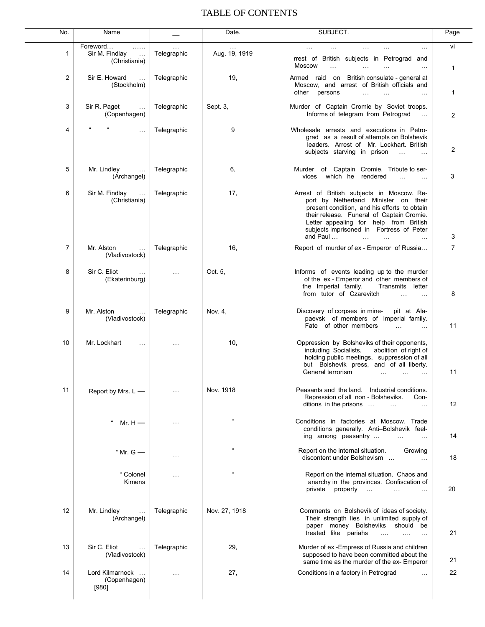# TABLE OF CONTENTS

| No.            | Name                                                    |                         | Date.                       | SUBJECT.                                                                                                                                                                                                                                                                                     | Page           |
|----------------|---------------------------------------------------------|-------------------------|-----------------------------|----------------------------------------------------------------------------------------------------------------------------------------------------------------------------------------------------------------------------------------------------------------------------------------------|----------------|
| $\mathbf{1}$   | Foreword<br>1.1.1.1<br>Sir M. Findlay                   | $\cdots$<br>Telegraphic | $\sim 100$<br>Aug. 19, 1919 | $\cdots$<br>$\cdots$<br>$\ldots$<br>$\sim$<br>$\sim 100$<br>rrest of British subjects in Petrograd and                                                                                                                                                                                       | vi             |
| 2              | (Christiania)<br>Sir E. Howard<br>$\sim 100$            | Telegraphic             | 19,                         | Moscow<br>$\mathcal{L}_{\text{max}}$<br>$\cdots$<br>and the company<br>$\ldots$<br>Armed raid on British consulate - general at                                                                                                                                                              | 1              |
|                | (Stockholm)                                             |                         |                             | Moscow, and arrest of British officials and<br>other persons<br>and the same of<br>$\sim$ .                                                                                                                                                                                                  | 1              |
| 3              | Sir R. Paget<br>$\sim 100$ km s $^{-1}$<br>(Copenhagen) | Telegraphic             | Sept. 3,                    | Murder of Captain Cromie by Soviet troops.<br>Informs of telegram from Petrograd                                                                                                                                                                                                             | 2              |
| 4              | $\sim 10$                                               | Telegraphic             | 9                           | Wholesale arrests and executions in Petro-<br>grad as a result of attempts on Bolshevik<br>leaders. Arrest of Mr. Lockhart. British<br>subjects starving in prison<br>$\sim$ .                                                                                                               | 2              |
| 5              | Mr. Lindley<br>$\sim$<br>(Archangel)                    | Telegraphic             | 6,                          | Murder of Captain Cromie. Tribute to ser-<br>which he rendered<br>vices<br><b><i>College College</i></b><br>$\sim 10$                                                                                                                                                                        | 3              |
| 6              | Sir M. Findlay<br>$\sim$ .<br>(Christiania)             | Telegraphic             | 17,                         | Arrest of British subjects in Moscow. Re-<br>port by Netherland Minister on their<br>present condition, and his efforts to obtain<br>their release. Funeral of Captain Cromie.<br>Letter appealing for help from British<br>subjects imprisoned in Fortress of Peter<br>and Paul<br>$\sim$ . | 3              |
| $\overline{7}$ | Mr. Alston<br><b>Contractor</b><br>(Vladivostock)       | Telegraphic             | 16.                         | Report of murder of ex - Emperor of Russia                                                                                                                                                                                                                                                   | $\overline{7}$ |
| 8              | Sir C. Eliot<br>$\sim 100$<br>(Ekaterinburg)            | $\sim 100$              | Oct. 5,                     | Informs of events leading up to the murder<br>of the ex - Emperor and other members of<br>the Imperial family.<br>Transmits letter<br>from tutor of Czarevitch<br><b>Contractor</b><br>$\sim 10$                                                                                             | 8              |
| 9              | Mr. Alston<br>$\sim$ .<br>(Vladivostock)                | Telegraphic             | Nov. 4,                     | Discovery of corpses in mine-<br>pit at Ala-<br>paevsk of members of Imperial family.<br>Fate of other members<br>and the same of the same                                                                                                                                                   | 11             |
| 10             | Mr. Lockhart<br>$\sim 100$                              | $\cdots$                | 10,                         | Oppression by Bolsheviks of their opponents,<br>including Socialists,<br>abolition of right of<br>holding public meetings, suppression of all<br>but Bolshevik press, and of all liberty.<br>General terrorism<br>and the<br>$\sim 100$                                                      | 11             |
| 11             | Report by Mrs. $L$ —                                    | $\cdots$                | Nov. 1918                   | Peasants and the land. Industrial conditions.<br>Repression of all non - Bolsheviks.<br>Con-<br>ditions in the prisons<br>$\sim 10^{-1}$<br>$\ldots$                                                                                                                                         | 12             |
|                | $\mathfrak{c}\mathfrak{c}$<br>Mr. $H$ —                 | $\cdots$                |                             | Conditions in factories at Moscow. Trade<br>conditions generally. Anti-Bolshevik feel-<br>ing among peasantry<br><b>Service State</b><br>$\sim$ $\sim$                                                                                                                                       | 14             |
|                | " Mr. $G$ —                                             | $\cdots$                | $\alpha$                    | Report on the internal situation.<br>Growing<br>discontent under Bolshevism<br>$\ldots$                                                                                                                                                                                                      | 18             |
|                | " Colonel<br><b>Kimens</b>                              | $\cdots$                | $\alpha$                    | Report on the internal situation. Chaos and<br>anarchy in the provinces. Confiscation of<br>private property<br><b>Contractor</b><br>$\ldots$                                                                                                                                                | 20             |
| 12             | Mr. Lindley<br>(Archangel)                              | Telegraphic             | Nov. 27, 1918               | Comments on Bolshevik of ideas of society.<br>Their strength lies in unlimited supply of<br>paper money Bolsheviks should be<br>treated like pariahs<br><b>Salary College</b><br>$\sim 100$<br>$\sim$ .                                                                                      | 21             |
| 13             | Sir C. Eliot<br>$\sim 10$<br>(Vladivostock)             | Telegraphic             | 29,                         | Murder of ex-Empress of Russia and children<br>supposed to have been committed about the<br>same time as the murder of the ex- Emperor                                                                                                                                                       | 21             |
| 14             | Lord Kilmarnock<br>(Copenhagen)<br>[980]                | $\ddotsc$               | 27,                         | Conditions in a factory in Petrograd<br>$\cdots$                                                                                                                                                                                                                                             | 22             |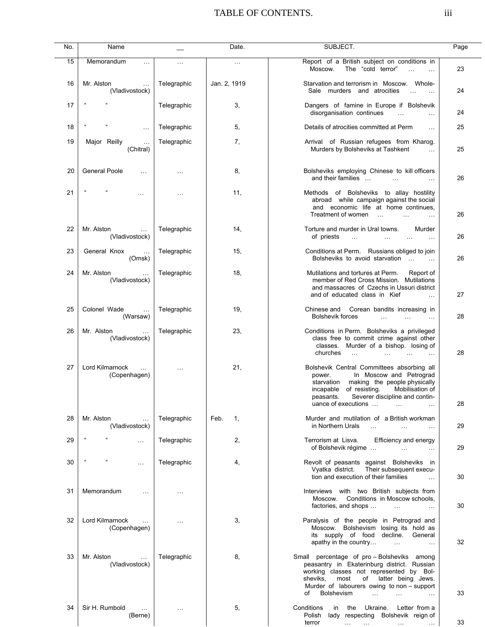# TABLE OF CONTENTS. iii

| No. | Name                                                                                          |                      | Date.        | SUBJECT.                                                                                                                                                                                                                                                      | Page |
|-----|-----------------------------------------------------------------------------------------------|----------------------|--------------|---------------------------------------------------------------------------------------------------------------------------------------------------------------------------------------------------------------------------------------------------------------|------|
| 15  | Memorandum<br>$\sim 10$                                                                       | $\ldots$             | $\ldots$ .   | Report of a British subject on conditions in<br>The "cold terror"<br>Moscow.                                                                                                                                                                                  | 23   |
| 16  | Mr. Alston<br>$\sim$<br>(Vladivostock)                                                        | Telegraphic          | Jan. 2, 1919 | Starvation and terrorism in Moscow. Whole-<br>Sale murders and atrocities<br>$\sim$ 100 $\sim$<br>$\sim$                                                                                                                                                      | 24   |
| 17  |                                                                                               | Telegraphic          | 3,           | Dangers of famine in Europe if Bolshevik<br>disorganisation continues<br>$\sim 10^{-1}$                                                                                                                                                                       | 24   |
| 18  | $\mathfrak{c}\mathfrak{c}$<br>$\sim 100$                                                      | Telegraphic          | 5,           | Details of atrocities committed at Perm<br>$\sim 10^{-1}$                                                                                                                                                                                                     | 25   |
| 19  | Major Reilly<br>$\sim 100$<br>(Chitral)                                                       | Telegraphic          | 7,           | Arrival of Russian refugees from Kharog.<br>Murders by Bolsheviks at Tashkent<br>$\sim 100$ km s $^{-1}$                                                                                                                                                      | 25   |
| 20  | General Poole<br><b>Contractor</b>                                                            | $\cdots$             | 8,           | Bolsheviks employing Chinese to kill officers<br>and their families<br>$\sim 10^{-1}$                                                                                                                                                                         | 26   |
| 21  | $\sim 10^{-1}$                                                                                | $\cdots$             | 11,          | Methods of Bolsheviks to allay hostility<br>abroad while campaign against the social<br>and economic life at home continues,<br>Treatment of women<br>$\sim 10$                                                                                               | 26   |
| 22  | Mr. Alston<br>$\mathcal{L}_{\text{max}}$ , where $\mathcal{L}_{\text{max}}$<br>(Vladivostock) | Telegraphic          | 14,          | Torture and murder in Ural towns.<br>Murder<br>of priests<br>المتقارب المتقاربات والمتفارد<br>$\sim$ .                                                                                                                                                        | 26   |
| 23  | General Knox<br>(Omsk)                                                                        | Telegraphic          | 15,          | Conditions at Perm. Russians obliged to join<br>Bolsheviks to avoid starvation                                                                                                                                                                                | 26   |
| 24  | Mr. Alston<br>$\sim$ .<br>(Vladivostock)                                                      | Telegraphic          | 18,          | Mutilations and tortures at Perm. Report of<br>member of Red Cross Mission. Mutilations<br>and massacres of Czechs in Ussuri district<br>and of educated class in Kief<br>$\sim 10$                                                                           | 27   |
| 25  | Colonel Wade<br><b>Contractor</b><br>(Warsaw)                                                 | Telegraphic          | 19,          | Chinese and Corean bandits increasing in<br>Bolshevik forces<br>and the state of the state of<br>$\sim 10^{-1}$                                                                                                                                               | 28   |
| 26  | Mr. Alston<br>(Vladivostock)                                                                  | Telegraphic          | 23,          | Conditions in Perm. Bolsheviks a privileged<br>class free to commit crime against other<br>classes. Murder of a bishop. losing of<br>churches<br>المتراث المتداري المتداري المتاريخ                                                                           | 28   |
| 27  | Lord Kilmarnock<br>$\sim 100$ km s $^{-1}$<br>(Copenhagen)                                    | $\sim$ $\sim$ $\sim$ | 21,          | Bolshevik Central Committees absorbing all<br>In Moscow and Petrograd<br>power.<br>starvation making the people physically<br>incapable of resisting. Mobilisation of<br>Severer discipline and contin-<br>peasants.<br>uance of executions<br>$\sim 10^{-1}$ | 28   |
| 28  | Mr. Alston<br>(Vladivostock)                                                                  | Telegraphic          | Feb.<br>1,   | Murder and mutilation of a British workman<br>in Northern Urals                                                                                                                                                                                               | 29   |
| 29  | $\boldsymbol{\mu}$<br>$\mathfrak{c}\mathfrak{c}$<br>$\sim 10$                                 | Telegraphic          | 2,           | Terrorism at Lisva. Efficiency and energy<br>of Bolshevik régime                                                                                                                                                                                              | 29   |
| 30  | $\mathfrak{c}\mathfrak{c}$<br>$\ldots$                                                        | Telegraphic          | 4,           | Revolt of peasants against Bolsheviks in<br>Vyatka district. Their subsequent execu-<br>tion and execution of their families<br><b>Contractor</b>                                                                                                             | 30   |
| 31  | Memorandum<br><b>Contractor</b>                                                               | $\cdots$             |              | Interviews with two British subjects from<br>Moscow. Conditions in Moscow schools,<br>factories, and shops                                                                                                                                                    | 30   |
| 32  | Lord Kilmarnock<br><b>Contractor</b><br>(Copenhagen)                                          | $\sim$ $\sim$ $\sim$ | 3,           | Paralysis of the people in Petrograd and<br>Moscow. Bolshevism losing its hold as<br>its supply of food decline. General<br>apathy in the country $\ldots$ $\ldots$                                                                                           | 32   |
| 33  | Mr. Alston<br>$\mathcal{L}_{\text{max}}$ and $\mathcal{L}_{\text{max}}$<br>(Vladivostock)     | Telegraphic          | 8,           | Small percentage of pro - Bolsheviks among<br>peasantry in Ekaterinburg district. Russian<br>working classes not represented by Bol-<br>most of latter being Jews.<br>sheviks,<br>Murder of labourers owing to non - support                                  |      |
| 34  | Sir H. Rumbold<br><b>Contractor</b>                                                           | $\sim$ .             | 5,           | Bolshevism<br>of<br>and the state of the state of<br>$\sim 100$<br>Conditions in the Ukraine. Letter from a                                                                                                                                                   | 33   |
|     | (Berne)                                                                                       |                      |              | Polish lady respecting Bolshevik reign of<br>terror<br>and the company of the company of the                                                                                                                                                                  | 33   |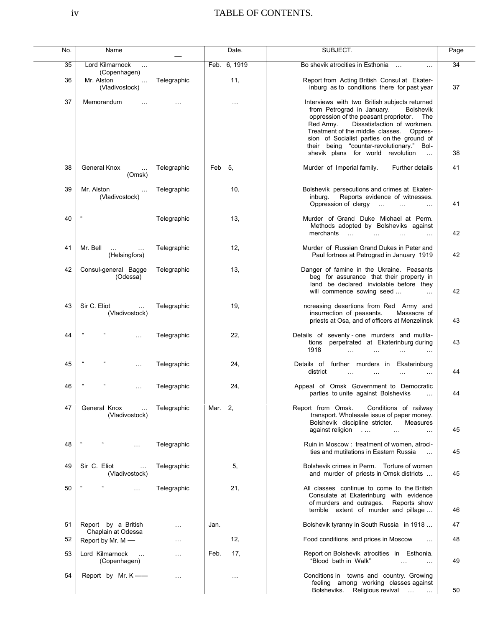## iv TABLE OF CONTENTS.

| No. | Name                                              |             | Date.         | SUBJECT.                                                                                                                                                                                                                                                                                                                                                             | Page |
|-----|---------------------------------------------------|-------------|---------------|----------------------------------------------------------------------------------------------------------------------------------------------------------------------------------------------------------------------------------------------------------------------------------------------------------------------------------------------------------------------|------|
| 35  | Lord Kilmarnock<br>$\ddotsc$<br>(Copenhagen)      |             | Feb. 6, 1919  | Bo shevik atrocities in Esthonia<br>$\ddotsc$                                                                                                                                                                                                                                                                                                                        | 34   |
| 36  | Mr. Alston<br>$\sim$<br>(Vladivostock)            | Telegraphic | 11,           | Report from Acting British Consul at Ekater-<br>inburg as to conditions there for past year                                                                                                                                                                                                                                                                          | 37   |
| 37  | Memorandum                                        | $\cdots$    | $\cdots$      | Interviews with two British subjects returned<br>from Petrograd in January.<br><b>Bolshevik</b><br>oppression of the peasant proprietor. The<br>Red Army.<br>Dissatisfaction of workmen.<br>Treatment of the middle classes. Oppres-<br>sion of Socialist parties on the ground of<br>their being "counter-revolutionary." Bol-<br>shevik plans for world revolution | 38   |
| 38  | General Knox<br>$\ldots$<br>(Omsk)                | Telegraphic | 5,<br>Feb     | Murder of Imperial family.<br>Further details                                                                                                                                                                                                                                                                                                                        | 41   |
| 39  | Mr. Alston<br>$\sim$<br>(Vladivostock)            | Telegraphic | 10,           | Bolshevik persecutions and crimes at Ekater-<br>Reports evidence of witnesses.<br>inburg.<br>Oppression of clergy<br>$\sim 100$                                                                                                                                                                                                                                      | 41   |
| 40  |                                                   | Telegraphic | 13,           | Murder of Grand Duke Michael at Perm.<br>Methods adopted by Bolsheviks against<br>merchants<br>$\sim 100$<br><b>Contract</b><br>$\sim 100$<br>$\sim 10$                                                                                                                                                                                                              | 42   |
| 41  | Mr. Bell<br>$\sim 100$<br>$\sim$<br>(Helsingfors) | Telegraphic | 12,           | Murder of Russian Grand Dukes in Peter and<br>Paul fortress at Petrograd in January 1919                                                                                                                                                                                                                                                                             | 42   |
| 42  | Consul-general Bagge<br>(Odessa)                  | Telegraphic | 13,           | Danger of famine in the Ukraine. Peasants<br>beg for assurance that their property in<br>land be declared inviolable before they<br>will commence sowing seed<br>$\ldots$                                                                                                                                                                                            | 42   |
| 43  | Sir C. Eliot<br>$\ldots$<br>(Vladivostock)        | Telegraphic | 19,           | ncreasing desertions from Red Army and<br>insurrection of peasants.<br>Massacre of<br>priests at Osa, and of officers at Menzelinsk                                                                                                                                                                                                                                  | 43   |
| 44  | $\alpha$<br>$\cdots$                              | Telegraphic | 22,           | Details of seventy-one murders and mutila-<br>tions perpetrated at Ekaterinburg during<br>1918<br>$\mathbf{r}$<br>$\mathbf{r}$<br>$\cdots$                                                                                                                                                                                                                           | 43   |
| 45  | $\ldots$                                          | Telegraphic | 24,           | Details of further murders in<br>Ekaterinburg<br>district<br>$\ddotsc$<br>$\ldots$<br>$\mathbf{r}$<br>$\mathbf{1}$                                                                                                                                                                                                                                                   | 44   |
| 46  | $\ldots$                                          | Telegraphic | 24,           | Appeal of Omsk Government to Democratic<br>parties to unite against Bolsheviks<br>$\cdots$                                                                                                                                                                                                                                                                           | 44   |
| 47  | General Knox<br>$\ddotsc$<br>(Vladivostock)       | Telegraphic | Mar. 2,       | Conditions of railway<br>Report from Omsk.<br>transport. Wholesale issue of paper money.<br>Bolshevik discipline stricter.<br>Measures<br>against religion<br>$\sim 100$<br>$\sim 100$<br>$\ldots$                                                                                                                                                                   | 45   |
| 48  | $\mathfrak{c}\mathfrak{c}$<br>$\cdots$            | Telegraphic |               | Ruin in Moscow: treatment of women, atroci-<br>ties and mutilations in Eastern Russia<br>$\sim 100$                                                                                                                                                                                                                                                                  | 45   |
| 49  | Sir C. Eliot<br>$\ldots$<br>(Vladivostock)        | Telegraphic | 5,            | Bolshevik crimes in Perm. Torture of women<br>and murder of priests in Omsk districts                                                                                                                                                                                                                                                                                | 45   |
| 50  | $\mathbf{1}$                                      | Telegraphic | 21,           | All classes continue to come to the British<br>Consulate at Ekaterinburg with evidence<br>of murders and outrages. Reports show<br>terrible extent of murder and pillage                                                                                                                                                                                             | 46   |
| 51  | Report by a British<br>Chaplain at Odessa         | $\ldots$    | Jan.          | Bolshevik tyranny in South Russia in 1918                                                                                                                                                                                                                                                                                                                            | 47   |
| 52  | Report by Mr. M -                                 | $\cdots$    | 12,           | Food conditions and prices in Moscow<br>$\sim$ . $\sim$                                                                                                                                                                                                                                                                                                              | 48   |
| 53  | Lord Kilmarnock<br>$\sim 100$<br>(Copenhagen)     | $\sim$ .    | Feb.<br>17,   | Report on Bolshevik atrocities in Esthonia.<br>"Blood bath in Walk"<br>$\sim 10^{-1}$<br>$\sim 100$                                                                                                                                                                                                                                                                  | 49   |
| 54  | Report by Mr. K-                                  | $\sim$ .    | $\sim$ $\sim$ | Conditions in towns and country. Growing<br>feeling among working classes against<br>Bolsheviks.<br>Religious revival                                                                                                                                                                                                                                                | 50   |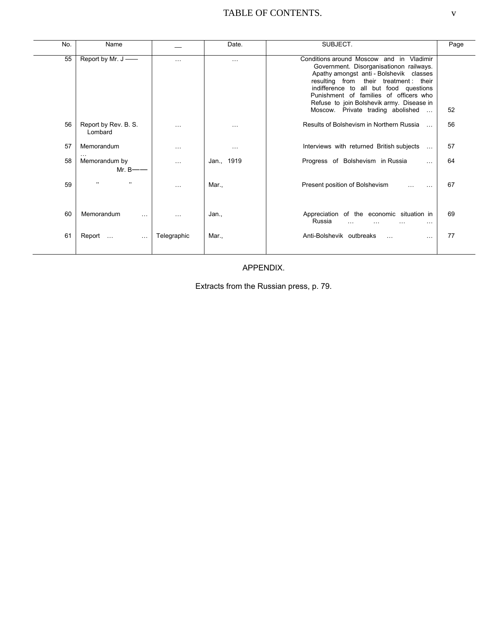| No. | Name                            |                      | Date.                | SUBJECT.                                                                                                                                                                                                                                                                                                                                                   | Page |
|-----|---------------------------------|----------------------|----------------------|------------------------------------------------------------------------------------------------------------------------------------------------------------------------------------------------------------------------------------------------------------------------------------------------------------------------------------------------------------|------|
| 55  | Report by Mr. J -               | $\cdots$             | $\cdots$             | Conditions around Moscow and in Vladimir<br>Government. Disorganisationon railways.<br>Apathy amongst anti - Bolshevik classes<br>resulting from their treatment: their<br>indifference to all but food questions<br>Punishment of families of officers who<br>Refuse to join Bolshevik army. Disease in<br>Moscow. Private trading abolished<br>$\sim 10$ | 52   |
| 56  | Report by Rev. B. S.<br>Lombard | $\cdots$             | $\cdots$             | Results of Bolshevism in Northern Russia<br>$\sim$                                                                                                                                                                                                                                                                                                         | 56   |
| 57  | Memorandum                      | $\cdots$             | $\sim$ $\sim$ $\sim$ | Interviews with returned British subjects<br>$\sim 100$                                                                                                                                                                                                                                                                                                    | 57   |
| 58  | Memorandum by<br>Mr. $B$ ——     | $\cdots$             | Jan., 1919           | Progress of Bolshevism in Russia<br>$\cdots$                                                                                                                                                                                                                                                                                                               | 64   |
| 59  | ,,<br>,,                        | $\sim$ $\sim$ $\sim$ | Mar.,                | Present position of Bolshevism<br>$\sim 10$<br>$\sim 10$                                                                                                                                                                                                                                                                                                   | 67   |
| 60  | Memorandum<br>$\sim$ $\sim$     | $\cdots$             | Jan.,                | Appreciation of the economic situation in<br>Russia<br>$\ddotsc$<br>$\cdots$                                                                                                                                                                                                                                                                               | 69   |
| 61  | Report<br>$\sim$ $\sim$ $\sim$  | Telegraphic          | Mar.,                | Anti-Bolshevik outbreaks<br>$\sim$<br>$\sim$ $\sim$                                                                                                                                                                                                                                                                                                        | 77   |

### APPENDIX.

Extracts from the Russian press, p. 79.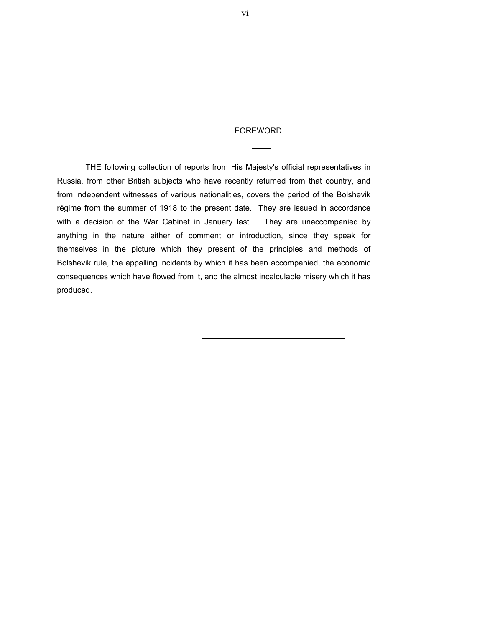#### FOREWORD.

THE following collection of reports from His Majesty's official representatives in Russia, from other British subjects who have recently returned from that country, and from independent witnesses of various nationalities, covers the period of the Bolshevik régime from the summer of 1918 to the present date. They are issued in accordance with a decision of the War Cabinet in January last. They are unaccompanied by anything in the nature either of comment or introduction, since they speak for themselves in the picture which they present of the principles and methods of Bolshevik rule, the appalling incidents by which it has been accompanied, the economic consequences which have flowed from it, and the almost incalculable misery which it has produced.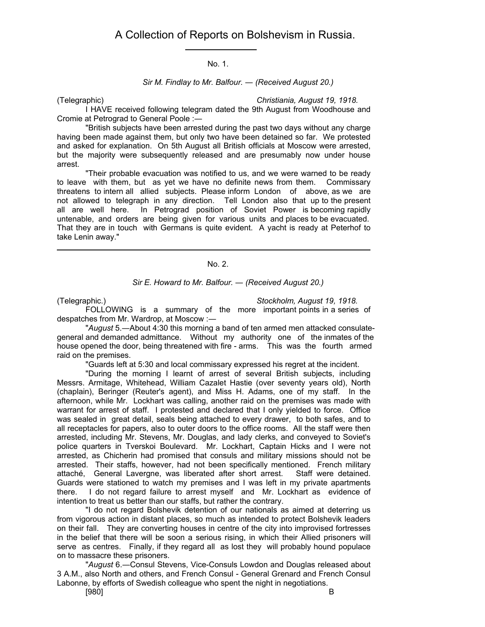No. 1.

#### *Sir M. Findlay to Mr. Balfour.* ― *(Received August 20.)*

(Telegraphic) *Christiania, August 19, 1918.* 

 I HAVE received following telegram dated the 9th August from Woodhouse and Cromie at Petrograd to General Poole :―

 "British subjects have been arrested during the past two days without any charge having been made against them, but only two have been detained so far. We protested and asked for explanation. On 5th August all British officials at Moscow were arrested, but the majority were subsequently released and are presumably now under house arrest.

 "Their probable evacuation was notified to us, and we were warned to be ready to leave with them, but as yet we have no definite news from them. Commissary threatens to intern all allied subjects. Please inform London of above, as we are not allowed to telegraph in any direction. Tell London also that up to the present all are well here. In Petrograd position of Soviet Power is becoming rapidly untenable, and orders are being given for various units and places to be evacuated. That they are in touch with Germans is quite evident. A yacht is ready at Peterhof to take Lenin away."

#### No. 2.

#### *Sir E. Howard to Mr. Balfour.* ― *(Received August 20.)*

(Telegraphic.) *Stockholm, August 19, 1918.* 

 FOLLOWING is a summary of the more important points in a series of despatches from Mr. Wardrop, at Moscow :―

 "*August* 5.―About 4:30 this morning a band of ten armed men attacked consulategeneral and demanded admittance. Without my authority one of the inmates of the house opened the door, being threatened with fire - arms. This was the fourth armed raid on the premises.

"Guards left at 5:30 and local commissary expressed his regret at the incident.

 "During the morning I learnt of arrest of several British subjects, including Messrs. Armitage, Whitehead, William Cazalet Hastie (over seventy years old), North (chaplain), Beringer (Reuter's agent), and Miss H. Adams, one of my staff. In the afternoon, while Mr. Lockhart was calling, another raid on the premises was made with warrant for arrest of staff. I protested and declared that I only yielded to force. Office was sealed in great detail, seals being attached to every drawer, to both safes, and to all receptacles for papers, also to outer doors to the office rooms. All the staff were then arrested, including Mr. Stevens, Mr. Douglas, and lady clerks, and conveyed to Soviet's police quarters in Tverskoi Boulevard. Mr. Lockhart, Captain Hicks and I were not arrested, as Chicherin had promised that consuls and military missions should not be arrested. Their staffs, however, had not been specifically mentioned. French military attaché, General Lavergne, was liberated after short arrest. Staff were detained. Guards were stationed to watch my premises and I was left in my private apartments there. I do not regard failure to arrest myself and Mr. Lockhart as evidence of intention to treat us better than our staffs, but rather the contrary.

 "I do not regard Bolshevik detention of our nationals as aimed at deterring us from vigorous action in distant places, so much as intended to protect Bolshevik leaders on their fall. They are converting houses in centre of the city into improvised fortresses in the belief that there will be soon a serious rising, in which their Allied prisoners will serve as centres. Finally, if they regard all as lost they will probably hound populace on to massacre these prisoners.

 "*August* 6.―Consul Stevens, Vice-Consuls Lowdon and Douglas released about 3 A.M., also North and others, and French Consul - General Grenard and French Consul Labonne, by efforts of Swedish colleague who spent the night in negotiations.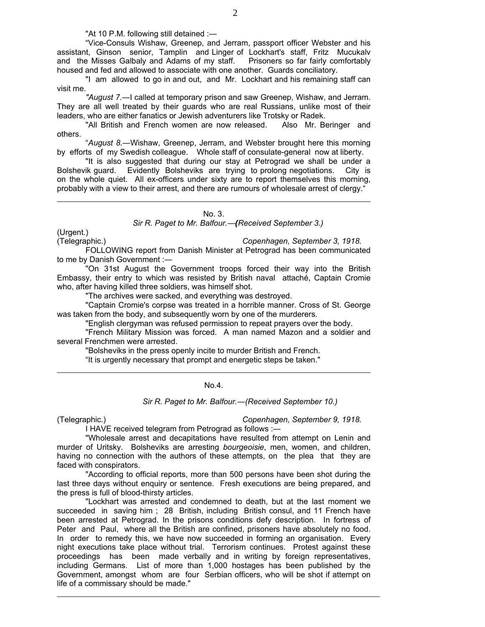"At 10 P.M. following still detained :―

 "Vice-Consuls Wishaw, Greenep, and Jerram, passport officer Webster and his assistant, Ginson senior, Tamplin and Linger of Lockhart's staff, Fritz Mucukalv and the Misses Galbaly and Adams of my staff. Prisoners so far fairly comfortably housed and fed and allowed to associate with one another. Guards conciliatory.

 "I am allowed to go in and out, and Mr. Lockhart and his remaining staff can visit me.

 *"August 7.*―I called at temporary prison and saw Greenep, Wishaw, and Jerram. They are all well treated by their guards who are real Russians, unlike most of their leaders, who are either fanatics or Jewish adventurers like Trotsky or Radek.

 "All British and French women are now released. Also Mr. Beringer and others.

 "*August 8.*―Wishaw, Greenep, Jerram, and Webster brought here this morning by efforts of my Swedish colleague. Whole staff of consulate-general now at liberty.

 "It is also suggested that during our stay at Petrograd we shall be under a Bolshevik guard. Evidently Bolsheviks are trying to prolong negotiations. City is on the whole quiet. All ex-officers under sixty are to report themselves this morning, probably with a view to their arrest, and there are rumours of wholesale arrest of clergy."

#### No. 3.

#### *Sir R. Paget to Mr. Balfour.―(Received September 3.)*

(Urgent.)

 $\overline{a}$ 

(Telegraphic.) *Copenhagen, September 3, 1918.* 

 FOLLOWING report from Danish Minister at Petrograd has been communicated to me by Danish Government :―

 "On 31st August the Government troops forced their way into the British Embassy, their entry to which was resisted by British naval attaché, Captain Cromie who, after having killed three soldiers, was himself shot.

"The archives were sacked, and everything was destroyed.

 "Captain Cromie's corpse was treated in a horrible manner. Cross of St. George was taken from the body, and subsequently worn by one of the murderers.

"English clergyman was refused permission to repeat prayers over the body.

 "French Military Mission was forced. A man named Mazon and a soldier and several Frenchmen were arrested.

"Bolsheviks in the press openly incite to murder British and French.

"It is urgently necessary that prompt and energetic steps be taken."

 $No.4$ 

 *Sir R. Paget to Mr. Balfour.―(Received September 10.)* 

(Telegraphic.) *Copenhagen, September 9, 1918.* 

I HAVE received telegram from Petrograd as follows :―

 "Wholesale arrest and decapitations have resulted from attempt on Lenin and murder of Uritsky. Bolsheviks are arresting *bourgeoisie*, men, women, and children, having no connection with the authors of these attempts, on the plea that they are faced with conspirators.

 "According to official reports, more than 500 persons have been shot during the last three days without enquiry or sentence. Fresh executions are being prepared, and the press is full of blood-thirsty articles.

 "Lockhart was arrested and condemned to death, but at the last moment we succeeded in saving him ; 28 British, including British consul, and 11 French have been arrested at Petrograd. In the prisons conditions defy description. In fortress of Peter and Paul, where all the British are confined, prisoners have absolutely no food. In order to remedy this, we have now succeeded in forming an organisation. Every night executions take place without trial. Terrorism continues. Protest against these proceedings has been made verbally and in writing by foreign representatives, including Germans. List of more than 1,000 hostages has been published by the Government, amongst whom are four Serbian officers, who will be shot if attempt on life of a commissary should be made."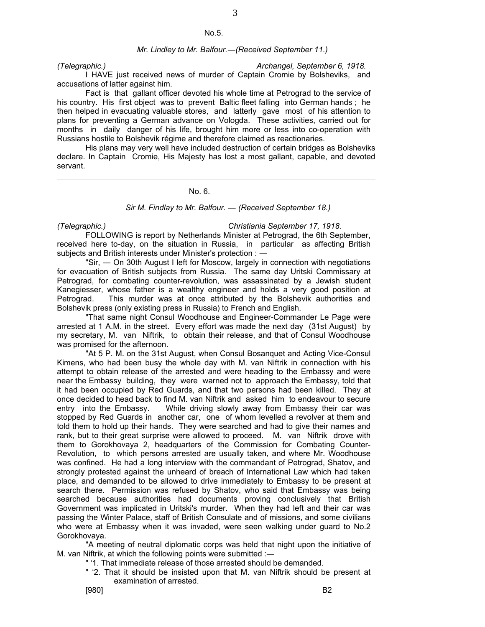#### No.5.

#### *Mr. Lindley to Mr. Balfour.―(Received September 11.)*

*(Telegraphic.) Archangel, September 6, 1918.* 

 I HAVE just received news of murder of Captain Cromie by Bolsheviks, and accusations of latter against him.

 Fact is that gallant officer devoted his whole time at Petrograd to the service of his country. His first object was to prevent Baltic fleet falling into German hands ; he then helped in evacuating valuable stores, and latterly gave most of his attention to plans for preventing a German advance on Vologda. These activities, carried out for months in daily danger of his life, brought him more or less into co-operation with Russians hostile to Bolshevik régime and therefore claimed as reactionaries.

 His plans may very well have included destruction of certain bridges as Bolsheviks declare. In Captain Cromie, His Majesty has lost a most gallant, capable, and devoted servant.

#### No. 6.

#### *Sir M. Findlay to Mr. Balfour.* ― *(Received September 18.)*

#### *(Telegraphic.) Christiania September 17, 1918.*

 FOLLOWING is report by Netherlands Minister at Petrograd, the 6th September, received here to-day, on the situation in Russia, in particular as affecting British subjects and British interests under Minister's protection : ―

 "Sir, ― On 30th August I left for Moscow, largely in connection with negotiations for evacuation of British subjects from Russia. The same day Uritski Commissary at Petrograd, for combating counter-revolution, was assassinated by a Jewish student Kanegiesser, whose father is a wealthy engineer and holds a very good position at Petrograd. This murder was at once attributed by the Bolshevik authorities and Bolshevik press (only existing press in Russia) to French and English.

 "That same night Consul Woodhouse and Engineer-Commander Le Page were arrested at 1 A.M. in the street. Every effort was made the next day (31st August) by my secretary, M. van Niftrik, to obtain their release, and that of Consul Woodhouse was promised for the afternoon.

 "At 5 P. M. on the 31st August, when Consul Bosanquet and Acting Vice-Consul Kimens, who had been busy the whole day with M. van Niftrik in connection with his attempt to obtain release of the arrested and were heading to the Embassy and were near the Embassy building, they were warned not to approach the Embassy, told that it had been occupied by Red Guards, and that two persons had been killed. They at once decided to head back to find M. van Niftrik and asked him to endeavour to secure entry into the Embassy. While driving slowly away from Embassy their car was stopped by Red Guards in another car, one of whom levelled a revolver at them and told them to hold up their hands. They were searched and had to give their names and rank, but to their great surprise were allowed to proceed. M. van Niftrik drove with them to Gorokhovaya 2, headquarters of the Commission for Combating Counter-Revolution, to which persons arrested are usually taken, and where Mr. Woodhouse was confined. He had a long interview with the commandant of Petrograd, Shatov, and strongly protested against the unheard of breach of International Law which had taken place, and demanded to be allowed to drive immediately to Embassy to be present at search there. Permission was refused by Shatov, who said that Embassy was being searched because authorities had documents proving conclusively that British Government was implicated in Uritski's murder. When they had left and their car was passing the Winter Palace, staff of British Consulate and of missions, and some civilians who were at Embassy when it was invaded, were seen walking under guard to No.2 Gorokhovaya.

 "A meeting of neutral diplomatic corps was held that night upon the initiative of M. van Niftrik, at which the following points were submitted :―

- " '1. That immediate release of those arrested should be demanded.
- " '2. That it should be insisted upon that M. van Niftrik should be present at examination of arrested.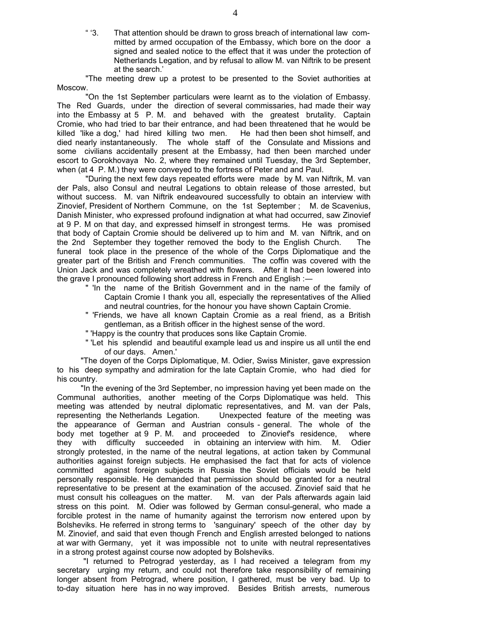" '3. That attention should be drawn to gross breach of international law committed by armed occupation of the Embassy, which bore on the door a signed and sealed notice to the effect that it was under the protection of Netherlands Legation, and by refusal to allow M. van Niftrik to be present at the search.'

 "The meeting drew up a protest to be presented to the Soviet authorities at Moscow.

 "On the 1st September particulars were learnt as to the violation of Embassy. The Red Guards, under the direction of several commissaries, had made their way into the Embassy at 5 P. M. and behaved with the greatest brutality. Captain Cromie, who had tried to bar their entrance, and had been threatened that he would be killed 'like a dog,' had hired killing two men. He had then been shot himself, and died nearly instantaneously. The whole staff of the Consulate and Missions and some civilians accidentally present at the Embassy, had then been marched under escort to Gorokhovaya No. 2, where they remained until Tuesday, the 3rd September, when (at 4 P. M.) they were conveyed to the fortress of Peter and and Paul.

 "During the next few days repeated efforts were made by M. van Niftrik, M. van der Pals, also Consul and neutral Legations to obtain release of those arrested, but without success. M. van Niftrik endeavoured successfully to obtain an interview with Zinovief, President of Northern Commune, on the 1st September ; M. de Scavenius, Danish Minister, who expressed profound indignation at what had occurred, saw Zinovief at 9 P. M on that day, and expressed himself in strongest terms. He was promised that body of Captain Cromie should be delivered up to him and M. van Niftrik, and on the 2nd September they together removed the body to the English Church. The funeral took place in the presence of the whole of the Corps Diplomatique and the greater part of the British and French communities. The coffin was covered with the Union Jack and was completely wreathed with flowers. After it had been lowered into the grave I pronounced following short address in French and English :―

- " 'In the name of the British Government and in the name of the family of Captain Cromie I thank you all, especially the representatives of the Allied and neutral countries, for the honour you have shown Captain Cromie.
- " 'Friends, we have all known Captain Cromie as a real friend, as a British gentleman, as a British officer in the highest sense of the word.
- " 'Happy is the country that produces sons like Captain Cromie.
- " 'Let his splendid and beautiful example lead us and inspire us all until the end of our days. Amen.'

 "The doyen of the Corps Diplomatique, M. Odier, Swiss Minister, gave expression to his deep sympathy and admiration for the late Captain Cromie, who had died for his country.

 "In the evening of the 3rd September, no impression having yet been made on the Communal authorities, another meeting of the Corps Diplomatique was held. This meeting was attended by neutral diplomatic representatives, and M. van der Pals, representing the Netherlands Legation. Unexpected feature of the meeting was the appearance of German and Austrian consuls - general. The whole of the body met together at 9 P.M. and proceeded to Zinovief's residence, where they with difficulty succeeded in obtaining an interview with him. M. Odier strongly protested, in the name of the neutral legations, at action taken by Communal authorities against foreign subjects. He emphasised the fact that for acts of violence committed against foreign subjects in Russia the Soviet officials would be held personally responsible. He demanded that permission should be granted for a neutral representative to be present at the examination of the accused. Zinovief said that he must consult his colleagues on the matter. M. van der Pals afterwards again laid stress on this point. M. Odier was followed by German consul-general, who made a forcible protest in the name of humanity against the terrorism now entered upon by Bolsheviks. He referred in strong terms to 'sanguinary' speech of the other day by M. Zinovief, and said that even though French and English arrested belonged to nations at war with Germany, yet it was impossible not to unite with neutral representatives in a strong protest against course now adopted by Bolsheviks.

 "I returned to Petrograd yesterday, as I had received a telegram from my secretary urging my return, and could not therefore take responsibility of remaining longer absent from Petrograd, where position, I gathered, must be very bad. Up to to-day situation here has in no way improved. Besides British arrests, numerous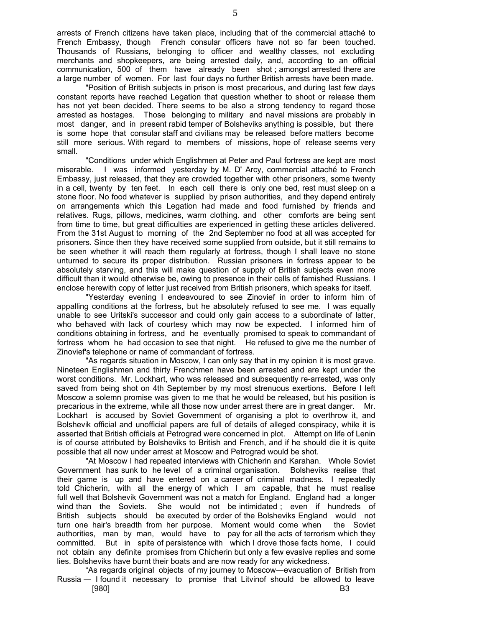arrests of French citizens have taken place, including that of the commercial attaché to French Embassy, though French consular officers have not so far been touched. Thousands of Russians, belonging to officer and wealthy classes, not excluding merchants and shopkeepers, are being arrested daily, and, according to an official communication, 500 of them have already been shot ; amongst arrested there are a large number of women. For last four days no further British arrests have been made.

 "Position of British subjects in prison is most precarious, and during last few days constant reports have reached Legation that question whether to shoot or release them has not yet been decided. There seems to be also a strong tendency to regard those arrested as hostages. Those belonging to military and naval missions are probably in most danger, and in present rabid temper of Bolsheviks anything is possible, but there is some hope that consular staff and civilians may be released before matters become still more serious. With regard to members of missions, hope of release seems very small.

 "Conditions under which Englishmen at Peter and Paul fortress are kept are most miserable. I was informed yesterday by M. D' Arcy, commercial attaché to French Embassy, just released, that they are crowded together with other prisoners, some twenty in a cell, twenty by ten feet. In each cell there is only one bed, rest must sleep on a stone floor. No food whatever is supplied by prison authorities, and they depend entirely on arrangements which this Legation had made and food furnished by friends and relatives. Rugs, pillows, medicines, warm clothing. and other comforts are being sent from time to time, but great difficulties are experienced in getting these articles delivered. From the 31st August to morning of the 2nd September no food at all was accepted for prisoners. Since then they have received some supplied from outside, but it still remains to be seen whether it will reach them regularly at fortress, though I shall leave no stone unturned to secure its proper distribution. Russian prisoners in fortress appear to be absolutely starving, and this will make question of supply of British subjects even more difficult than it would otherwise be, owing to presence in their cells of famished Russians. I enclose herewith copy of letter just received from British prisoners, which speaks for itself.

 "Yesterday evening I endeavoured to see Zinovief in order to inform him of appalling conditions at the fortress, but he absolutely refused to see me. I was equally unable to see Uritski's successor and could only gain access to a subordinate of latter, who behaved with lack of courtesy which may now be expected. I informed him of conditions obtaining in fortress, and he eventually promised to speak to commandant of fortress whom he had occasion to see that night. He refused to give me the number of Zinovief's telephone or name of commandant of fortress.

 "As regards situation in Moscow, I can only say that in my opinion it is most grave. Nineteen Englishmen and thirty Frenchmen have been arrested and are kept under the worst conditions. Mr. Lockhart, who was released and subsequently re-arrested, was only saved from being shot on 4th September by my most strenuous exertions. Before I left Moscow a solemn promise was given to me that he would be released, but his position is precarious in the extreme, while all those now under arrest there are in great danger. Mr. Lockhart is accused by Soviet Government of organising a plot to overthrow it, and Bolshevik official and unofficial papers are full of details of alleged conspiracy, while it is asserted that British officials at Petrograd were concerned in plot. Attempt on life of Lenin is of course attributed by Bolsheviks to British and French, and if he should die it is quite possible that all now under arrest at Moscow and Petrograd would be shot.

 "At Moscow I had repeated interviews with Chicherin and Karahan. Whole Soviet Government has sunk to he level of a criminal organisation. Bolsheviks realise that their game is up and have entered on a career of criminal madness. I repeatedly told Chicherin, with all the energy of which I am capable, that he must realise full well that Bolshevik Government was not a match for England. England had a longer wind than the Soviets. She would not be intimidated ; even if hundreds of British subjects should be executed by order of the Bolsheviks England would not turn one hair's breadth from her purpose. Moment would come when the Soviet authorities, man by man, would have to pay for all the acts of terrorism which they committed. But in spite of persistence with which I drove those facts home, I could not obtain any definite promises from Chicherin but only a few evasive replies and some lies. Bolsheviks have burnt their boats and are now ready for any wickedness.

 "As regards original objects of my journey to Moscow―evacuation of British from Russia ― I found it necessary to promise that Litvinof should be allowed to leave **[980]** B3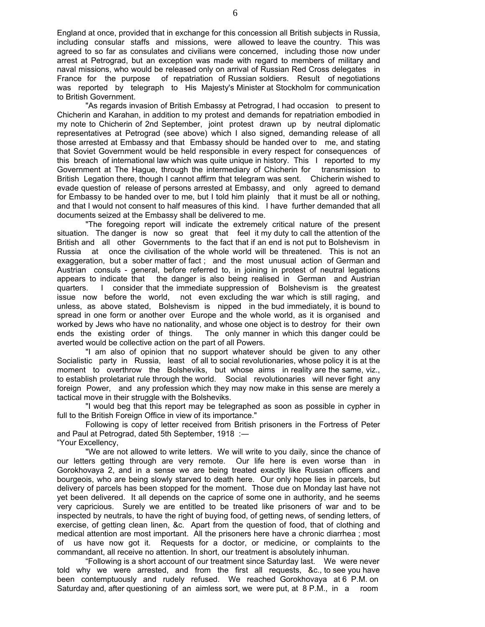England at once, provided that in exchange for this concession all British subjects in Russia, including consular staffs and missions, were allowed to leave the country. This was agreed to so far as consulates and civilians were concerned, including those now under arrest at Petrograd, but an exception was made with regard to members of military and naval missions, who would be released only on arrival of Russian Red Cross delegates in France for the purpose of repatriation of Russian soldiers. Result of negotiations was reported by telegraph to His Majesty's Minister at Stockholm for communication to British Government.

 "As regards invasion of British Embassy at Petrograd, I had occasion to present to Chicherin and Karahan, in addition to my protest and demands for repatriation embodied in my note to Chicherin of 2nd September, joint protest drawn up by neutral diplomatic representatives at Petrograd (see above) which I also signed, demanding release of all those arrested at Embassy and that Embassy should be handed over to me, and stating that Soviet Government would be held responsible in every respect for consequences of this breach of international law which was quite unique in history. This I reported to my Government at The Hague, through the intermediary of Chicherin for transmission to British Legation there, though I cannot affirm that telegram was sent. Chicherin wished to evade question of release of persons arrested at Embassy, and only agreed to demand for Embassy to be handed over to me, but I told him plainly that it must be all or nothing, and that I would not consent to half measures of this kind. I have further demanded that all documents seized at the Embassy shall be delivered to me.

 "The foregoing report will indicate the extremely critical nature of the present situation. The danger is now so great that feel it my duty to call the attention of the British and all other Governments to the fact that if an end is not put to Bolshevism in Russia at once the civilisation of the whole world will be threatened. This is not an exaggeration, but a sober matter of fact ; and the most unusual action of German and Austrian consuls - general, before referred to, in joining in protest of neutral legations appears to indicate that the danger is also being realised in German and Austrian quarters. I consider that the immediate suppression of Bolshevism is the greatest issue now before the world, not even excluding the war which is still raging, and unless, as above stated, Bolshevism is nipped in the bud immediately, it is bound to spread in one form or another over Europe and the whole world, as it is organised and worked by Jews who have no nationality, and whose one object is to destroy for their own ends the existing order of things. The only manner in which this danger could be averted would be collective action on the part of all Powers.

 "I am also of opinion that no support whatever should be given to any other Socialistic party in Russia, least of all to social revolutionaries, whose policy it is at the moment to overthrow the Bolsheviks, but whose aims in reality are the same, viz., to establish proletariat rule through the world. Social revolutionaries will never fight any foreign Power, and any profession which they may now make in this sense are merely a tactical move in their struggle with the Bolsheviks.

 "I would beg that this report may be telegraphed as soon as possible in cypher in full to the British Foreign Office in view of its importance."

 Following is copy of letter received from British prisoners in the Fortress of Peter and Paul at Petrograd, dated 5th September, 1918 :―

"Your Excellency,

 "We are not allowed to write letters. We will write to you daily, since the chance of our letters getting through are very remote. Our life here is even worse than in Gorokhovaya 2, and in a sense we are being treated exactly like Russian officers and bourgeois, who are being slowly starved to death here. Our only hope lies in parcels, but delivery of parcels has been stopped for the moment. Those due on Monday last have not yet been delivered. It all depends on the caprice of some one in authority, and he seems very capricious. Surely we are entitled to be treated like prisoners of war and to be inspected by neutrals, to have the right of buying food, of getting news, of sending letters, of exercise, of getting clean linen, &c. Apart from the question of food, that of clothing and medical attention are most important. All the prisoners here have a chronic diarrhea ; most of us have now got it. Requests for a doctor, or medicine, or complaints to the commandant, all receive no attention. In short, our treatment is absolutely inhuman.

 "Following is a short account of our treatment since Saturday last. We were never told why we were arrested, and from the first all requests, &c., to see you have been contemptuously and rudely refused. We reached Gorokhovaya at 6 P.M. on Saturday and, after questioning of an aimless sort, we were put, at 8 P.M., in a room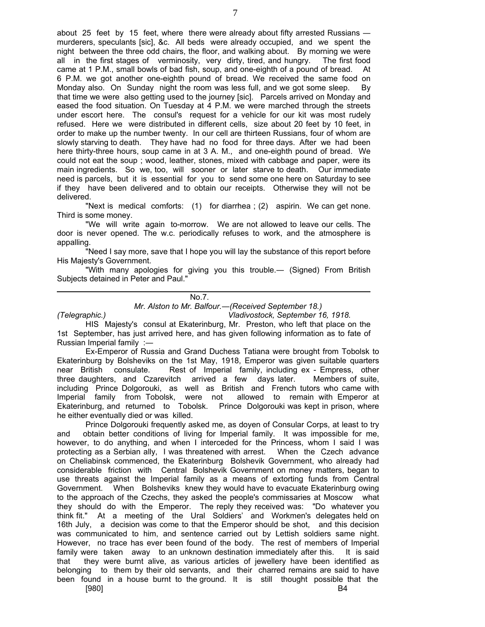about 25 feet by 15 feet, where there were already about fifty arrested Russians ― murderers, speculants [sic], &c. All beds were already occupied, and we spent the night between the three odd chairs, the floor, and walking about. By morning we were all in the first stages of verminosity, very dirty, tired, and hungry. The first food came at 1 P.M., small bowls of bad fish, soup, and one-eighth of a pound of bread. At 6 P.M. we got another one-eighth pound of bread. We received the same food on Monday also. On Sunday night the room was less full, and we got some sleep. By that time we were also getting used to the journey [sic]. Parcels arrived on Monday and eased the food situation. On Tuesday at 4 P.M. we were marched through the streets under escort here. The consul's request for a vehicle for our kit was most rudely refused. Here we were distributed in different cells, size about 20 feet by 10 feet, in order to make up the number twenty. In our cell are thirteen Russians, four of whom are slowly starving to death. They have had no food for three days. After we had been here thirty-three hours, soup came in at 3 A. M., and one-eighth pound of bread. We could not eat the soup ; wood, leather, stones, mixed with cabbage and paper, were its main ingredients. So we, too, will sooner or later starve to death. Our immediate need is parcels, but it is essential for you to send some one here on Saturday to see if they have been delivered and to obtain our receipts. Otherwise they will not be delivered.

 "Next is medical comforts: (1) for diarrhea ; (2) aspirin. We can get none. Third is some money.

 "We will write again to-morrow. We are not allowed to leave our cells. The door is never opened. The w.c. periodically refuses to work, and the atmosphere is appalling.

 "Need I say more, save that I hope you will lay the substance of this report before His Majesty's Government.

 "With many apologies for giving you this trouble.― (Signed) From British Subjects detained in Peter and Paul."

No.7.

 *Mr. Alston to Mr. Balfour.―(Received September 18.)* 

*(Telegraphic.) Vladivostock, September 16, 1918.* 

 HIS Majesty's consul at Ekaterinburg, Mr. Preston, who left that place on the 1st September, has just arrived here, and has given following information as to fate of Russian Imperial family :―

 Ex-Emperor of Russia and Grand Duchess Tatiana were brought from Tobolsk to Ekaterinburg by Bolsheviks on the 1st May, 1918, Emperor was given suitable quarters near British consulate. Rest of Imperial family, including ex - Empress, other three daughters, and Czarevitch arrived a few days later. Members of suite, including Prince Dolgorouki, as well as British and French tutors who came with Imperial family from Tobolsk, were not allowed to remain with Emperor at Ekaterinburg, and returned to Tobolsk. Prince Dolgorouki was kept in prison, where he either eventually died or was killed.

 Prince Dolgorouki frequently asked me, as doyen of Consular Corps, at least to try and obtain better conditions of living for Imperial family. It was impossible for me, however, to do anything, and when I interceded for the Princess, whom I said I was protecting as a Serbian ally, I was threatened with arrest. When the Czech advance on Cheliabinsk commenced, the Ekaterinburg Bolshevik Government, who already had considerable friction with Central Bolshevik Government on money matters, began to use threats against the Imperial family as a means of extorting funds from Central Government. When Bolsheviks knew they would have to evacuate Ekaterinburg owing to the approach of the Czechs, they asked the people's commissaries at Moscow what they should do with the Emperor. The reply they received was: "Do whatever you think fit." At a meeting of the Ural Soldiers' and Workmen's delegates held on 16th July, a decision was come to that the Emperor should be shot, and this decision was communicated to him, and sentence carried out by Lettish soldiers same night. However, no trace has ever been found of the body. The rest of members of Imperial family were taken away to an unknown destination immediately after this. It is said that they were burnt alive, as various articles of jewellery have been identified as belonging to them by their old servants, and their charred remains are said to have been found in a house burnt to the ground. It is still thought possible that the [980] B4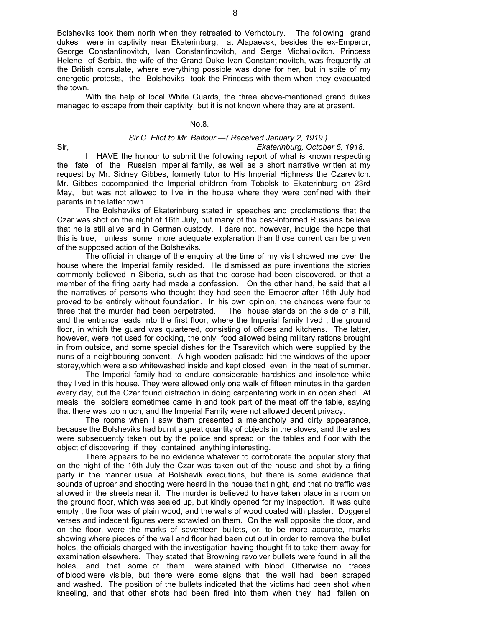Bolsheviks took them north when they retreated to Verhotoury. The following grand dukes were in captivity near Ekaterinburg, at Alapaevsk, besides the ex-Emperor, George Constantinovitch, Ivan Constantinovitch, and Serge Michailovitch. Princess Helene of Serbia, the wife of the Grand Duke Ivan Constantinovitch, was frequently at the British consulate, where everything possible was done for her, but in spite of my energetic protests, the Bolsheviks took the Princess with them when they evacuated the town.

 With the help of local White Guards, the three above-mentioned grand dukes managed to escape from their captivity, but it is not known where they are at present.

#### No.8.

#### *Sir C. Eliot to Mr. Balfour.*―*( Received January 2, 1919.)*  Sir, *Ekaterinburg, October 5, 1918.*

 I HAVE the honour to submit the following report of what is known respecting the fate of the Russian Imperial family, as well as a short narrative written at my request by Mr. Sidney Gibbes, formerly tutor to His Imperial Highness the Czarevitch. Mr. Gibbes accompanied the Imperial children from Tobolsk to Ekaterinburg on 23rd May, but was not allowed to live in the house where they were confined with their parents in the latter town.

 The Bolsheviks of Ekaterinburg stated in speeches and proclamations that the Czar was shot on the night of 16th July, but many of the best-informed Russians believe that he is still alive and in German custody. I dare not, however, indulge the hope that this is true, unless some more adequate explanation than those current can be given of the supposed action of the Bolsheviks.

 The official in charge of the enquiry at the time of my visit showed me over the house where the Imperial family resided. He dismissed as pure inventions the stories commonly believed in Siberia, such as that the corpse had been discovered, or that a member of the firing party had made a confession. On the other hand, he said that all the narratives of persons who thought they had seen the Emperor after 16th July had proved to be entirely without foundation. In his own opinion, the chances were four to three that the murder had been perpetrated. The house stands on the side of a hill, and the entrance leads into the first floor, where the Imperial family lived ; the ground floor, in which the guard was quartered, consisting of offices and kitchens. The latter, however, were not used for cooking, the only food allowed being military rations brought in from outside, and some special dishes for the Tsarevitch which were supplied by the nuns of a neighbouring convent. A high wooden palisade hid the windows of the upper storey,which were also whitewashed inside and kept closed even in the heat of summer.

 The Imperial family had to endure considerable hardships and insolence while they lived in this house. They were allowed only one walk of fifteen minutes in the garden every day, but the Czar found distraction in doing carpentering work in an open shed. At meals the soldiers sometimes came in and took part of the meat off the table, saying that there was too much, and the Imperial Family were not allowed decent privacy.

 The rooms when I saw them presented a melancholy and dirty appearance, because the Bolsheviks had burnt a great quantity of objects in the stoves, and the ashes were subsequently taken out by the police and spread on the tables and floor with the object of discovering if they contained anything interesting.

 There appears to be no evidence whatever to corroborate the popular story that on the night of the 16th July the Czar was taken out of the house and shot by a firing party in the manner usual at Bolshevik executions, but there is some evidence that sounds of uproar and shooting were heard in the house that night, and that no traffic was allowed in the streets near it. The murder is believed to have taken place in a room on the ground floor, which was sealed up, but kindly opened for my inspection. It was quite empty ; the floor was of plain wood, and the walls of wood coated with plaster. Doggerel verses and indecent figures were scrawled on them. On the wall opposite the door, and on the floor, were the marks of seventeen bullets, or, to be more accurate, marks showing where pieces of the wall and floor had been cut out in order to remove the bullet holes, the officials charged with the investigation having thought fit to take them away for examination elsewhere. They stated that Browning revolver bullets were found in all the holes, and that some of them were stained with blood. Otherwise no traces of blood were visible, but there were some signs that the wall had been scraped and washed. The position of the bullets indicated that the victims had been shot when kneeling, and that other shots had been fired into them when they had fallen on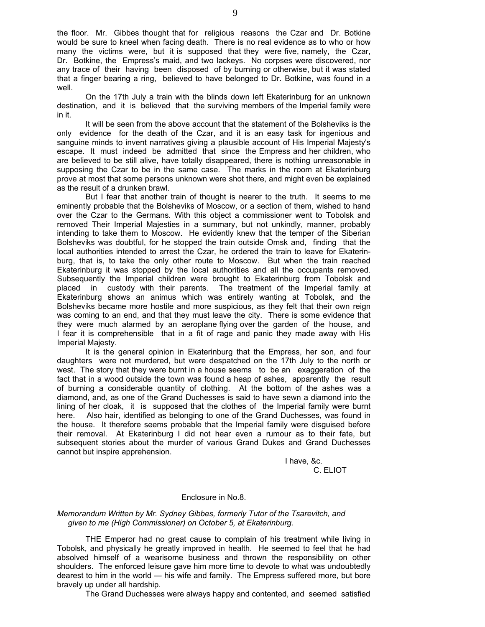the floor. Mr. Gibbes thought that for religious reasons the Czar and Dr. Botkine would be sure to kneel when facing death. There is no real evidence as to who or how many the victims were, but it is supposed that they were five, namely, the Czar, Dr. Botkine, the Empress's maid, and two lackeys. No corpses were discovered, nor any trace of their having been disposed of by burning or otherwise, but it was stated that a finger bearing a ring, believed to have belonged to Dr. Botkine, was found in a well.

 On the 17th July a train with the blinds down left Ekaterinburg for an unknown destination, and it is believed that the surviving members of the Imperial family were in it.

 It will be seen from the above account that the statement of the Bolsheviks is the only evidence for the death of the Czar, and it is an easy task for ingenious and sanguine minds to invent narratives giving a plausible account of His Imperial Majesty's escape. It must indeed be admitted that since the Empress and her children, who are believed to be still alive, have totally disappeared, there is nothing unreasonable in supposing the Czar to be in the same case. The marks in the room at Ekaterinburg prove at most that some persons unknown were shot there, and might even be explained as the result of a drunken brawl.

 But I fear that another train of thought is nearer to the truth. It seems to me eminently probable that the Bolsheviks of Moscow, or a section of them, wished to hand over the Czar to the Germans. With this object a commissioner went to Tobolsk and removed Their Imperial Majesties in a summary, but not unkindly, manner, probably intending to take them to Moscow. He evidently knew that the temper of the Siberian Bolsheviks was doubtful, for he stopped the train outside Omsk and, finding that the local authorities intended to arrest the Czar, he ordered the train to leave for Ekaterinburg, that is, to take the only other route to Moscow. But when the train reached Ekaterinburg it was stopped by the local authorities and all the occupants removed. Subsequently the Imperial children were brought to Ekaterinburg from Tobolsk and placed in custody with their parents. The treatment of the Imperial family at Ekaterinburg shows an animus which was entirely wanting at Tobolsk, and the Bolsheviks became more hostile and more suspicious, as they felt that their own reign was coming to an end, and that they must leave the city. There is some evidence that they were much alarmed by an aeroplane flying over the garden of the house, and I fear it is comprehensible that in a fit of rage and panic they made away with His Imperial Majesty.

 It is the general opinion in Ekaterinburg that the Empress, her son, and four daughters were not murdered, but were despatched on the 17th July to the north or west. The story that they were burnt in a house seems to be an exaggeration of the fact that in a wood outside the town was found a heap of ashes, apparently the result of burning a considerable quantity of clothing. At the bottom of the ashes was a diamond, and, as one of the Grand Duchesses is said to have sewn a diamond into the lining of her cloak, it is supposed that the clothes of the Imperial family were burnt here. Also hair, identified as belonging to one of the Grand Duchesses, was found in the house. It therefore seems probable that the Imperial family were disguised before their removal. At Ekaterinburg I did not hear even a rumour as to their fate, but subsequent stories about the murder of various Grand Dukes and Grand Duchesses cannot but inspire apprehension.

I have, &c.

C. ELIOT

#### Enclosure in No.8.

*Memorandum Written by Mr. Sydney Gibbes, formerly Tutor of the Tsarevitch, and given to me (High Commissioner) on October 5, at Ekaterinburg.* 

 THE Emperor had no great cause to complain of his treatment while living in Tobolsk, and physically he greatly improved in health. He seemed to feel that he had absolved himself of a wearisome business and thrown the responsibility on other shoulders. The enforced leisure gave him more time to devote to what was undoubtedly dearest to him in the world ― his wife and family. The Empress suffered more, but bore bravely up under all hardship.

The Grand Duchesses were always happy and contented, and seemed satisfied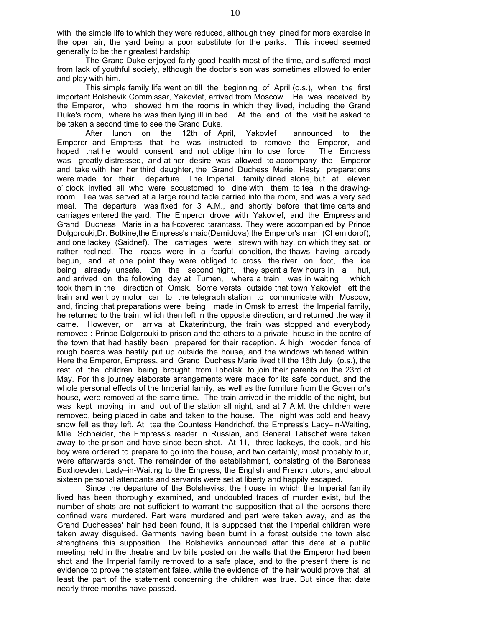with the simple life to which they were reduced, although they pined for more exercise in the open air, the yard being a poor substitute for the parks. This indeed seemed generally to be their greatest hardship.

 The Grand Duke enjoyed fairly good health most of the time, and suffered most from lack of youthful society, although the doctor's son was sometimes allowed to enter and play with him.

 This simple family life went on till the beginning of April (o.s.), when the first important Bolshevik Commissar, Yakovlef, arrived from Moscow. He was received by the Emperor, who showed him the rooms in which they lived, including the Grand Duke's room, where he was then lying ill in bed. At the end of the visit he asked to be taken a second time to see the Grand Duke.

 After lunch on the 12th of April, Yakovlef announced to the Emperor and Empress that he was instructed to remove the Emperor, and hoped that he would consent and not oblige him to use force. The Empress was greatly distressed, and at her desire was allowed to accompany the Emperor and take with her her third daughter, the Grand Duchess Marie. Hasty preparations were made for their departure. The Imperial family dined alone, but at eleven o' clock invited all who were accustomed to dine with them to tea in the drawingroom. Tea was served at a large round table carried into the room, and was a very sad meal. The departure was fixed for 3 A.M., and shortly before that time carts and carriages entered the yard. The Emperor drove with Yakovlef, and the Empress and Grand Duchess Marie in a half-covered tarantass. They were accompanied by Prince Dolgorouki,Dr. Botkine,the Empress's maid(Demidova),the Emperor's man (Chemidorof), and one lackey (Saidnef). The carriages were strewn with hay, on which they sat, or rather reclined. The roads were in a fearful condition, the thaws having already begun, and at one point they were obliged to cross the river on foot, the ice being already unsafe. On the second night, they spent a few hours in a hut, and arrived on the following day at Tumen, where a train was in waiting which took them in the direction of Omsk. Some versts outside that town Yakovlef left the train and went by motor car to the telegraph station to communicate with Moscow, and, finding that preparations were being made in Omsk to arrest the Imperial family, he returned to the train, which then left in the opposite direction, and returned the way it came. However, on arrival at Ekaterinburg, the train was stopped and everybody removed : Prince Dolgorouki to prison and the others to a private house in the centre of the town that had hastily been prepared for their reception. A high wooden fence of rough boards was hastily put up outside the house, and the windows whitened within. Here the Emperor, Empress, and Grand Duchess Marie lived till the 16th July (o.s.), the rest of the children being brought from Tobolsk to join their parents on the 23rd of May. For this journey elaborate arrangements were made for its safe conduct, and the whole personal effects of the Imperial family, as well as the furniture from the Governor's house, were removed at the same time. The train arrived in the middle of the night, but was kept moving in and out of the station all night, and at 7 A.M. the children were removed, being placed in cabs and taken to the house. The night was cold and heavy snow fell as they left. At tea the Countess Hendrichof, the Empress's Lady–in-Waiting, Mlle. Schneider, the Empress's reader in Russian, and General Tatischef were taken away to the prison and have since been shot. At 11, three lackeys, the cook, and his boy were ordered to prepare to go into the house, and two certainly, most probably four, were afterwards shot. The remainder of the establishment, consisting of the Baroness Buxhoevden, Lady–in-Waiting to the Empress, the English and French tutors, and about sixteen personal attendants and servants were set at liberty and happily escaped.

 Since the departure of the Bolsheviks, the house in which the Imperial family lived has been thoroughly examined, and undoubted traces of murder exist, but the number of shots are not sufficient to warrant the supposition that all the persons there confined were murdered. Part were murdered and part were taken away, and as the Grand Duchesses' hair had been found, it is supposed that the Imperial children were taken away disguised. Garments having been burnt in a forest outside the town also strengthens this supposition. The Bolsheviks announced after this date at a public meeting held in the theatre and by bills posted on the walls that the Emperor had been shot and the Imperial family removed to a safe place, and to the present there is no evidence to prove the statement false, while the evidence of the hair would prove that at least the part of the statement concerning the children was true. But since that date nearly three months have passed.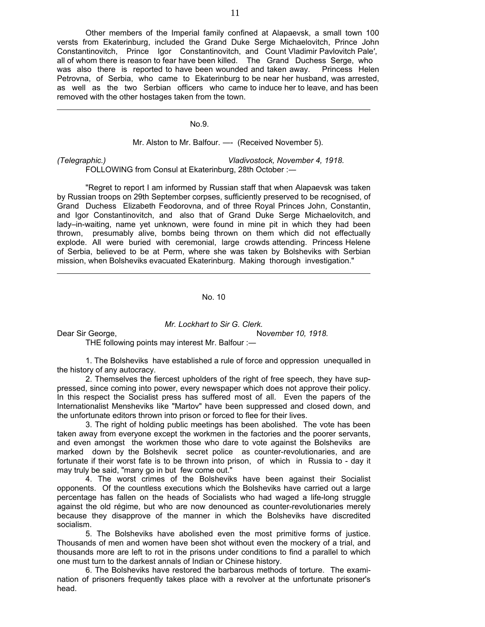Other members of the Imperial family confined at Alapaevsk, a small town 100 versts from Ekaterinburg, included the Grand Duke Serge Michaelovitch, Prince John

Constantinovitch, Prince Igor Constantinovitch, and Count Vladimir Pavlovitch Pale′, all of whom there is reason to fear have been killed. The Grand Duchess Serge, who was also there is reported to have been wounded and taken away. Princess Helen Petrovna, of Serbia, who came to Ekaterinburg to be near her husband, was arrested, as well as the two Serbian officers who came to induce her to leave, and has been removed with the other hostages taken from the town.

No.9.

Mr. Alston to Mr. Balfour. ―- (Received November 5).

*(Telegraphic.) Vladivostock, November 4, 1918.*  FOLLOWING from Consul at Ekaterinburg, 28th October :―

 "Regret to report I am informed by Russian staff that when Alapaevsk was taken by Russian troops on 29th September corpses, sufficiently preserved to be recognised, of Grand Duchess Elizabeth Feodorovna, and of three Royal Princes John, Constantin, and Igor Constantinovitch, and also that of Grand Duke Serge Michaelovitch, and lady–in-waiting, name yet unknown, were found in mine pit in which they had been thrown, presumably alive, bombs being thrown on them which did not effectually explode. All were buried with ceremonial, large crowds attending. Princess Helene of Serbia, believed to be at Perm, where she was taken by Bolsheviks with Serbian mission, when Bolsheviks evacuated Ekaterinburg. Making thorough investigation."

No. 10

*Mr. Lockhart to Sir G. Clerk.* 

Dear Sir George, November 10, 1918.

 $\overline{a}$ 

THE following points may interest Mr. Balfour :―

 1. The Bolsheviks have established a rule of force and oppression unequalled in the history of any autocracy.

 2. Themselves the fiercest upholders of the right of free speech, they have suppressed, since coming into power, every newspaper which does not approve their policy. In this respect the Socialist press has suffered most of all. Even the papers of the Internationalist Mensheviks like "Martov" have been suppressed and closed down, and the unfortunate editors thrown into prison or forced to flee for their lives.

 3. The right of holding public meetings has been abolished. The vote has been taken away from everyone except the workmen in the factories and the poorer servants, and even amongst the workmen those who dare to vote against the Bolsheviks are marked down by the Bolshevik secret police as counter-revolutionaries, and are fortunate if their worst fate is to be thrown into prison, of which in Russia to - day it may truly be said, "many go in but few come out."

 4. The worst crimes of the Bolsheviks have been against their Socialist opponents. Of the countless executions which the Bolsheviks have carried out a large percentage has fallen on the heads of Socialists who had waged a life-long struggle against the old régime, but who are now denounced as counter-revolutionaries merely because they disapprove of the manner in which the Bolsheviks have discredited socialism.

 5. The Bolsheviks have abolished even the most primitive forms of justice. Thousands of men and women have been shot without even the mockery of a trial, and thousands more are left to rot in the prisons under conditions to find a parallel to which one must turn to the darkest annals of Indian or Chinese history.

 6. The Bolsheviks have restored the barbarous methods of torture. The examination of prisoners frequently takes place with a revolver at the unfortunate prisoner's head.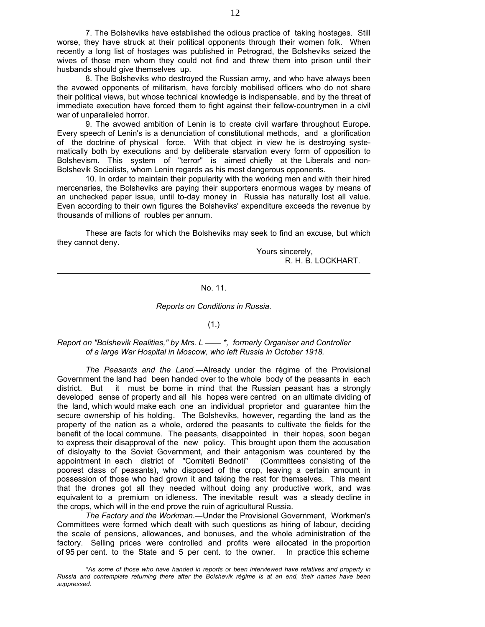7. The Bolsheviks have established the odious practice of taking hostages. Still worse, they have struck at their political opponents through their women folk. When recently a long list of hostages was published in Petrograd, the Bolsheviks seized the wives of those men whom they could not find and threw them into prison until their husbands should give themselves up.

 8. The Bolsheviks who destroyed the Russian army, and who have always been the avowed opponents of militarism, have forcibly mobilised officers who do not share their political views, but whose technical knowledge is indispensable, and by the threat of immediate execution have forced them to fight against their fellow-countrymen in a civil war of unparalleled horror.

 9. The avowed ambition of Lenin is to create civil warfare throughout Europe. Every speech of Lenin's is a denunciation of constitutional methods, and a glorification of the doctrine of physical force. With that object in view he is destroying systematically both by executions and by deliberate starvation every form of opposition to Bolshevism. This system of "terror" is aimed chiefly at the Liberals and non-Bolshevik Socialists, whom Lenin regards as his most dangerous opponents.

 10. In order to maintain their popularity with the working men and with their hired mercenaries, the Bolsheviks are paying their supporters enormous wages by means of an unchecked paper issue, until to-day money in Russia has naturally lost all value. Even according to their own figures the Bolsheviks' expenditure exceeds the revenue by thousands of millions of roubles per annum.

 These are facts for which the Bolsheviks may seek to find an excuse, but which they cannot deny.

> Yours sincerely, R. H. B. LOCKHART.

### No. 11.

#### *Reports on Conditions in Russia.*

### (1.)

#### *Report on "Bolshevik Realities," by Mrs. L —— \*, formerly Organiser and Controller of a large War Hospital in Moscow, who left Russia in October 1918.*

 *The Peasants and the Land.―*Already under the régime of the Provisional Government the land had been handed over to the whole body of the peasants in each district. But it must be borne in mind that the Russian peasant has a strongly developed sense of property and all his hopes were centred on an ultimate dividing of the land, which would make each one an individual proprietor and guarantee him the secure ownership of his holding. The Bolsheviks, however, regarding the land as the property of the nation as a whole, ordered the peasants to cultivate the fields for the benefit of the local commune. The peasants, disappointed in their hopes, soon began to express their disapproval of the new policy. This brought upon them the accusation of disloyalty to the Soviet Government, and their antagonism was countered by the appointment in each district of "Comiteti Bednoti" (Committees consisting of the poorest class of peasants), who disposed of the crop, leaving a certain amount in possession of those who had grown it and taking the rest for themselves. This meant that the drones got all they needed without doing any productive work, and was equivalent to a premium on idleness. The inevitable result was a steady decline in the crops, which will in the end prove the ruin of agricultural Russia.

 *The Factory and the Workman*.―Under the Provisional Government, Workmen's Committees were formed which dealt with such questions as hiring of labour, deciding the scale of pensions, allowances, and bonuses, and the whole administration of the factory. Selling prices were controlled and profits were allocated in the proportion of 95 per cent. to the State and 5 per cent. to the owner. In practice this scheme

 *<sup>\*</sup>As some of those who have handed in reports or been interviewed have relatives and property in Russia and contemplate returning there after the Bolshevik régime is at an end, their names have been suppressed.*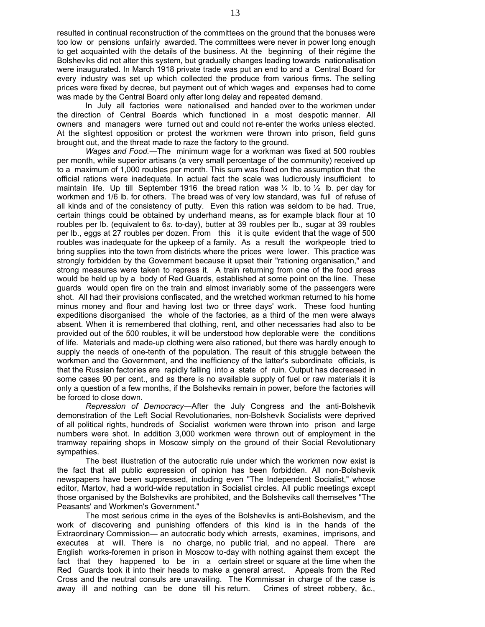resulted in continual reconstruction of the committees on the ground that the bonuses were too low or pensions unfairly awarded. The committees were never in power long enough to get acquainted with the details of the business. At the beginning of their régime the Bolsheviks did not alter this system, but gradually changes leading towards nationalisation were inaugurated. In March 1918 private trade was put an end to and a Central Board for every industry was set up which collected the produce from various firms. The selling prices were fixed by decree, but payment out of which wages and expenses had to come was made by the Central Board only after long delay and repeated demand.

 In July all factories were nationalised and handed over to the workmen under the direction of Central Boards which functioned in a most despotic manner. All owners and managers were turned out and could not re-enter the works unless elected. At the slightest opposition or protest the workmen were thrown into prison, field guns brought out, and the threat made to raze the factory to the ground.

 *Wages and Food.*―The minimum wage for a workman was fixed at 500 roubles per month, while superior artisans (a very small percentage of the community) received up to a maximum of 1,000 roubles per month. This sum was fixed on the assumption that the official rations were inadequate. In actual fact the scale was ludicrously insufficient to maintain life. Up till September 1916 the bread ration was  $\frac{1}{4}$  lb. to  $\frac{1}{2}$  lb. per day for workmen and 1/6 lb. for others. The bread was of very low standard, was full of refuse of all kinds and of the consistency of putty. Even this ration was seldom to be had. True, certain things could be obtained by underhand means, as for example black flour at 10 roubles per lb. (equivalent to 6*s*. to-day), butter at 39 roubles per lb., sugar at 39 roubles per lb., eggs at 27 roubles per dozen. From this it is quite evident that the wage of 500 roubles was inadequate for the upkeep of a family. As a result the workpeople tried to bring supplies into the town from districts where the prices were lower. This practice was strongly forbidden by the Government because it upset their "rationing organisation," and strong measures were taken to repress it. A train returning from one of the food areas would be held up by a body of Red Guards, established at some point on the line. These guards would open fire on the train and almost invariably some of the passengers were shot. All had their provisions confiscated, and the wretched workman returned to his home minus money and flour and having lost two or three days' work. These food hunting expeditions disorganised the whole of the factories, as a third of the men were always absent. When it is remembered that clothing, rent, and other necessaries had also to be provided out of the 500 roubles, it will be understood how deplorable were the conditions of life. Materials and made-up clothing were also rationed, but there was hardly enough to supply the needs of one-tenth of the population. The result of this struggle between the workmen and the Government, and the inefficiency of the latter's subordinate officials, is that the Russian factories are rapidly falling into a state of ruin. Output has decreased in some cases 90 per cent., and as there is no available supply of fuel or raw materials it is only a question of a few months, if the Bolsheviks remain in power, before the factories will be forced to close down.

 *Repression of Democracy―*After the July Congress and the anti-Bolshevik demonstration of the Left Social Revolutionaries, non-Bolshevik Socialists were deprived of all political rights, hundreds of Socialist workmen were thrown into prison and large numbers were shot. In addition 3,000 workmen were thrown out of employment in the tramway repairing shops in Moscow simply on the ground of their Social Revolutionary sympathies.

 The best illustration of the autocratic rule under which the workmen now exist is the fact that all public expression of opinion has been forbidden. All non-Bolshevik newspapers have been suppressed, including even "The Independent Socialist," whose editor, Martov, had a world-wide reputation in Socialist circles. All public meetings except those organised by the Bolsheviks are prohibited, and the Bolsheviks call themselves "The Peasants' and Workmen's Government."

 The most serious crime in the eyes of the Bolsheviks is anti-Bolshevism, and the work of discovering and punishing offenders of this kind is in the hands of the Extraordinary Commission― an autocratic body which arrests, examines, imprisons, and executes at will. There is no charge, no public trial, and no appeal. There are English works-foremen in prison in Moscow to-day with nothing against them except the fact that they happened to be in a certain street or square at the time when the Red Guards took it into their heads to make a general arrest. Appeals from the Red Cross and the neutral consuls are unavailing. The Kommissar in charge of the case is away ill and nothing can be done till his return. Crimes of street robbery, &c.,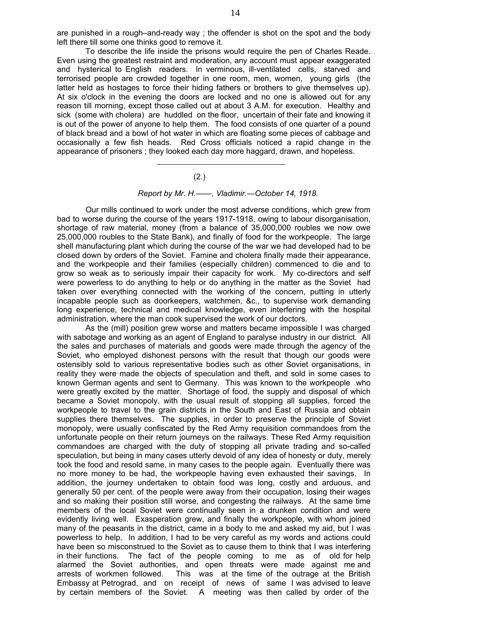To describe the life inside the prisons would require the pen of Charles Reade. Even using the greatest restraint and moderation, any account must appear exaggerated and hysterical to English readers. In verminous, ill-ventilated cells, starved and terrorised people are crowded together in one room, men, women, young girls (the latter held as hostages to force their hiding fathers or brothers to give themselves up). At six o'clock in the evening the doors are locked and no one is allowed out for any reason till morning, except those called out at about 3 A.M. for execution. Healthy and sick (some with cholera) are huddled on the floor, uncertain of their fate and knowing it is out of the power of anyone to help them. The food consists of one quarter of a pound of black bread and a bowl of hot water in which are floating some pieces of cabbage and occasionally a few fish heads. Red Cross officials noticed a rapid change in the appearance of prisoners ; they looked each day more haggard, drawn, and hopeless.

(2.)

#### *Report by Mr. H.——, Vladimir.―October 14, 1918.*

 Our mills continued to work under the most adverse conditions, which grew from bad to worse during the course of the years 1917-1918, owing to labour disorganisation, shortage of raw material, money (from a balance of 35,000,000 roubles we now owe 25,000,000 roubles to the State Bank), and finally of food for the workpeople. The large shell manufacturing plant which during the course of the war we had developed had to be closed down by orders of the Soviet. Famine and cholera finally made their appearance, and the workpeople and their families (especially children) commenced to die and to grow so weak as to seriously impair their capacity for work. My co-directors and self were powerless to do anything to help or do anything in the matter as the Soviet had taken over everything connected with the working of the concern, putting in utterly incapable people such as doorkeepers, watchmen, &c., to supervise work demanding long experience, technical and medical knowledge, even interfering with the hospital administration, where the man cook supervised the work of our doctors.

 As the (mill) position grew worse and matters became impossible I was charged with sabotage and working as an agent of England to paralyse industry in our district. All the sales and purchases of materials and goods were made through the agency of the Soviet, who employed dishonest persons with the result that though our goods were ostensibly sold to various representative bodies such as other Soviet organisations, in reality they were made the objects of speculation and theft, and sold in some cases to known German agents and sent to Germany. This was known to the workpeople who were greatly excited by the matter. Shortage of food, the supply and disposal of which became a Soviet monopoly, with the usual result of stopping all supplies, forced the workpeople to travel to the grain districts in the South and East of Russia and obtain supplies there themselves. The supplies, in order to preserve the principle of Soviet monopoly, were usually confiscated by the Red Army requisition commandoes from the unfortunate people on their return journeys on the railways. These Red Army requisition commandoes are charged with the duty of stopping all private trading and so-called speculation, but being in many cases utterly devoid of any idea of honesty or duty, merely took the food and resold same, in many cases to the people again. Eventually there was no more money to be had, the workpeople having even exhausted their savings. In addition, the journey undertaken to obtain food was long, costly and arduous, and generally 50 per cent. of the people were away from their occupation, losing their wages and so making their position still worse, and congesting the railways. At the same time members of the local Soviet were continually seen in a drunken condition and were evidently living well. Exasperation grew, and finally the workpeople, with whom joined many of the peasants in the district, came in a body to me and asked my aid, but I was powerless to help. In addition, I had to be very careful as my words and actions could have been so misconstrued to the Soviet as to cause them to think that I was interfering in their functions. The fact of the people coming to me as of old for help alarmed the Soviet authorities, and open threats were made against me and arrests of workmen followed. This was at the time of the outrage at the British Embassy at Petrograd, and on receipt of news of same I was advised to leave by certain members of the Soviet. A meeting was then called by order of the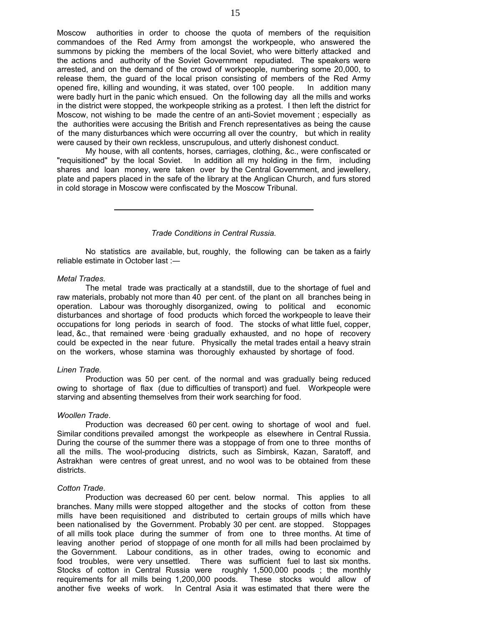Moscow authorities in order to choose the quota of members of the requisition commandoes of the Red Army from amongst the workpeople, who answered the summons by picking the members of the local Soviet, who were bitterly attacked and the actions and authority of the Soviet Government repudiated. The speakers were arrested, and on the demand of the crowd of workpeople, numbering some 20,000, to release them, the guard of the local prison consisting of members of the Red Army opened fire, killing and wounding, it was stated, over 100 people. In addition many were badly hurt in the panic which ensued. On the following day all the mills and works in the district were stopped, the workpeople striking as a protest. I then left the district for Moscow, not wishing to be made the centre of an anti-Soviet movement ; especially as the authorities were accusing the British and French representatives as being the cause of the many disturbances which were occurring all over the country, but which in reality were caused by their own reckless, unscrupulous, and utterly dishonest conduct.

 My house, with all contents, horses, carriages, clothing, &c., were confiscated or "requisitioned" by the local Soviet. In addition all my holding in the firm, including shares and loan money, were taken over by the Central Government, and jewellery, plate and papers placed in the safe of the library at the Anglican Church, and furs stored in cold storage in Moscow were confiscated by the Moscow Tribunal.

*Trade Conditions in Central Russia.* 

 No statistics are available, but, roughly, the following can be taken as a fairly reliable estimate in October last :―

#### *Metal Trades.*

 The metal trade was practically at a standstill, due to the shortage of fuel and raw materials, probably not more than 40 per cent. of the plant on all branches being in operation. Labour was thoroughly disorganized, owing to political and economic disturbances and shortage of food products which forced the workpeople to leave their occupations for long periods in search of food. The stocks of what little fuel, copper, lead, &c., that remained were ·being gradually exhausted, and no hope of recovery could be expected in the near future. Physically the metal trades entail a heavy strain on the workers, whose stamina was thoroughly exhausted by shortage of food.

#### *Linen Trade.*

 Production was 50 per cent. of the normal and was gradually being reduced owing to shortage of flax (due to difficulties of transport) and fuel. Workpeople were starving and absenting themselves from their work searching for food.

#### *Woollen Trade*.

 Production was decreased 60 per cent. owing to shortage of wool and fuel. Similar conditions prevailed amongst the workpeople as elsewhere in Central Russia. During the course of the summer there was a stoppage of from one to three months of all the mills. The wool-producing districts, such as Simbirsk, Kazan, Saratoff, and Astrakhan were centres of great unrest, and no wool was to be obtained from these districts.

#### *Cotton Trade.*

 Production was decreased 60 per cent. below normal. This applies to all branches. Many mills were stopped altogether and the stocks of cotton from these mills have been requisitioned and distributed to certain groups of mills which have been nationalised by the Government. Probably 30 per cent. are stopped. Stoppages of all mills took place during the summer of from one to three months. At time of leaving another period of stoppage of one month for all mills had been proclaimed by the Government. Labour conditions, as in other trades, owing to economic and food troubles, were very unsettled. There was sufficient fuel to last six months. Stocks of cotton in Central Russia were roughly 1,500,000 poods ; the monthly requirements for all mills being 1,200,000 poods. These stocks would allow of another five weeks of work. In Central Asia it was estimated that there were the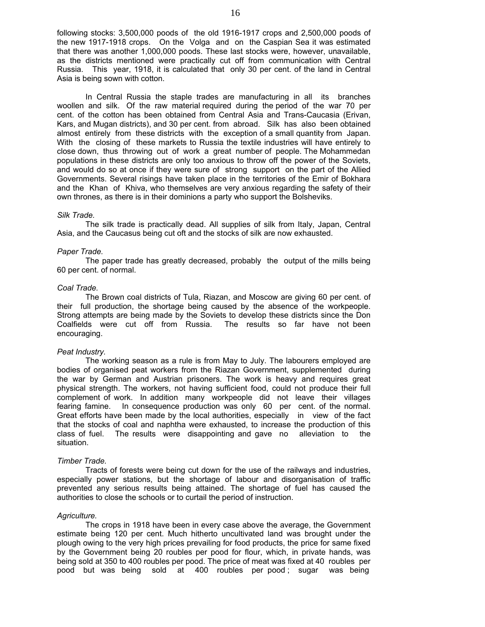following stocks: 3,500,000 poods of the old 1916-1917 crops and 2,500,000 poods of the new 1917-1918 crops. On the Volga and on the Caspian Sea it was estimated that there was another 1,000,000 poods. These last stocks were, however, unavailable, as the districts mentioned were practically cut off from communication with Central Russia. This year, 1918, it is calculated that only 30 per cent. of the land in Central Asia is being sown with cotton.

 In Central Russia the staple trades are manufacturing in all its branches woollen and silk. Of the raw material required during the period of the war 70 per cent. of the cotton has been obtained from Central Asia and Trans-Caucasia (Erivan, Kars, and Mugan districts), and 30 per cent. from abroad. Silk has also been obtained almost entirely from these districts with the exception of a small quantity from Japan. With the closing of these markets to Russia the textile industries will have entirely to close down, thus throwing out of work a great number of people. The Mohammedan populations in these districts are only too anxious to throw off the power of the Soviets, and would do so at once if they were sure of strong support on the part of the Allied Governments. Several risings have taken place in the territories of the Emir of Bokhara and the Khan of Khiva, who themselves are very anxious regarding the safety of their own thrones, as there is in their dominions a party who support the Bolsheviks.

#### *Silk Trade.*

 The silk trade is practically dead. All supplies of silk from Italy, Japan, Central Asia, and the Caucasus being cut oft and the stocks of silk are now exhausted.

#### *Paper Trade.*

 The paper trade has greatly decreased, probably the output of the mills being 60 per cent. of normal.

#### *Coal Trade.*

 The Brown coal districts of Tula, Riazan, and Moscow are giving 60 per cent. of their full production, the shortage being caused by the absence of the workpeople. Strong attempts are being made by the Soviets to develop these districts since the Don Coalfields were cut off from Russia. The results so far have not been encouraging.

#### *Peat Industry.*

 The working season as a rule is from May to July. The labourers employed are bodies of organised peat workers from the Riazan Government, supplemented during the war by German and Austrian prisoners. The work is heavy and requires great physical strength. The workers, not having sufficient food, could not produce their full complement of work. In addition many workpeople did not leave their villages fearing famine. In consequence production was only 60 per cent. of the normal. Great efforts have been made by the local authorities, especially in view of the fact that the stocks of coal and naphtha were exhausted, to increase the production of this class of fuel. The results were disappointing and gave no alleviation to the situation.

#### *Timber Trade.*

 Tracts of forests were being cut down for the use of the railways and industries, especially power stations, but the shortage of labour and disorganisation of traffic prevented any serious results being attained. The shortage of fuel has caused the authorities to close the schools or to curtail the period of instruction.

#### *Agriculture.*

 The crops in 1918 have been in every case above the average, the Government estimate being 120 per cent. Much hitherto uncultivated land was brought under the plough owing to the very high prices prevailing for food products, the price for same fixed by the Government being 20 roubles per pood for flour, which, in private hands, was being sold at 350 to 400 roubles per pood. The price of meat was fixed at 40 roubles per pood but was being sold at 400 roubles per pood ; sugar was being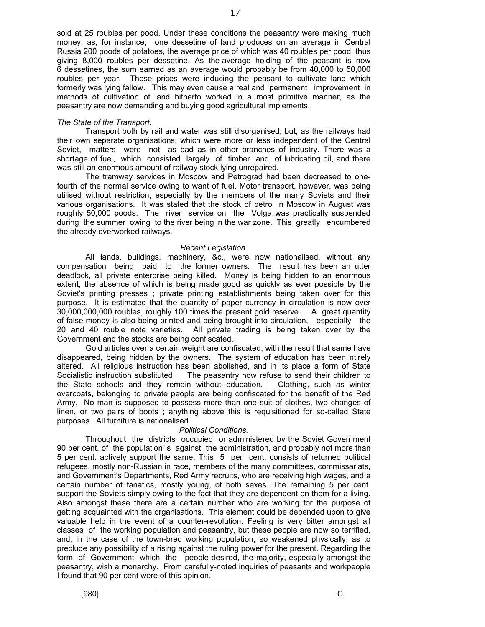sold at 25 roubles per pood. Under these conditions the peasantry were making much money, as, for instance, one dessetine of land produces on an average in Central Russia 200 poods of potatoes, the average price of which was 40 roubles per pood, thus giving 8,000 roubles per dessetine. As the average holding of the peasant is now 6 dessetines, the sum earned as an average would probably be from 40,000 to 50,000 roubles per year. These prices were inducing the peasant to cultivate land which formerly was lying fallow. This may even cause a real and permanent improvement in methods of cultivation of land hitherto worked in a most primitive manner, as the peasantry are now demanding and buying good agricultural implements.

#### *The State of the Transport.*

Transport both by rail and water was still disorganised, but, as the railways had their own separate organisations, which were more or less independent of the Central Soviet, matters were not as bad as in other branches of industry. There was a shortage of fuel, which consisted largely of timber and of lubricating oil, and there was still an enormous amount of railway stock lying unrepaired.

 The tramway services in Moscow and Petrograd had been decreased to onefourth of the normal service owing to want of fuel. Motor transport, however, was being utilised without restriction, especially by the members of the many Soviets and their various organisations. It was stated that the stock of petrol in Moscow in August was roughly 50,000 poods. The river service on the Volga was practically suspended during the summer owing to the river being in the war zone. This greatly encumbered the already overworked railways.

#### *Recent Legislation.*

 All lands, buildings, machinery, &c., were now nationalised, without any compensation being paid to the former owners. The result has been an utter deadlock, all private enterprise being killed. Money is being hidden to an enormous extent, the absence of which is being made good as quickly as ever possible by the Soviet's printing presses ; private printing establishments being taken over for this purpose. It is estimated that the quantity of paper currency in circulation is now over 30,000,000,000 roubles, roughly 100 times the present gold reserve. A great quantity of false money is also being printed and being brought into circulation, especially the 20 and 40 rouble note varieties. All private trading is being taken over by the Government and the stocks are being confiscated.

 Gold articles over a certain weight are confiscated, with the result that same have disappeared, being hidden by the owners. The system of education has been ntirely altered. All religious instruction has been abolished, and in its place a form of State Socialistic instruction substituted. The peasantry now refuse to send their children to the State schools and they remain without education. Clothing, such as winter overcoats, belonging to private people are being confiscated for the benefit of the Red Army. No man is supposed to possess more than one suit of clothes, two changes of linen, or two pairs of boots ; anything above this is requisitioned for so-called State purposes. All furniture is nationalised.

#### *Political Conditions.*

 Throughout the districts occupied or administered by the Soviet Government 90 per cent. of the population is against the administration, and probably not more than 5 per cent. actively support the same. This 5 per cent. consists of returned political refugees, mostly non-Russian in race, members of the many committees, commissariats, and Government's Departments, Red Army recruits, who are receiving high wages, and a certain number of fanatics, mostly young, of both sexes. The remaining 5 per cent. support the Soviets simply owing to the fact that they are dependent on them for a living. Also amongst these there are a certain number who are working for the purpose of getting acquainted with the organisations. This element could be depended upon to give valuable help in the event of a counter-revolution. Feeling is very bitter amongst all classes of the working population and peasantry, but these people are now so terrified, and, in the case of the town-bred working population, so weakened physically, as to preclude any possibility of a rising against the ruling power for the present. Regarding the form of Government which the people desired, the majority, especially amongst the peasantry, wish a monarchy. From carefully-noted inquiries of peasants and workpeople I found that 90 per cent were of this opinion.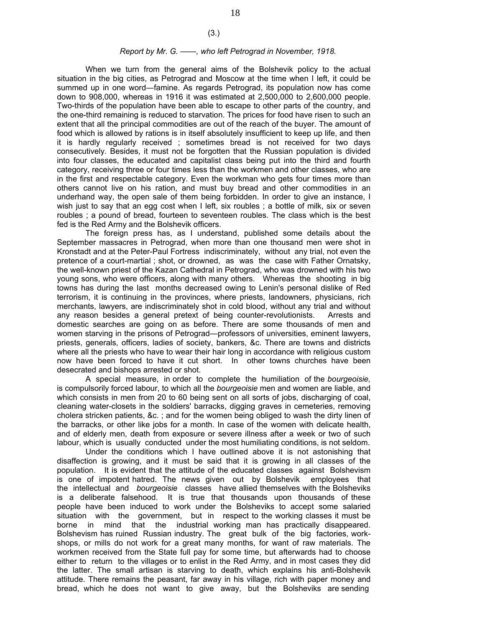#### *Report by Mr. G. ——, who left Petrograd in November, 1918.*

(3.)

 When we turn from the general aims of the Bolshevik policy to the actual situation in the big cities, as Petrograd and Moscow at the time when I left, it could be summed up in one word―famine. As regards Petrograd, its population now has come down to 908,000, whereas in 1916 it was estimated at 2,500,000 to 2,600,000 people. Two-thirds of the population have been able to escape to other parts of the country, and the one-third remaining is reduced to starvation. The prices for food have risen to such an extent that all the principal commodities are out of the reach of the buyer. The amount of food which is allowed by rations is in itself absolutely insufficient to keep up life, and then it is hardly regularly received ; sometimes bread is not received for two days consecutively. Besides, it must not be forgotten that the Russian population is divided into four classes, the educated and capitalist class being put into the third and fourth category, receiving three or four times less than the workmen and other classes, who are in the first and respectable category. Even the workman who gets four times more than others cannot live on his ration, and must buy bread and other commodities in an underhand way, the open sale of them being forbidden. In order to give an instance, I wish just to say that an egg cost when I left, six roubles ; a bottle of milk, six or seven roubles ; a pound of bread, fourteen to seventeen roubles. The class which is the best fed is the Red Army and the Bolshevik officers.

 The foreign press has, as I understand, published some details about the September massacres in Petrograd, when more than one thousand men were shot in Kronstadt and at the Peter-Paul Fortress indiscriminately, without any trial, not even the pretence of a court-martial ; shot, or drowned, as was the case with Father Ornatsky, the well-known priest of the Kazan Cathedral in Petrograd, who was drowned with his two young sons, who were officers, along with many others. Whereas the shooting in big towns has during the last months decreased owing to Lenin's personal dislike of Red terrorism, it is continuing in the provinces, where priests, landowners, physicians, rich merchants, lawyers, are indiscriminately shot in cold blood, without any trial and without any reason besides a general pretext of being counter-revolutionists. Arrests and domestic searches are going on as before. There are some thousands of men and women starving in the prisons of Petrograd—professors of universities, eminent lawyers, priests, generals, officers, ladies of society, bankers, &c. There are towns and districts where all the priests who have to wear their hair long in accordance with religious custom now have been forced to have it cut short. In other towns churches have been desecrated and bishops arrested or shot.

 A special measure, in order to complete the humiliation of the *bourgeoisie,*  is compulsorily forced labour, to which all the *bourgeoisie* men and women are liable, and which consists in men from 20 to 60 being sent on all sorts of jobs, discharging of coal. cleaning water-closets in the soldiers' barracks, digging graves in cemeteries, removing cholera stricken patients, &c. ; and for the women being obliged to wash the dirty linen of the barracks, or other like jobs for a month. In case of the women with delicate health, and of elderly men, death from exposure or severe illness after a week or two of such labour, which is usually conducted under the most humiliating conditions, is not seldom.

 Under the conditions which I have outlined above it is not astonishing that disaffection is growing, and it must be said that it is growing in all classes of the population. It is evident that the attitude of the educated classes against Bolshevism is one of impotent hatred. The news given out by Bolshevik employees that the intellectual and *bourgeoisie* classes have allied themselves with the Bolsheviks is a deliberate falsehood. It is true that thousands upon thousands of these people have been induced to work under the Bolsheviks to accept some salaried situation with the government, but in respect to the working classes it must be borne in mind that the industrial working man has practically disappeared. Bolshevism has ruined Russian industry. The great bulk of the big factories, workshops, or mills do not work for a great many months, for want of raw materials. The workmen received from the State full pay for some time, but afterwards had to choose either to return to the villages or to enlist in the Red Army, and in most cases they did the latter. The small artisan is starving to death, which explains his anti-Bolshevik attitude. There remains the peasant, far away in his village, rich with paper money and bread, which he does not want to give away, but the Bolsheviks are sending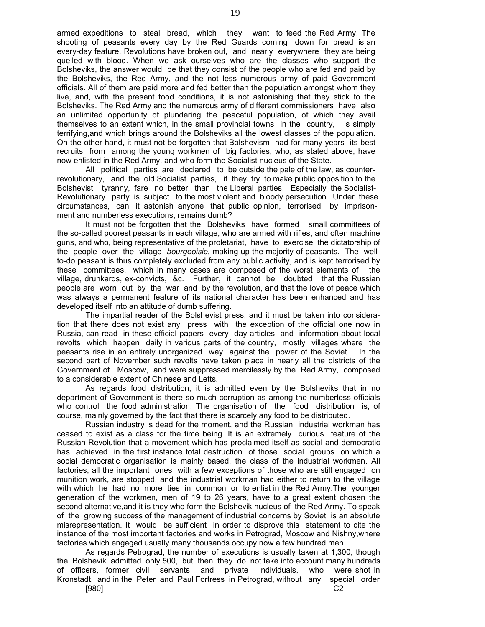armed expeditions to steal bread, which they want to feed the Red Army. The shooting of peasants every day by the Red Guards coming down for bread is an every-day feature. Revolutions have broken out, and nearly everywhere they are being quelled with blood. When we ask ourselves who are the classes who support the Bolsheviks, the answer would be that they consist of the people who are fed and paid by the Bolsheviks, the Red Army, and the not less numerous army of paid Government officials. All of them are paid more and fed better than the population amongst whom they live, and, with the present food conditions, it is not astonishing that they stick to the Bolsheviks. The Red Army and the numerous army of different commissioners have also an unlimited opportunity of plundering the peaceful population, of which they avail themselves to an extent which, in the small provincial towns in the country, is simply terrifying,and which brings around the Bolsheviks all the lowest classes of the population. On the other hand, it must not be forgotten that Bolshevism had for many years its best recruits from among the young workmen of big factories, who, as stated above, have now enlisted in the Red Army, and who form the Socialist nucleus of the State.

 All political parties are declared to be outside the pale of the law, as counterrevolutionary, and the old Socialist parties, if they try to make public opposition to the Bolshevist tyranny, fare no better than the Liberal parties. Especially the Socialist-Revolutionary party is subject to the most violent and bloody persecution. Under these circumstances, can it astonish anyone that public opinion, terrorised by imprisonment and numberless executions, remains dumb?

 It must not be forgotten that the Bolsheviks have formed small committees of the so-called poorest peasants in each village, who are armed with rifles, and often machine guns, and who, being representative of the proletariat, have to exercise the dictatorship of the people over the village *bourgeoisie,* making up the majority of peasants. The wellto-do peasant is thus completely excluded from any public activity, and is kept terrorised by these committees, which in many cases are composed of the worst elements of the village, drunkards, ex-convicts, &c. Further, it cannot be doubted that the Russian people are worn out by the war and by the revolution, and that the love of peace which was always a permanent feature of its national character has been enhanced and has developed itself into an attitude of dumb suffering.

 The impartial reader of the Bolshevist press, and it must be taken into consideration that there does not exist any press with the exception of the official one now in Russia, can read in these official papers every day articles and information about local revolts which happen daily in various parts of the country, mostly villages where the peasants rise in an entirely unorganized way against the power of the Soviet. In the second part of November such revolts have taken place in nearly all the districts of the Government of Moscow, and were suppressed mercilessly by the Red Army, composed to a considerable extent of Chinese and Letts.

 As regards food distribution, it is admitted even by the Bolsheviks that in no department of Government is there so much corruption as among the numberless officials who control the food administration. The organisation of the food distribution is, of course, mainly governed by the fact that there is scarcely any food to be distributed.

 Russian industry is dead for the moment, and the Russian industrial workman has ceased to exist as a class for the time being. It is an extremely curious feature of the Russian Revolution that a movement which has proclaimed itself as social and democratic has achieved in the first instance total destruction of those social groups on which a social democratic organisation is mainly based, the class of the industrial workmen. All factories, all the important ones with a few exceptions of those who are still engaged on munition work, are stopped, and the industrial workman had either to return to the village with which he had no more ties in common or to enlist in the Red Army.The younger generation of the workmen, men of 19 to 26 years, have to a great extent chosen the second alternative,and it is they who form the Bolshevik nucleus of the Red Army. To speak of the growing success of the management of industrial concerns by Soviet is an absolute misrepresentation. It would be sufficient in order to disprove this statement to cite the instance of the most important factories and works in Petrograd, Moscow and Nishny,where factories which engaged usually many thousands occupy now a few hundred men.

 As regards Petrograd, the number of executions is usually taken at 1,300, though the Bolshevik admitted only 500, but then they do not take into account many hundreds of officers, former civil servants and private individuals, who were shot in Kronstadt, and in the Peter and Paul Fortress in Petrograd, without any special order [980] C2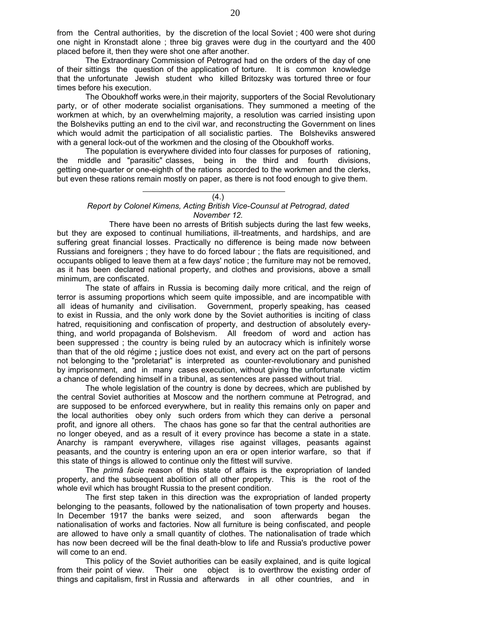from the Central authorities, by the discretion of the local Soviet ; 400 were shot during one night in Kronstadt alone ; three big graves were dug in the courtyard and the 400 placed before it, then they were shot one after another.

 The Extraordinary Commission of Petrograd had on the orders of the day of one of their sittings the question of the application of torture. It is common knowledge that the unfortunate Jewish student who killed Britozsky was tortured three or four times before his execution.

 The Oboukhoff works were,in their majority, supporters of the Social Revolutionary party, or of other moderate socialist organisations. They summoned a meeting of the workmen at which, by an overwhelming majority, a resolution was carried insisting upon the Bolsheviks putting an end to the civil war, and reconstructing the Government on lines which would admit the participation of all socialistic parties. The Bolsheviks answered with a general lock-out of the workmen and the closing of the Oboukhoff works.

 The population is everywhere divided into four classes for purposes of rationing, the middle and "parasitic" classes, being in the third and fourth divisions, getting one-quarter or one-eighth of the rations accorded to the workmen and the clerks, but even these rations remain mostly on paper, as there is not food enough to give them.

#### $(4.)$

#### *Report by Colonel Kimens, Acting British Vice-Counsul at Petrograd, dated November 12.*

 There have been no arrests of British subjects during the last few weeks, but they are exposed to continual humiliations, ill-treatments, and hardships, and are suffering great financial losses. Practically no difference is being made now between Russians and foreigners ; they have to do forced labour ; the flats are requisitioned, and occupants obliged to leave them at a few days' notice ; the furniture may not be removed, as it has been declared national property, and clothes and provisions, above a small minimum, are confiscated.

 The state of affairs in Russia is becoming daily more critical, and the reign of terror is assuming proportions which seem quite impossible, and are incompatible with all ideas of humanity and civilisation. Government, properly speaking, has ceased to exist in Russia, and the only work done by the Soviet authorities is inciting of class hatred, requisitioning and confiscation of property, and destruction of absolutely everything, and world propaganda of Bolshevism. All freedom of word and action has been suppressed ; the country is being ruled by an autocracy which is infinitely worse than that of the old régime **;** justice does not exist, and every act on the part of persons not belonging to the "proletariat" is interpreted as counter-revolutionary and punished by imprisonment, and in many cases execution, without giving the unfortunate victim a chance of defending himself in a tribunal, as sentences are passed without trial.

 The whole legislation of the country is done by decrees, which are published by the central Soviet authorities at Moscow and the northern commune at Petrograd, and are supposed to be enforced everywhere, but in reality this remains only on paper and the local authorities obey only such orders from which they can derive a personal profit, and ignore all others. The chaos has gone so far that the central authorities are no longer obeyed, and as a result of it every province has become a state in a state. Anarchy is rampant everywhere, villages rise against villages, peasants against peasants, and the country is entering upon an era or open interior warfare, so that if this state of things is allowed to continue only the fittest will survive.

 The *primâ facie* reason of this state of affairs is the expropriation of landed property, and the subsequent abolition of all other property. This is the root of the whole evil which has brought Russia to the present condition.

 The first step taken in this direction was the expropriation of landed property belonging to the peasants, followed by the nationalisation of town property and houses. In December 1917 the banks were seized, and soon afterwards began the nationalisation of works and factories. Now all furniture is being confiscated, and people are allowed to have only a small quantity of clothes. The nationalisation of trade which has now been decreed will be the final death-blow to life and Russia's productive power will come to an end.

 This policy of the Soviet authorities can be easily explained, and is quite logical from their point of view. Their one object is to overthrow the existing order of things and capitalism, first in Russia and afterwards in all other countries, and in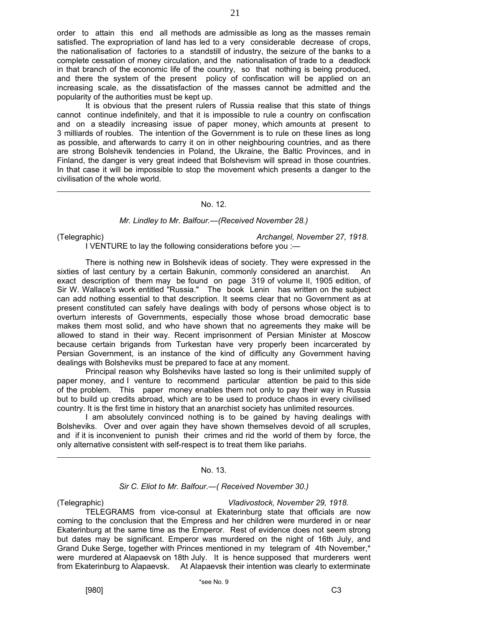order to attain this end all methods are admissible as long as the masses remain satisfied. The expropriation of land has led to a very considerable decrease of crops, the nationalisation of factories to a standstill of industry, the seizure of the banks to a complete cessation of money circulation, and the nationalisation of trade to a deadlock in that branch of the economic life of the country, so that nothing is being produced, and there the system of the present policy of confiscation will be applied on an increasing scale, as the dissatisfaction of the masses cannot be admitted and the

popularity of the authorities must be kept up. It is obvious that the present rulers of Russia realise that this state of things cannot continue indefinitely, and that it is impossible to rule a country on confiscation and on a steadily increasing issue of paper money, which amounts at present to 3 milliards of roubles. The intention of the Government is to rule on these lines as long as possible, and afterwards to carry it on in other neighbouring countries, and as there are strong Bolshevik tendencies in Poland, the Ukraine, the Baltic Provinces, and in Finland, the danger is very great indeed that Bolshevism will spread in those countries. In that case it will be impossible to stop the movement which presents a danger to the civilisation of the whole world.

#### No. 12.

#### *Mr. Lindley to Mr. Balfour.—(Received November 28.)*

(Telegraphic) *Archangel, November 27, 1918.*

I VENTURE to lay the following considerations before you :—

 There is nothing new in Bolshevik ideas of society. They were expressed in the sixties of last century by a certain Bakunin, commonly considered an anarchist. An exact description of them may be found on page 319 of volume II, 1905 edition, of Sir W. Wallace's work entitled "Russia." The book Lenin has written on the subject can add nothing essential to that description. It seems clear that no Government as at present constituted can safely have dealings with body of persons whose object is to overturn interests of Governments, especially those whose broad democratic base makes them most solid, and who have shown that no agreements they make will be allowed to stand in their way. Recent imprisonment of Persian Minister at Moscow because certain brigands from Turkestan have very properly been incarcerated by Persian Government, is an instance of the kind of difficulty any Government having dealings with Bolsheviks must be prepared to face at any moment.

 Principal reason why Bolsheviks have lasted so long is their unlimited supply of paper money, and I venture to recommend particular attention be paid to this side of the problem. This paper money enables them not only to pay their way in Russia but to build up credits abroad, which are to be used to produce chaos in every civilised country. It is the first time in history that an anarchist society has unlimited resources.

 I am absolutely convinced nothing is to be gained by having dealings with Bolsheviks. Over and over again they have shown themselves devoid of all scruples, and if it is inconvenient to punish their crimes and rid the world of them by force, the only alternative consistent with self-respect is to treat them like pariahs.

#### No. 13.

#### *Sir C. Eliot to Mr. Balfour.*―*( Received November 30.)*

#### (Telegraphic) *Vladivostock, November 29, 1918.*

 TELEGRAMS from vice-consul at Ekaterinburg state that officials are now coming to the conclusion that the Empress and her children were murdered in or near Ekaterinburg at the same time as the Emperor. Rest of evidence does not seem strong but dates may be significant. Emperor was murdered on the night of 16th July, and Grand Duke Serge, together with Princes mentioned in my telegram of 4th November,\* were murdered at Alapaevsk on 18th July. It is hence supposed that murderers went from Ekaterinburg to Alapaevsk. At Alapaevsk their intention was clearly to exterminate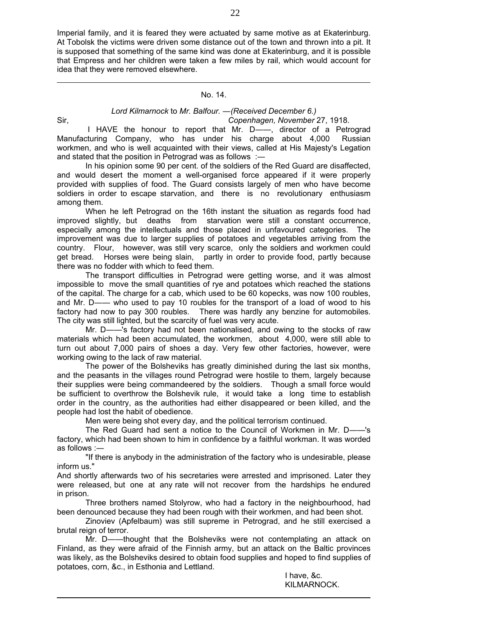Imperial family, and it is feared they were actuated by same motive as at Ekaterinburg. At Tobolsk the victims were driven some distance out of the town and thrown into a pit. It is supposed that something of the same kind was done at Ekaterinburg, and it is possible that Empress and her children were taken a few miles by rail, which would account for idea that they were removed elsewhere.

#### No. 14.

#### *Lord Kilmarnock* to *Mr. Balfour.* ―*(Received December 6.)*

#### Sir, *Copenhagen, November* 27, 1918.

 I HAVE the honour to report that Mr. D―—, director of a Petrograd Manufacturing Company, who has under his charge about 4,000 Russian workmen, and who is well acquainted with their views, called at His Majesty's Legation and stated that the position in Petrograd was as follows :-

 In his opinion some 90 per cent. of the soldiers of the Red Guard are disaffected, and would desert the moment a well-organised force appeared if it were properly provided with supplies of food. The Guard consists largely of men who have become soldiers in order to escape starvation, and there is no revolutionary enthusiasm among them.

 When he left Petrograd on the 16th instant the situation as regards food had improved slightly, but deaths from starvation were still a constant occurrence, especially among the intellectuals and those placed in unfavoured categories. The improvement was due to larger supplies of potatoes and vegetables arriving from the country. Flour, however, was still very scarce, only the soldiers and workmen could get bread. Horses were being slain, partly in order to provide food, partly because there was no fodder with which to feed them.

 The transport difficulties in Petrograd were getting worse, and it was almost impossible to move the small quantities of rye and potatoes which reached the stations of the capital. The charge for a cab, which used to be 60 kopecks, was now 100 roubles, and Mr. D―— who used to pay 10 roubles for the transport of a load of wood to his factory had now to pay 300 roubles. There was hardly any benzine for automobiles. The city was still lighted, but the scarcity of fuel was very acute.

 Mr. D―—'s factory had not been nationalised, and owing to the stocks of raw materials which had been accumulated, the workmen, about 4,000, were still able to turn out about 7,000 pairs of shoes a day. Very few other factories, however, were working owing to the lack of raw material.

 The power of the Bolsheviks has greatly diminished during the last six months, and the peasants in the villages round Petrograd were hostile to them, largely because their supplies were being commandeered by the soldiers. Though a small force would be sufficient to overthrow the Bolshevik rule, it would take a long time to establish order in the country, as the authorities had either disappeared or been killed, and the people had lost the habit of obedience.

Men were being shot every day, and the political terrorism continued.

The Red Guard had sent a notice to the Council of Workmen in Mr. Dfactory, which had been shown to him in confidence by a faithful workman. It was worded as follows :―

 "If there is anybody in the administration of the factory who is undesirable, please inform us."

And shortly afterwards two of his secretaries were arrested and imprisoned. Later they were released, but one at any rate will not recover from the hardships he endured in prison.

 Three brothers named Stolyrow, who had a factory in the neighbourhood, had been denounced because they had been rough with their workmen, and had been shot.

 Zinoviev (Apfelbaum) was still supreme in Petrograd, and he still exercised a brutal reign of terror.

 Mr. D―—thought that the Bolsheviks were not contemplating an attack on Finland, as they were afraid of the Finnish army, but an attack on the Baltic provinces was likely, as the Bolsheviks desired to obtain food supplies and hoped to find supplies of potatoes, corn, &c., in Esthonia and Lettland.

 I have, &c. KILMARNOCK.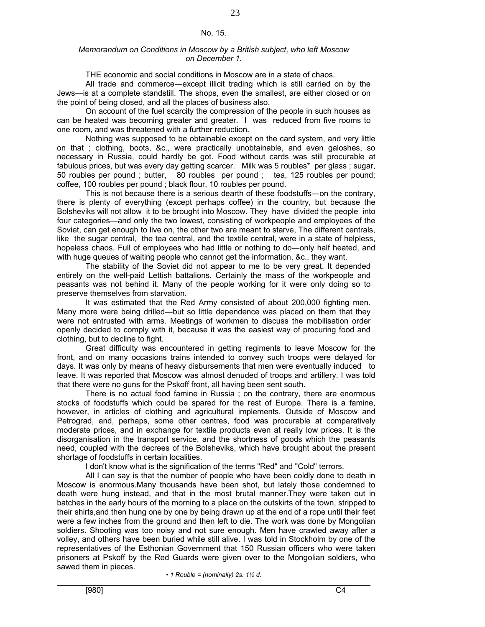#### No. 15.

#### *Memorandum on Conditions in Moscow by a British subject, who left Moscow on December 1.*

THE economic and social conditions in Moscow are in a state of chaos.

 All trade and commerce―except illicit trading which is still carried on by the Jews―is at a complete standstill. The shops, even the smallest, are either closed or on the point of being closed, and all the places of business also.

 On account of the fuel scarcity the compression of the people in such houses as can be heated was becoming greater and greater. I was reduced from five rooms to one room, and was threatened with a further reduction.

 Nothing was supposed to be obtainable except on the card system, and very little on that ; clothing, boots, &c., were practically unobtainable, and even galoshes, so necessary in Russia, could hardly be got. Food without cards was still procurable at fabulous prices, but was every day getting scarcer. Milk was 5 roubles\* per glass ; sugar, 50 roubles per pound ; butter, 80 roubles per pound ; tea, 125 roubles per pound; coffee, 100 roubles per pound ; black flour, 10 roubles per pound.

 This is not because there is a serious dearth of these foodstuffs―on the contrary, there is plenty of everything (except perhaps coffee) in the country, but because the Bolsheviks will not allow it to be brought into Moscow. They have divided the people into four categories―and only the two lowest, consisting of workpeople and employees of the Soviet, can get enough to live on, the other two are meant to starve, The different centrals, like the sugar central, the tea central, and the textile central, were in a state of helpless, hopeless chaos. Full of employees who had little or nothing to do—only half heated, and with huge queues of waiting people who cannot get the information, &c., they want.

 The stability of the Soviet did not appear to me to be very great. It depended entirely on the well-paid Lettish battalions. Certainly the mass of the workpeople and peasants was not behind it. Many of the people working for it were only doing so to preserve themselves from starvation.

 It was estimated that the Red Army consisted of about 200,000 fighting men. Many more were being drilled―but so little dependence was placed on them that they were not entrusted with arms. Meetings of workmen to discuss the mobilisation order openly decided to comply with it, because it was the easiest way of procuring food and clothing, but to decline to fight.

 Great difficulty was encountered in getting regiments to leave Moscow for the front, and on many occasions trains intended to convey such troops were delayed for days. It was only by means of heavy disbursements that men were eventually induced to leave. It was reported that Moscow was almost denuded of troops and artillery. I was told that there were no guns for the Pskoff front, all having been sent south.

 There is no actual food famine in Russia ; on the contrary, there are enormous stocks of foodstuffs which could be spared for the rest of Europe. There is a famine, however, in articles of clothing and agricultural implements. Outside of Moscow and Petrograd, and, perhaps, some other centres, food was procurable at comparatively moderate prices, and in exchange for textile products even at really low prices. It is the disorganisation in the transport service, and the shortness of goods which the peasants need, coupled with the decrees of the Bolsheviks, which have brought about the present shortage of foodstuffs in certain localities.

I don't know what is the signification of the terms "Red" and "Cold" terrors.

 All I can say is that the number of people who have been coldly done to death in Moscow is enormous.Many thousands have been shot, but lately those condemned to death were hung instead, and that in the most brutal manner.They were taken out in batches in the early hours of the morning to a place on the outskirts of the town, stripped to their shirts,and then hung one by one by being drawn up at the end of a rope until their feet were a few inches from the ground and then left to die. The work was done by Mongolian soldiers. Shooting was too noisy and not sure enough. Men have crawled away after a volley, and others have been buried while still alive. I was told in Stockholm by one of the representatives of the Esthonian Government that 150 Russian officers who were taken prisoners at Pskoff by the Red Guards were given over to the Mongolian soldiers, who sawed them in pieces.

*• 1 Rouble = (nominally) 2s. 1½ d.*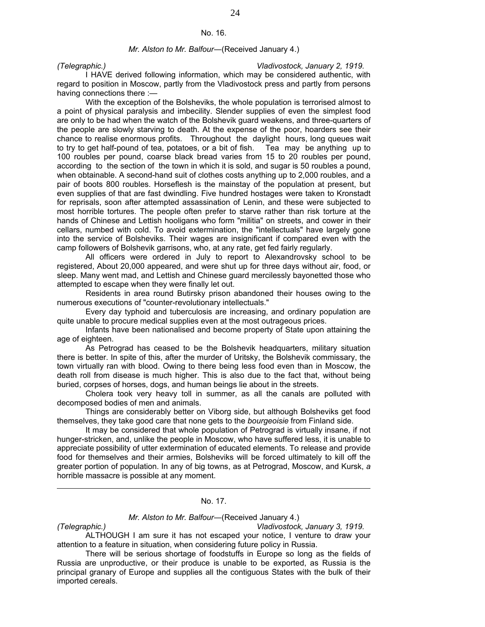#### No. 16.

#### *Mr. Alston to Mr. Balfour*―(Received January 4.)

 $\ddot{\phantom{a}}$ 

*(Telegraphic.) Vladivostock, January 2, 1919.* 

 I HAVE derived following information, which may be considered authentic, with regard to position in Moscow, partly from the Vladivostock press and partly from persons having connections there :—

 With the exception of the Bolsheviks, the whole population is terrorised almost to a point of physical paralysis and imbecility. Slender supplies of even the simplest food are only to be had when the watch of the Bolshevik guard weakens, and three-quarters of the people are slowly starving to death. At the expense of the poor, hoarders see their chance to realise enormous profits. Throughout the daylight hours, long queues wait to try to get half-pound of tea, potatoes, or a bit of fish. Tea may be anything up to 100 roubles per pound, coarse black bread varies from 15 to 20 roubles per pound, according to the section of the town in which it is sold, and sugar is 50 roubles a pound, when obtainable. A second-hand suit of clothes costs anything up to 2,000 roubles, and a pair of boots 800 roubles. Horseflesh is the mainstay of the population at present, but even supplies of that are fast dwindling. Five hundred hostages were taken to Kronstadt for reprisals, soon after attempted assassination of Lenin, and these were subjected to most horrible tortures. The people often prefer to starve rather than risk torture at the hands of Chinese and Lettish hooligans who form "militia" on streets, and cower in their cellars, numbed with cold. To avoid extermination, the "intellectuals" have largely gone into the service of Bolsheviks. Their wages are insignificant if compared even with the camp followers of Bolshevik garrisons, who, at any rate, get fed fairly regularly.

 All officers were ordered in July to report to Alexandrovsky school to be registered, About 20,000 appeared, and were shut up for three days without air, food, or sleep. Many went mad, and Lettish and Chinese guard mercilessly bayonetted those who attempted to escape when they were finally let out.

 Residents in area round Butirsky prison abandoned their houses owing to the numerous executions of "counter-revolutionary intellectuals."

 Every day typhoid and tuberculosis are increasing, and ordinary population are quite unable to procure medical supplies even at the most outrageous prices.

 Infants have been nationalised and become property of State upon attaining the age of eighteen.

 As Petrograd has ceased to be the Bolshevik headquarters, military situation there is better. In spite of this, after the murder of Uritsky, the Bolshevik commissary, the town virtually ran with blood. Owing to there being less food even than in Moscow, the death roll from disease is much higher. This is also due to the fact that, without being buried, corpses of horses, dogs, and human beings lie about in the streets.

 Cholera took very heavy toll in summer, as all the canals are polluted with decomposed bodies of men and animals.

 Things are considerably better on Viborg side, but although Bolsheviks get food themselves, they take good care that none gets to the *bourgeoisie* from Finland side.

 It may be considered that whole population of Petrograd is virtually insane, if not hunger-stricken, and, unlike the people in Moscow, who have suffered less, it is unable to appreciate possibility of utter extermination of educated elements. To release and provide food for themselves and their armies, Bolsheviks will be forced ultimately to kill off the greater portion of population. In any of big towns, as at Petrograd, Moscow, and Kursk, *a*  horrible massacre is possible at any moment.

#### No. 17.

#### *Mr. Alston to Mr. Balfour*―(Received January 4.)

*(Telegraphic.) Vladivostock, January 3, 1919.* 

 ALTHOUGH I am sure it has not escaped your notice, I venture to draw your attention to a feature in situation, when considering future policy in Russia.

 There will be serious shortage of foodstuffs in Europe so long as the fields of Russia are unproductive, or their produce is unable to be exported, as Russia is the principal granary of Europe and supplies all the contiguous States with the bulk of their imported cereals.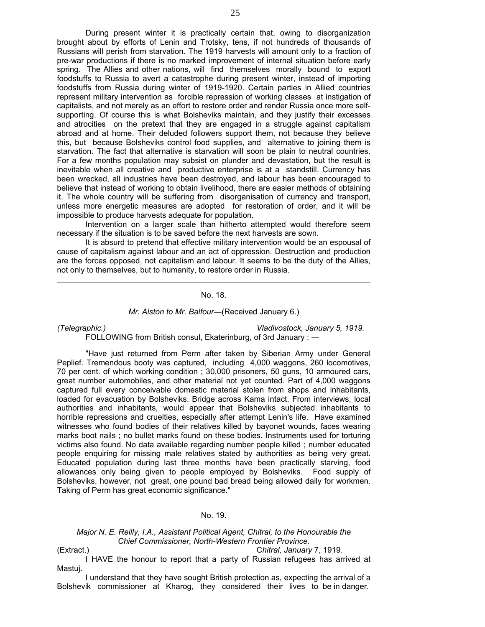During present winter it is practically certain that, owing to disorganization brought about by efforts of Lenin and Trotsky, tens, if not hundreds of thousands of Russians will perish from starvation. The 1919 harvests will amount only to a fraction of pre-war productions if there is no marked improvement of internal situation before early spring. The Allies and other nations, will find themselves morally bound to export foodstuffs to Russia to avert a catastrophe during present winter, instead of importing foodstuffs from Russia during winter of 1919-1920. Certain parties in Allied countries represent military intervention as forcible repression of working classes at instigation of capitalists, and not merely as an effort to restore order and render Russia once more selfsupporting. Of course this is what Bolsheviks maintain, and they justify their excesses and atrocities on the pretext that they are engaged in a struggle against capitalism abroad and at home. Their deluded followers support them, not because they believe this, but because Bolsheviks control food supplies, and alternative to joining them is starvation. The fact that alternative is starvation will soon be plain to neutral countries. For a few months population may subsist on plunder and devastation, but the result is inevitable when all creative and productive enterprise is at a standstill. Currency has been wrecked, all industries have been destroyed, and labour has been encouraged to believe that instead of working to obtain livelihood, there are easier methods of obtaining it. The whole country will be suffering from disorganisation of currency and transport, unless more energetic measures are adopted for restoration of order, and it will be impossible to produce harvests adequate for population.

 Intervention on a larger scale than hitherto attempted would therefore seem necessary if the situation is to be saved before the next harvests are sown.

 It is absurd to pretend that effective military intervention would be an espousal of cause of capitalism against labour and an act of oppression. Destruction and production are the forces opposed, not capitalism and labour. It seems to be the duty of the Allies, not only to themselves, but to humanity, to restore order in Russia.

#### No. 18.

#### *Mr. Alston to Mr. Balfour*―(Received January 6.)

*(Telegraphic.) Vladivostock, January 5, 1919.*  FOLLOWING from British consul, Ekaterinburg, of 3rd January : ―

 "Have just returned from Perm after taken by Siberian Army under General Peplief. Tremendous booty was captured, including 4,000 waggons, 260 locomotives, 70 per cent. of which working condition ; 30,000 prisoners, 50 guns, 10 armoured cars, great number automobiles, and other material not yet counted. Part of 4,000 waggons captured full every conceivable domestic material stolen from shops and inhabitants, loaded for evacuation by Bolsheviks. Bridge across Kama intact. From interviews, local authorities and inhabitants, would appear that Bolsheviks subjected inhabitants to horrible repressions and cruelties, especially after attempt Lenin's life. Have examined witnesses who found bodies of their relatives killed by bayonet wounds, faces wearing marks boot nails ; no bullet marks found on these bodies. Instruments used for torturing victims also found. No data available regarding number people killed ; number educated people enquiring for missing male relatives stated by authorities as being very great. Educated population during last three months have been practically starving, food allowances only being given to people employed by Bolsheviks. Food supply of Bolsheviks, however, not great, one pound bad bread being allowed daily for workmen. Taking of Perm has great economic significance."

#### No. 19.

*Major N. E. Reilly, I.A., Assistant Political Agent, Chitral, to the Honourable the Chief Commissioner, North-Western Frontier Province.* 

(Extract.) C*hitral, January* 7, 1919.

 I HAVE the honour to report that a party of Russian refugees has arrived at Mastuj.

 I understand that they have sought British protection as, expecting the arrival of a Bolshevik commissioner at Kharog, they considered their lives to be in danger.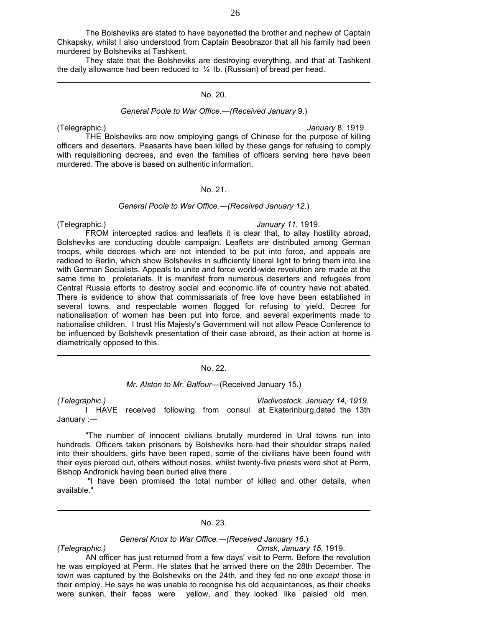The Bolsheviks are stated to have bayonetted the brother and nephew of Captain Chkapsky, whilst I also understood from Captain Besobrazor that all his family had been murdered by Bolsheviks at Tashkent.

 They state that the Bolsheviks are destroying everything, and that at Tashkent the daily allowance had been reduced to  $\frac{1}{4}$  lb. (Russian) of bread per head.

#### No. 20.

#### *General Poole to War Office.*―*(Received January* 9.)

(Telegraphic.) *January* 8, 1919.

 THE Bolsheviks are now employing gangs of Chinese for the purpose of killing officers and deserters. Peasants have been killed by these gangs for refusing to comply with requisitioning decrees, and even the families of officers serving here have been murdered. The above is based on authentic information.

#### No. 21.

#### *General Poole to War Office.*―*(Received January 12*.)

#### (Telegraphic.) *January 11*, 1919.

 FROM intercepted radios and leaflets it is clear that, to allay hostility abroad, Bolsheviks are conducting double campaign. Leaflets are distributed among German troops, while decrees which are not intended to be put into force, and appeals are radioed to Berlin, which show Bolsheviks in sufficiently liberal light to bring them into line with German Socialists. Appeals to unite and force world-wide revolution are made at the same time to proletariats. It is manifest from numerous deserters and refugees from Central Russia efforts to destroy social and economic life of country have not abated. There is evidence to show that commissariats of free love have been established in several towns, and respectable women flogged for refusing to yield. Decree for nationalisation of women has been put into force, and several experiments made to nationalise children. I trust His Majesty's Government will not allow Peace Conference to be influenced by Bolshevik presentation of their case abroad, as their action at home is diametrically opposed to this.

#### No. 22.

#### *Mr. Alston to Mr. Balfour*―(Received January 15.)

*(Telegraphic.) Vladivostock, January 14, 1919.*  I HAVE received following from consul at Ekaterinburg,dated the 13th January :―

 "The number of innocent civilians brutally murdered in Ural towns run into hundreds. Officers taken prisoners by Bolsheviks here had their shoulder straps nailed into their shoulders, girls have been raped, some of the civilians have been found with their eyes pierced out, others without noses, whilst twenty-five priests were shot at Perm, Bishop Andronick having been buried alive there .

 "I have been promised the total number of killed and other details, when available."

#### No. 23.

*General Knox to War Office.*―*(Received January 16*.) *(Telegraphic.) Omsk*, *January 15*, 1919.

 AN officer has just returned from a few days' visit to Perm. Before the revolution he was employed at Perm. He states that he arrived there on the 28th December. The town was captured by the Bolsheviks on the 24th, and they fed no one *except* those in their employ. He says he was unable to recognise his old acquaintances, as their cheeks were sunken, their faces were yellow, and they looked like palsied old men.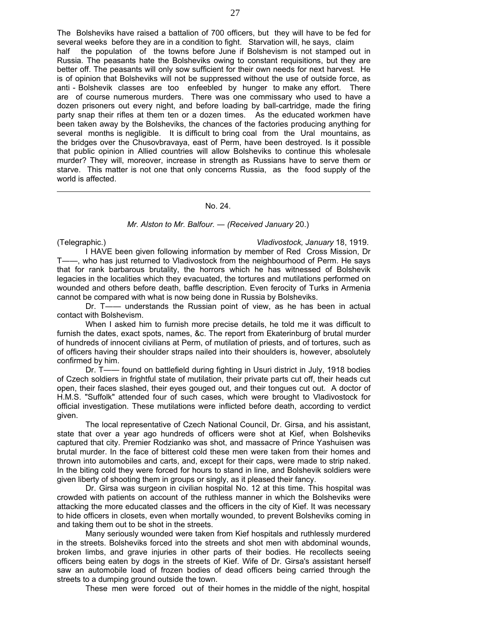The Bolsheviks have raised a battalion of 700 officers, but they will have to be fed for several weeks before they are in a condition to fight. Starvation will, he says, claim half the population of the towns before June if Bolshevism is not stamped out in Russia. The peasants hate the Bolsheviks owing to constant requisitions, but they are better off. The peasants will only sow sufficient for their own needs for next harvest. He is of opinion that Bolsheviks will not be suppressed without the use of outside force, as anti - Bolshevik classes are too enfeebled by hunger to make any effort. There are of course numerous murders. There was one commissary who used to have a dozen prisoners out every night, and before loading by ball-cartridge, made the firing party snap their rifles at them ten or a dozen times. As the educated workmen have been taken away by the Bolsheviks, the chances of the factories producing anything for several months is negligible. It is difficult to bring coal from the Ural mountains, as the bridges over the Chusovbravaya, east of Perm, have been destroyed. Is it possible that public opinion in Allied countries will allow Bolsheviks to continue this wholesale murder? They will, moreover, increase in strength as Russians have to serve them or starve. This matter is not one that only concerns Russia, as the food supply of the world is affected.

#### No. 24.

#### *Mr. Alston to Mr. Balfour.* ― *(Received January* 20.)

 $\overline{a}$ 

(Telegraphic.) *Vladivostock, January* 18, 1919.

 I HAVE been given following information by member of Red Cross Mission, Dr T―—, who has just returned to Vladivostock from the neighbourhood of Perm. He says that for rank barbarous brutality, the horrors which he has witnessed of Bolshevik legacies in the localities which they evacuated, the tortures and mutilations performed on wounded and others before death, baffle description. Even ferocity of Turks in Armenia cannot be compared with what is now being done in Russia by Bolsheviks.

 Dr. T―— understands the Russian point of view, as he has been in actual contact with Bolshevism.

 When I asked him to furnish more precise details, he told me it was difficult to furnish the dates, exact spots, names, &c. The report from Ekaterinburg of brutal murder of hundreds of innocent civilians at Perm, of mutilation of priests, and of tortures, such as of officers having their shoulder straps nailed into their shoulders is, however, absolutely confirmed by him.

 Dr. T―— found on battlefield during fighting in Usuri district in July, 1918 bodies of Czech soldiers in frightful state of mutilation, their private parts cut off, their heads cut open, their faces slashed, their eyes gouged out, and their tongues cut out. A doctor of H.M.S. "Suffolk" attended four of such cases, which were brought to Vladivostock for official investigation. These mutilations were inflicted before death, according to verdict given.

 The local representative of Czech National Council, Dr. Girsa, and his assistant, state that over a year ago hundreds of officers were shot at Kief, when Bolsheviks captured that city. Premier Rodzianko was shot, and massacre of Prince Yashuisen was brutal murder. In the face of bitterest cold these men were taken from their homes and thrown into automobiles and carts, and, except for their caps, were made to strip naked. In the biting cold they were forced for hours to stand in line, and Bolshevik soldiers were given liberty of shooting them in groups or singly, as it pleased their fancy.

 Dr. Girsa was surgeon in civilian hospital No. 12 at this time. This hospital was crowded with patients on account of the ruthless manner in which the Bolsheviks were attacking the more educated classes and the officers in the city of Kief. It was necessary to hide officers in closets, even when mortally wounded, to prevent Bolsheviks coming in and taking them out to be shot in the streets.

 Many seriously wounded were taken from Kief hospitals and ruthlessly murdered in the streets. Bolsheviks forced into the streets and shot men with abdominal wounds, broken limbs, and grave injuries in other parts of their bodies. He recollects seeing officers being eaten by dogs in the streets of Kief. Wife of Dr. Girsa's assistant herself saw an automobile load of frozen bodies of dead officers being carried through the streets to a dumping ground outside the town.

These men were forced out of their homes in the middle of the night, hospital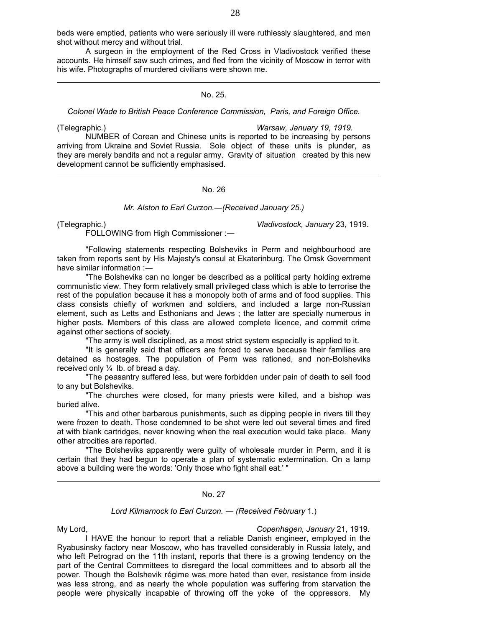beds were emptied, patients who were seriously ill were ruthlessly slaughtered, and men shot without mercy and without trial.

 A surgeon in the employment of the Red Cross in Vladivostock verified these accounts. He himself saw such crimes, and fled from the vicinity of Moscow in terror with his wife. Photographs of murdered civilians were shown me.

#### No. 25.

#### *Colonel Wade to British Peace Conference Commission, Paris, and Foreign Office.*

 $\overline{a}$ 

(Telegraphic.) *Warsaw, January 19, 1919.* 

 NUMBER of Corean and Chinese units is reported to be increasing by persons arriving from Ukraine and Soviet Russia. Sole object of these units is plunder, as they are merely bandits and not a regular army. Gravity of situation created by this new development cannot be sufficiently emphasised.

#### No. 26

#### *Mr. Alston to Earl Curzon.*―*(Received January 25.)*

(Telegraphic.) *Vladivostock, January* 23, 1919.

FOLLOWING from High Commissioner :―

 "Following statements respecting Bolsheviks in Perm and neighbourhood are taken from reports sent by His Majesty's consul at Ekaterinburg. The Omsk Government have similar information :―

 "The Bolsheviks can no longer be described as a political party holding extreme communistic view. They form relatively small privileged class which is able to terrorise the rest of the population because it has a monopoly both of arms and of food supplies. This class consists chiefly of workmen and soldiers, and included a large non-Russian element, such as Letts and Esthonians and Jews ; the latter are specially numerous in higher posts. Members of this class are allowed complete licence, and commit crime against other sections of society.

"The army is well disciplined, as a most strict system especially is applied to it.

 "It is generally said that officers are forced to serve because their families are detained as hostages. The population of Perm was rationed, and non-Bolsheviks received only  $\frac{1}{4}$  lb. of bread a day.

 "The peasantry suffered less, but were forbidden under pain of death to sell food to any but Bolsheviks.

 "The churches were closed, for many priests were killed, and a bishop was buried alive.

 "This and other barbarous punishments, such as dipping people in rivers till they were frozen to death. Those condemned to be shot were led out several times and fired at with blank cartridges, never knowing when the real execution would take place. Many other atrocities are reported.

 "The Bolsheviks apparently were guilty of wholesale murder in Perm, and it is certain that they had begun to operate a plan of systematic extermination. On a lamp above a building were the words: 'Only those who fight shall eat.' "

#### No. 27

#### *Lord Kilmarnock to Earl Curzon.* ― *(Received February* 1.)

 $\overline{a}$ 

#### My Lord, *Copenhagen, January* 21, 1919.

 I HAVE the honour to report that a reliable Danish engineer, employed in the Ryabusinsky factory near Moscow, who has travelled considerably in Russia lately, and who left Petrograd on the 11th instant, reports that there is a growing tendency on the part of the Central Committees to disregard the local committees and to absorb all the power. Though the Bolshevik régime was more hated than ever, resistance from inside was less strong, and as nearly the whole population was suffering from starvation the people were physically incapable of throwing off the yoke of the oppressors. My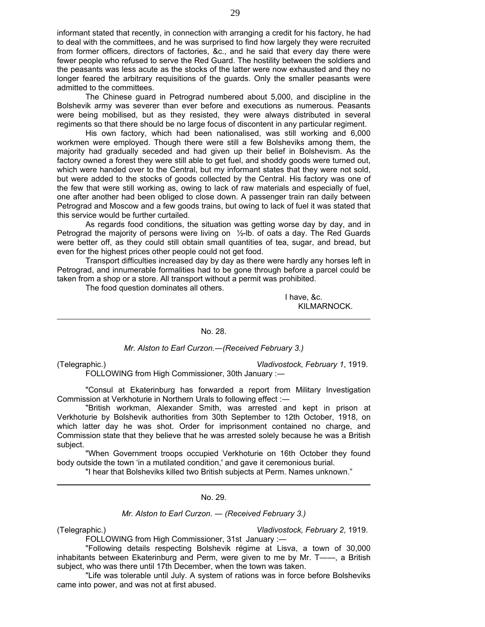informant stated that recently, in connection with arranging a credit for his factory, he had to deal with the committees, and he was surprised to find how largely they were recruited from former officers, directors of factories, &c., and he said that every day there were fewer people who refused to serve the Red Guard. The hostility between the soldiers and the peasants was less acute as the stocks of the latter were now exhausted and they no longer feared the arbitrary requisitions of the guards. Only the smaller peasants were admitted to the committees.

 The Chinese guard in Petrograd numbered about 5,000, and discipline in the Bolshevik army was severer than ever before and executions as numerous. Peasants were being mobilised, but as they resisted, they were always distributed in several regiments so that there should be no large focus of discontent in any particular regiment.

 His own factory, which had been nationalised, was still working and 6,000 workmen were employed. Though there were still a few Bolsheviks among them, the majority had gradually seceded and had given up their belief in Bolshevism. As the factory owned a forest they were still able to get fuel, and shoddy goods were turned out, which were handed over to the Central, but my informant states that they were not sold, but were added to the stocks of goods collected by the Central. His factory was one of the few that were still working as, owing to lack of raw materials and especially of fuel, one after another had been obliged to close down. A passenger train ran daily between Petrograd and Moscow and a few goods trains, but owing to lack of fuel it was stated that this service would be further curtailed.

 As regards food conditions, the situation was getting worse day by day, and in Petrograd the majority of persons were living on ½-lb. of oats a day. The Red Guards were better off, as they could still obtain small quantities of tea, sugar, and bread, but even for the highest prices other people could not get food.

 Transport difficulties increased day by day as there were hardly any horses left in Petrograd, and innumerable formalities had to be gone through before a parcel could be taken from a shop or a store. All transport without a permit was prohibited.

The food question dominates all others.

 I have, &c. KILMARNOCK.

#### No. 28.

#### *Mr. Alston to Earl Curzon.*―*(Received February 3.)*

 $\overline{a}$ 

(Telegraphic.) *Vladivostock, February 1*, 1919.

FOLLOWING from High Commissioner, 30th January :―

 "Consul at Ekaterinburg has forwarded a report from Military Investigation Commission at Verkhoturie in Northern Urals to following effect :―

 "British workman, Alexander Smith, was arrested and kept in prison at Verkhoturie by Bolshevik authorities from 30th September to 12th October, 1918, on which latter day he was shot. Order for imprisonment contained no charge, and Commission state that they believe that he was arrested solely because he was a British subject.

 "When Government troops occupied Verkhoturie on 16th October they found body outside the town 'in a mutilated condition,' and gave it ceremonious burial.

"I hear that Bolsheviks killed two British subjects at Perm. Names unknown."

#### No. 29.

*Mr. Alston to Earl Curzon.* ― *(Received February 3.)* 

(Telegraphic.) *Vladivostock, February 2*, 1919.

FOLLOWING from High Commissioner, 31st January :―

 "Following details respecting Bolshevik régime at Lisva, a town of 30,000 inhabitants between Ekaterinburg and Perm, were given to me by Mr. T―—, a British subject, who was there until 17th December, when the town was taken.

 "Life was tolerable until July. A system of rations was in force before Bolsheviks came into power, and was not at first abused.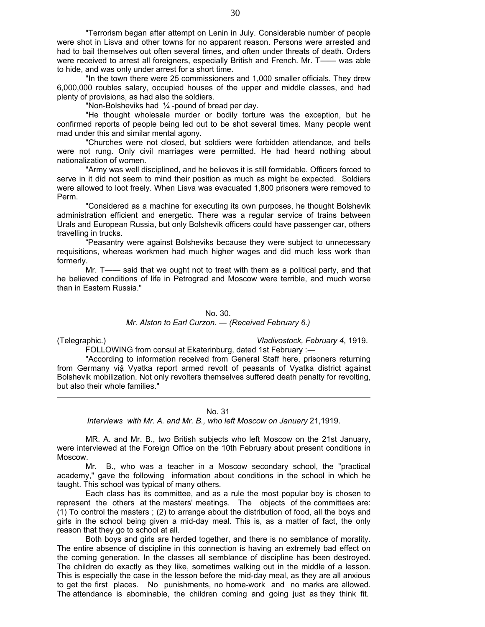"Terrorism began after attempt on Lenin in July. Considerable number of people were shot in Lisva and other towns for no apparent reason. Persons were arrested and had to bail themselves out often several times, and often under threats of death. Orders were received to arrest all foreigners, especially British and French. Mr. T—— was able to hide, and was only under arrest for a short time.

 "In the town there were 25 commissioners and 1,000 smaller officials. They drew 6,000,000 roubles salary, occupied houses of the upper and middle classes, and had plenty of provisions, as had also the soldiers.

"Non-Bolsheviks had  $\frac{1}{4}$ -pound of bread per day.

 "He thought wholesale murder or bodily torture was the exception, but he confirmed reports of people being led out to be shot several times. Many people went mad under this and similar mental agony.

 "Churches were not closed, but soldiers were forbidden attendance, and bells were not rung. Only civil marriages were permitted. He had heard nothing about nationalization of women.

 "Army was well disciplined, and he believes it is still formidable. Officers forced to serve in it did not seem to mind their position as much as might be expected. Soldiers were allowed to loot freely. When Lisva was evacuated 1,800 prisoners were removed to Perm.

 "Considered as a machine for executing its own purposes, he thought Bolshevik administration efficient and energetic. There was a regular service of trains between Urals and European Russia, but only Bolshevik officers could have passenger car, others travelling in trucks.

 "Peasantry were against Bolsheviks because they were subject to unnecessary requisitions, whereas workmen had much higher wages and did much less work than formerly.

 Mr. T―— said that we ought not to treat with them as a political party, and that he believed conditions of life in Petrograd and Moscow were terrible, and much worse than in Eastern Russia."

#### No. 30.

#### *Mr. Alston to Earl Curzon.* ― *(Received February 6.)*

but also their whole families."

 $\overline{a}$ 

 $\overline{a}$ 

(Telegraphic.) *Vladivostock, February 4*, 1919.

 FOLLOWING from consul at Ekaterinburg, dated 1st February :― "According to information received from General Staff here, prisoners returning from Germany viậ Vyatka report armed revolt of peasants of Vyatka district against

Bolshevik mobilization. Not only revolters themselves suffered death penalty for revolting,

#### No. 31

*Interviews with Mr. A. and Mr. B., who left Moscow on January* 21,1919.

 MR. A. and Mr. B., two British subjects who left Moscow on the 21st January, were interviewed at the Foreign Office on the 10th February about present conditions in Moscow.

Mr*.* B., who was a teacher in a Moscow secondary school, the "practical academy," gave the following information about conditions in the school in which he taught. This school was typical of many others.

 Each class has its committee, and as a rule the most popular boy is chosen to represent the others at the masters' meetings. The objects of the committees are: (1) To control the masters ; (2) to arrange about the distribution of food, all the boys and girls in the school being given a mid-day meal. This is, as a matter of fact, the only reason that they go to school at all.

 Both boys and girls are herded together, and there is no semblance of morality. The entire absence of discipline in this connection is having an extremely bad effect on the coming generation. In the classes all semblance of discipline has been destroyed. The children do exactly as they like, sometimes walking out in the middle of a lesson. This is especially the case in the lesson before the mid-day meal, as they are all anxious to get the first places. No punishments, no home-work and no marks are allowed. The attendance is abominable, the children coming and going just as they think fit.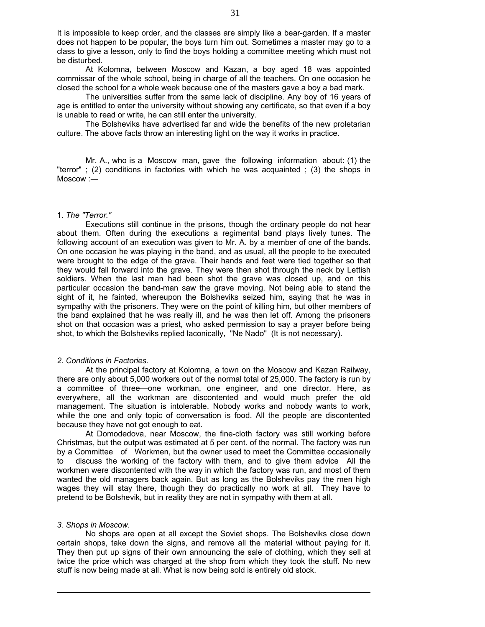It is impossible to keep order, and the classes are simply like a bear-garden. If a master does not happen to be popular, the boys turn him out. Sometimes a master may go to a class to give a lesson, only to find the boys holding a committee meeting which must not be disturbed.

 At Kolomna, between Moscow and Kazan, a boy aged 18 was appointed commissar of the whole school, being in charge of all the teachers. On one occasion he closed the school for a whole week because one of the masters gave a boy a bad mark.

 The universities suffer from the same lack of discipline. Any boy of 16 years of age is entitled to enter the university without showing any certificate, so that even if a boy is unable to read or write, he can still enter the university.

 The Bolsheviks have advertised far and wide the benefits of the new proletarian culture. The above facts throw an interesting light on the way it works in practice.

 Mr. A., who is a Moscow man, gave the following information about: (1) the "terror" ; (2) conditions in factories with which he was acquainted ; (3) the shops in Moscow :―

#### 1. *The "Terror."*

 Executions still continue in the prisons, though the ordinary people do not hear about them. Often during the executions a regimental band plays lively tunes. The following account of an execution was given to Mr. A. by a member of one of the bands. On one occasion he was playing in the band, and as usual, all the people to be executed were brought to the edge of the grave. Their hands and feet were tied together so that they would fall forward into the grave. They were then shot through the neck by Lettish soldiers. When the last man had been shot the grave was closed up, and on this particular occasion the band-man saw the grave moving. Not being able to stand the sight of it, he fainted, whereupon the Bolsheviks seized him, saying that he was in sympathy with the prisoners. They were on the point of killing him, but other members of the band explained that he was really ill, and he was then let off. Among the prisoners shot on that occasion was a priest, who asked permission to say a prayer before being shot, to which the Bolsheviks replied laconically, "Ne Nado" (It is not necessary).

#### *2. Conditions in Factories.*

 At the principal factory at Kolomna, a town on the Moscow and Kazan Railway, there are only about 5,000 workers out of the normal total of 25,000. The factory is run by a committee of three—one workman, one engineer, and one director. Here, as everywhere, all the workman are discontented and would much prefer the old management. The situation is intolerable. Nobody works and nobody wants to work, while the one and only topic of conversation is food. All the people are discontented because they have not got enough to eat.

 At Domodedova, near Moscow, the fine-cloth factory was still working before Christmas, but the output was estimated at 5 per cent. of the normal. The factory was run by a Committee of Workmen, but the owner used to meet the Committee occasionally to discuss the working of the factory with them, and to give them advice All the workmen were discontented with the way in which the factory was run, and most of them wanted the old managers back again. But as long as the Bolsheviks pay the men high wages they will stay there, though they do practically no work at all. They have to pretend to be Bolshevik, but in reality they are not in sympathy with them at all.

# *3. Shops in Moscow.*

 No shops are open at all except the Soviet shops. The Bolsheviks close down certain shops, take down the signs, and remove all the material without paying for it. They then put up signs of their own announcing the sale of clothing, which they sell at twice the price which was charged at the shop from which they took the stuff. No new stuff is now being made at all. What is now being sold is entirely old stock.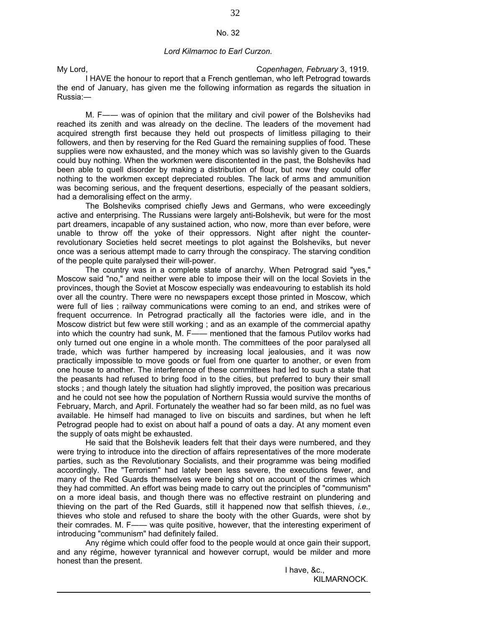#### *Lord Kilmarnoc to Earl Curzon.*

My Lord, C*openhagen, February* 3, 1919. I HAVE the honour to report that a French gentleman, who left Petrograd towards the end of January, has given me the following information as regards the situation in Russia:―

 M. F―― was of opinion that the military and civil power of the Bolsheviks had reached its zenith and was already on the decline. The leaders of the movement had acquired strength first because they held out prospects of limitless pillaging to their followers, and then by reserving for the Red Guard the remaining supplies of food. These supplies were now exhausted, and the money which was so lavishly given to the Guards could buy nothing. When the workmen were discontented in the past, the Bolsheviks had been able to quell disorder by making a distribution of flour, but now they could offer nothing to the workmen except depreciated roubles. The lack of arms and ammunition was becoming serious, and the frequent desertions, especially of the peasant soldiers, had a demoralising effect on the army.

 The Bolsheviks comprised chiefly Jews and Germans, who were exceedingly active and enterprising. The Russians were largely anti-Bolshevik, but were for the most part dreamers, incapable of any sustained action, who now, more than ever before, were unable to throw off the yoke of their oppressors. Night after night the counterrevolutionary Societies held secret meetings to plot against the Bolsheviks, but never once was a serious attempt made to carry through the conspiracy. The starving condition of the people quite paralysed their will-power.

 The country was in a complete state of anarchy. When Petrograd said "yes," Moscow said "no," and neither were able to impose their will on the local Soviets in the provinces, though the Soviet at Moscow especially was endeavouring to establish its hold over all the country. There were no newspapers except those printed in Moscow, which were full of Iies ; railway communications were coming to an end, and strikes were of frequent occurrence. In Petrograd practically all the factories were idle, and in the Moscow district but few were still working ; and as an example of the commercial apathy into which the country had sunk, M. F―— mentioned that the famous Putilov works had only turned out one engine in a whole month. The committees of the poor paralysed all trade, which was further hampered by increasing local jealousies, and it was now practically impossible to move goods or fuel from one quarter to another, or even from one house to another. The interference of these committees had led to such a state that the peasants had refused to bring food in to the cities, but preferred to bury their small stocks ; and though lately the situation had slightly improved, the position was precarious and he could not see how the population of Northern Russia would survive the months of February, March, and April. Fortunately the weather had so far been mild, as no fuel was available. He himself had managed to live on biscuits and sardines, but when he left Petrograd people had to exist on about half a pound of oats a day. At any moment even the supply of oats might be exhausted.

 He said that the Bolshevik Ieaders felt that their days were numbered, and they were trying to introduce into the direction of affairs representatives of the more moderate parties, such as the Revolutionary Socialists, and their programme was being modified accordingly. The "Terrorism" had lately been less severe, the executions fewer, and many of the Red Guards themselves were being shot on account of the crimes which they had committed. An effort was being made to carry out the principles of "communism" on a more ideal basis, and though there was no effective restraint on plundering and thieving on the part of the Red Guards, still it happened now that selfish thieves, *i.e.,*  thieves who stole and refused to share the booty with the other Guards, were shot by their comrades. M. F―— was quite positive, however, that the interesting experiment of introducing "communism" had definitely failed.

 Any régime which could offer food to the people would at once gain their support, and any régime, however tyrannical and however corrupt, would be milder and more honest than the present.

 I have, &c., KILMARNOCK.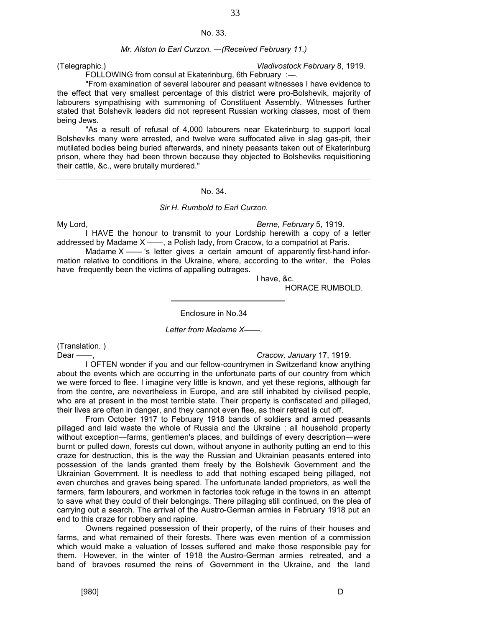## No. 33.

#### *Mr. Alston to Earl Curzon.* ―*(Received February 11.)*

(Telegraphic.) *Vladivostock February* 8, 1919.

FOLLOWING from consul at Ekaterinburg, 6th February :―.

 "From examination of several labourer and peasant witnesses I have evidence to the effect that very smallest percentage of this district were pro-Bolshevik, majority of labourers sympathising with summoning of Constituent Assembly. Witnesses further stated that Bolshevik leaders did not represent Russian working classes, most of them being Jews.

 "As a result of refusal of 4,000 labourers near Ekaterinburg to support local Bolsheviks many were arrested, and twelve were suffocated alive in slag gas-pit, their mutilated bodies being buried afterwards, and ninety peasants taken out of Ekaterinburg prison, where they had been thrown because they objected to Bolsheviks requisitioning their cattle, &c., were brutally murdered."

# No. 34.

#### *Sir H. Rumbold to Earl Curzon.*

My Lord, *Berne, February* 5, 1919.

 I HAVE the honour to transmit to your Lordship herewith a copy of a letter addressed by Madame X ——, a Polish lady, from Cracow, to a compatriot at Paris.

Madame X —— 's letter gives a certain amount of apparently first-hand information relative to conditions in the Ukraine, where, according to the writer, the Poles have frequently been the victims of appalling outrages.

I have, &c.

HORACE RUMBOLD.

Enclosure in No.34

# *Letter from Madame X*——.

(Translation. )

Dear ——, *Cracow, January* 17, 1919.

 I OFTEN wonder if you and our fellow-countrymen in Switzerland know anything about the events which are occurring in the unfortunate parts of our country from which we were forced to flee. I imagine very little is known, and yet these regions, although far from the centre, are nevertheless in Europe, and are still inhabited by civilised people, who are at present in the most terrible state. Their property is confiscated and pillaged, their lives are often in danger, and they cannot even flee, as their retreat is cut off.

 From October 1917 to February 1918 bands of soldiers and armed peasants pillaged and laid waste the whole of Russia and the Ukraine ; all household property without exception―farms, gentlemen's places, and buildings of every description―were burnt or pulled down, forests cut down, without anyone in authority putting an end to this craze for destruction, this is the way the Russian and Ukrainian peasants entered into possession of the lands granted them freely by the Bolshevik Government and the Ukrainian Government. It is needless to add that nothing escaped being pillaged, not even churches and graves being spared. The unfortunate landed proprietors, as well the farmers, farm labourers, and workmen in factories took refuge in the towns in an attempt to save what they could of their belongings. There pillaging still continued, on the plea of carrying out a search. The arrival of the Austro-German armies in February 1918 put an end to this craze for robbery and rapine.

 Owners regained possession of their property, of the ruins of their houses and farms, and what remained of their forests. There was even mention of a commission which would make a valuation of losses suffered and make those responsible pay for them. However, in the winter of 1918 the Austro-German armies retreated, and a band of bravoes resumed the reins of Government in the Ukraine, and the land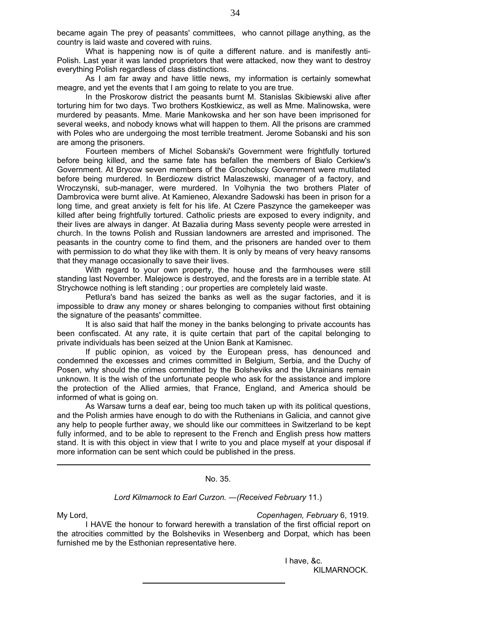became again The prey of peasants' committees, who cannot pillage anything, as the country is laid waste and covered with ruins.

 What is happening now is of quite a different nature. and is manifestly anti-Polish. Last year it was landed proprietors that were attacked, now they want to destroy everything Polish regardless of class distinctions.

 As I am far away and have little news, my information is certainly somewhat meagre, and yet the events that I am going to relate to you are true.

 In the Proskorow district the peasants burnt M. Stanislas Skibiewski alive after torturing him for two days. Two brothers Kostkiewicz, as well as Mme. Malinowska, were murdered by peasants. Mme. Marie Mankowska and her son have been imprisoned for several weeks, and nobody knows what will happen to them. All the prisons are crammed with Poles who are undergoing the most terrible treatment. Jerome Sobanski and his son are among the prisoners.

 Fourteen members of Michel Sobanski's Government were frightfully tortured before being killed, and the same fate has befallen the members of Bialo Cerkiew's Government. At Brycow seven members of the Grocholscy Government were mutilated before being murdered. In Berdiozew district Malaszewski, manager of a factory, and Wroczynski, sub-manager, were murdered. In Volhynia the two brothers Plater of Dambrovica were burnt alive. At Kamieneo, Alexandre Sadowski has been in prison for a long time, and great anxiety is felt for his life. At Czere Paszynce the gamekeeper was killed after being frightfully tortured. Catholic priests are exposed to every indignity, and their lives are always in danger. At Bazalia during Mass seventy people were arrested in church. In the towns Polish and Russian landowners are arrested and imprisoned. The peasants in the country come to find them, and the prisoners are handed over to them with permission to do what they like with them. It is only by means of very heavy ransoms that they manage occasionally to save their lives.

 With regard to your own property, the house and the farmhouses were still standing last November. Malejowce is destroyed, and the forests are in a terrible state. At Strychowce nothing is left standing ; our properties are completely laid waste.

 Petlura's band has seized the banks as well as the sugar factories, and it is impossible to draw any money or shares belonging to companies without first obtaining the signature of the peasants' committee.

 It is also said that half the money in the banks belonging to private accounts has been confiscated. At any rate, it is quite certain that part of the capital belonging to private individuals has been seized at the Union Bank at Kamisnec.

 If public opinion, as voiced by the European press, has denounced and condemned the excesses and crimes committed in Belgium, Serbia, and the Duchy of Posen, why should the crimes committed by the Bolsheviks and the Ukrainians remain unknown. It is the wish of the unfortunate people who ask for the assistance and implore the protection of the Allied armies, that France, England, and America should be informed of what is going on.

 As Warsaw turns a deaf ear, being too much taken up with its political questions, and the Polish armies have enough to do with the Ruthenians in Galicia, and cannot give any help to people further away, we should like our committees in Switzerland to be kept fully informed, and to be able to represent to the French and English press how matters stand. It is with this object in view that I write to you and place myself at your disposal if more information can be sent which could be published in the press.

### No. 35.

# *Lord Kilmarnock to Earl Curzon.* ―*(Received February* 11.)

My Lord, *Copenhagen, February* 6, 1919.

 I HAVE the honour to forward herewith a translation of the first official report on the atrocities committed by the Bolsheviks in Wesenberg and Dorpat, which has been furnished me by the Esthonian representative here.

> I have, &c. KILMARNOCK.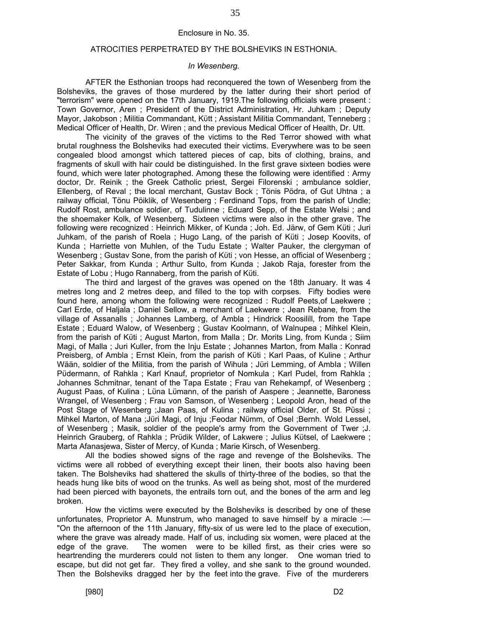# Enclosure in No. 35.

# ATROCITIES PERPETRATED BY THE BOLSHEVIKS IN ESTHONIA.

# *In Wesenberg.*

 AFTER the Esthonian troops had reconquered the town of Wesenberg from the Bolsheviks, the graves of those murdered by the latter during their short period of "terrorism" were opened on the 17th January, 1919.The following officials were present : Town Governor, Aren ; President of the District Administration, Hr. Juhkam ; Deputy Mayor, Jakobson ; Militia Commandant, Kϋtt ; Assistant Militia Commandant, Tenneberg ; Medical Officer of Health, Dr. Wiren ; and the previous Medical Officer of Health, Dr. Utt.

 The vicinity of the graves of the victims to the Red Terror showed with what brutal roughness the Bolsheviks had executed their victims. Everywhere was to be seen congealed blood amongst which tattered pieces of cap, bits of clothing, brains, and fragments of skull with hair could be distinguished. In the first grave sixteen bodies were found, which were later photographed. Among these the following were identified : Army doctor, Dr. Reinik ; the Greek Catholic priest, Sergei Filorenski ; ambulance soldier, Ellenberg, of Reval ; the local merchant, Gustav Bock ; Tönis Pödra, of Gut Uhtna ; a railway official, Tönu Pöiklik, of Wesenberg ; Ferdinand Tops, from the parish of Undle; Rudolf Rost, ambulance soldier, of Tudulinne ; Eduard Sepp, of the Estate Welsi ; and the shoemaker Kolk, of Wesenberg. Sixteen victims were also in the other grave. The following were recognized : Heinrich Mikker, of Kunda ; Joh. Ed. Järw, of Gem Kϋti ; Juri Juhkam, of the parish of Roela ; Hugo Lang, of the parish of Kϋti ; Josep Koovits, of Kunda ; Harriette von Muhlen, of the Tudu Estate ; Walter Pauker, the clergyman of Wesenberg ; Gustav Sone, from the parish of Küti ; von Hesse, an official of Wesenberg ; Peter Sakkar, from Kunda ; Arthur Sulto, from Kunda ; Jakob Raja, forester from the Estate of Lobu ; Hugo Rannaberg, from the parish of Kϋti.

 The third and largest of the graves was opened on the 18th January. It was 4 metres long and 2 metres deep, and filled to the top with corpses. Fifty bodies were found here, among whom the following were recognized : Rudolf Peets,of Laekwere ; Carl Erde, of Haljala ; Daniel Sellow, a merchant of Laekwere ; Jean Rebane, from the village of Assanalls ; Johannes Lamberg, of Ambla ; Hindrick Roosilill, from the Tape Estate ; Eduard Walow, of Wesenberg ; Gustav Koolmann, of Walnupea ; Mihkel Klein, from the parish of Kϋti ; August Marton, from Malla ; Dr. Morits Ling, from Kunda ; Sііm Magi, of Malla ; Juri Kuller, from the Inju Estate ; Johannes Marton, from Malla : Konrad Preisberg, of Ambla; Ernst Klein, from the parish of Küti; Karl Paas, of Kuline; Arthur Wään, soldier of the Militia, from the parish of Wihula; Jüri Lemming, of Ambla; Willen Pϋdermann, of Rahkla ; Karl Knauf, proprietor of Nomkula ; Karl Pudel, from Rahkla ; Johannes Schmitnar, tenant of the Tapa Estate ; Frau van Rehekampf, of Wesenberg ; August Paas, of Kulina ; Lϋna Lϋmann, of the parish of Aaspere ; Jeannette, Baroness Wrangel, of Wesenberg ; Frau von Samson, of Wesenberg ; Leopold Aron, head of the Post Stage of Wesenberg ;Jaan Paas, of Kulina ; railway official Older, of St. Püssi ; Mihkel Marton, of Mana ;Jüri Magi, of Inju ;Feodar Nümm, of Osel ;Bernh. Wold Lessel, of Wesenberg ; Masik, soldier of the people's army from the Government of Twer ;J. Heinrich Grauberg, of Rahkla; Prüdik Wilder, of Lakwere; Julius Kütsel, of Laekwere; Marta Afanasjewa, Sister of Mercy, of Kunda ; Marie Kirsch, of Wesenberg.

 All the bodies showed signs of the rage and revenge of the Bolsheviks. The victims were all robbed of everything except their linen, their boots also having been taken. The Bolsheviks had shattered the skulls of thirty-three of the bodies, so that the heads hung like bits of wood on the trunks. As well as being shot, most of the murdered had been pierced with bayonets, the entrails torn out, and the bones of the arm and leg broken.

How the victims were executed by the Bolsheviks is described by one of these unfortunates, Proprietor A. Munstrum, who managed to save himself by a miracle :— "On the afternoon of the 11th January, fifty-six of us were led to the place of execution, where the grave was already made. Half of us, including six women, were placed at the edge of the grave. The women were to be killed first, as their cries were so heartrending the murderers could not listen to them any longer. One woman tried to escape, but did not get far. They fired a volley, and she sank to the ground wounded. Then the Bolsheviks dragged her by the feet into the grave. Five of the murderers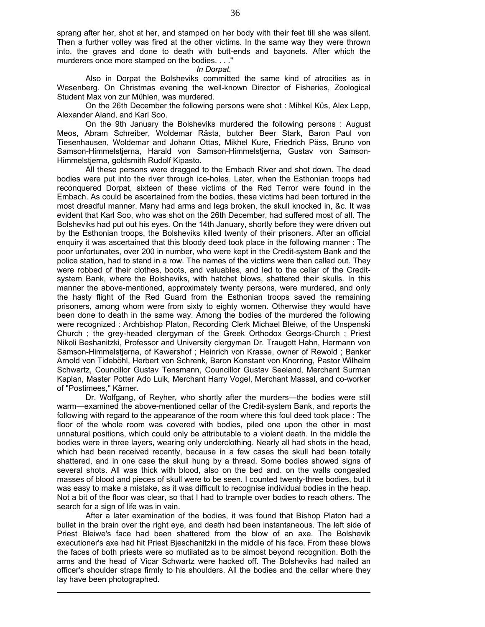sprang after her, shot at her, and stamped on her body with their feet till she was silent. Then a further volley was fired at the other victims. In the same way they were thrown into. the graves and done to death with butt-ends and bayonets. After which the murderers once more stamped on the bodies. . . ."

# *In Dorpat.*

 Also in Dorpat the Bolsheviks committed the same kind of atrocities as in Wesenberg. On Christmas evening the well-known Director of Fisheries, Zoological Student Max von zur Mϋhlen, was murdered.

 On the 26th December the following persons were shot : Mihkel Kϋs, Alex Lepp, Alexander Aland, and Karl Soo.

 On the 9th January the Bolsheviks murdered the following persons : August Meos, Abram Schreiber, Woldemar Rästa, butcher Beer Stark, Baron Paul von Tiesenhausen, Woldemar and Johann Ottas, Mikhel Kure, Friedrich Päss, Bruno von Samson-Himmelstjerna, Harald von Samson-Himmelstjerna, Gustav von Samson-Himmelstjerna, goldsmith Rudolf Kipasto.

 All these persons were dragged to the Embach River and shot down. The dead bodies were put into the river through ice-holes. Later, when the Esthonian troops had reconquered Dorpat, sixteen of these victims of the Red Terror were found in the Embach. As could be ascertained from the bodies, these victims had been tortured in the most dreadful manner. Many had arms and legs broken, the skull knocked in, &c. It was evident that Karl Soo, who was shot on the 26th December, had suffered most of all. The Bolsheviks had put out his eyes. On the 14th January, shortly before they were driven out by the Esthonian troops, the Bolsheviks killed twenty of their prisoners. After an official enquiry it was ascertained that this bloody deed took place in the following manner : The poor unfortunates, over 200 in number, who were kept in the Credit-system Bank and the police station, had to stand in a row. The names of the victims were then called out. They were robbed of their clothes, boots, and valuables, and led to the cellar of the Creditsystem Bank, where the Bolsheviks, with hatchet blows, shattered their skulls. In this manner the above-mentioned, approximately twenty persons, were murdered, and only the hasty flight of the Red Guard from the Esthonian troops saved the remaining prisoners, among whom were from sixty to eighty women. Otherwise they would have been done to death in the same way. Among the bodies of the murdered the following were recognized : Archbishop Platon, Recording Clerk Michael Bleiwe, of the Unspenski Church ; the grey-headed clergyman of the Greek Orthodox Georgs-Church ; Priest Nikoli Beshanitzki, Professor and University clergyman Dr. Traugott Hahn, Hermann von Samson-Himmelstjerna, of Kawershof ; Heinrich von Krasse, owner of Rewold ; Banker Arnold von Tideböhl, Herbert von Schrenk, Baron Konstant von Knorring, Pastor Wilhelm Schwartz, Councillor Gustav Tensmann, Councillor Gustav Seeland, Merchant Surman Kaplan, Master Potter Ado Luik, Merchant Harry Vogel, Merchant Massal, and co-worker of "Postimees," Kärner.

Dr. Wolfgang, of Reyher, who shortly after the murders—the bodies were still warm―examined the above-mentioned cellar of the Credit-system Bank, and reports the following with regard to the appearance of the room where this foul deed took place : The floor of the whole room was covered with bodies, piled one upon the other in most unnatural positions, which could only be attributable to a violent death. In the middle the bodies were in three layers, wearing only underclothing. Nearly all had shots in the head, which had been received recently, because in a few cases the skull had been totally shattered, and in one case the skull hung by a thread. Some bodies showed signs of several shots. All was thick with blood, also on the bed and. on the walls congealed masses of blood and pieces of skull were to be seen. I counted twenty-three bodies, but it was easy to make a mistake, as it was difficult to recognise individual bodies in the heap. Not a bit of the floor was clear, so that I had to trample over bodies to reach others. The search for a sign of life was in vain.

 After a later examination of the bodies, it was found that Bishop Platon had a bullet in the brain over the right eye, and death had been instantaneous. The left side of Priest Bleiwe's face had been shattered from the blow of an axe. The Bolshevik executioner's axe had hit Priest Bjeschanitzki in the middle of his face. From these blows the faces of both priests were so mutilated as to be almost beyond recognition. Both the arms and the head of Vicar Schwartz were hacked off. The Bolsheviks had nailed an officer's shoulder straps firmly to his shoulders. All the bodies and the cellar where they lay have been photographed.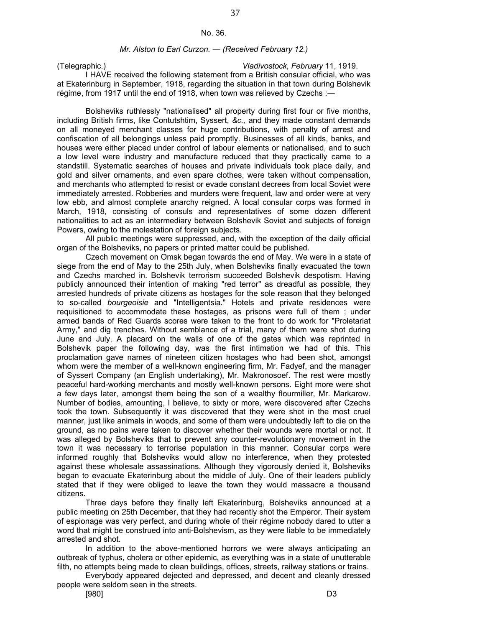#### No. 36.

#### *Mr. Alston to Earl Curzon.* ― *(Received February 12.)*

(Telegraphic.) *Vladivostock, February* 11, 1919. I HAVE received the following statement from a British consular official, who was at Ekaterinburg in September, 1918, regarding the situation in that town during Bolshevik régime, from 1917 until the end of 1918, when town was relieved by Czechs :-

 Bolsheviks ruthlessly "nationalised" all property during first four or five months, including British firms, like Contutshtim, Syssert, *&c.,* and they made constant demands on all moneyed merchant classes for huge contributions, with penalty of arrest and confiscation of all belongings unless paid promptly. Businesses of all kinds, banks, and houses were either placed under control of labour elements or nationalised, and to such a low level were industry and manufacture reduced that they practically came to a standstill. Systematic searches of houses and private individuals took place daily, and gold and silver ornaments, and even spare clothes, were taken without compensation, and merchants who attempted to resist or evade constant decrees from local Soviet were immediately arrested. Robberies and murders were frequent, law and order were at very low ebb, and almost complete anarchy reigned. A local consular corps was formed in March, 1918, consisting of consuls and representatives of some dozen different nationalities to act as an intermediary between Bolshevik Soviet and subjects of foreign Powers, owing to the molestation of foreign subjects.

 All public meetings were suppressed, and, with the exception of the daily official organ of the Bolsheviks, no papers or printed matter could be published.

 Czech movement on Omsk began towards the end of May. We were in a state of siege from the end of May to the 25th July, when Bolsheviks finally evacuated the town and Czechs marched in. Bolshevik terrorism succeeded Bolshevik despotism. Having publicly announced their intention of making "red terror" as dreadful as possible, they arrested hundreds of private citizens as hostages for the sole reason that they belonged to so-called *bourgeoisie* and "Intelligentsia." Hotels and private residences were requisitioned to accommodate these hostages, as prisons were full of them ; under armed bands of Red Guards scores were taken to the front to do work for "Proletariat Army," and dig trenches. Without semblance of a trial, many of them were shot during June and July. A placard on the walls of one of the gates which was reprinted in Bolshevik paper the following day, was the first intimation we had of this. This proclamation gave names of nineteen citizen hostages who had been shot, amongst whom were the member of a well-known engineering firm, Mr. Fadyef, and the manager of Syssert Company (an English undertaking), Mr. Makronosoef. The rest were mostly peaceful hard-working merchants and mostly well-known persons. Eight more were shot a few days later, amongst them being the son of a wealthy flourmiller, Mr. Markarow. Number of bodies, amounting, I believe, to sixty or more, were discovered after Czechs took the town. Subsequently it was discovered that they were shot in the most cruel manner, just like animals in woods, and some of them were undoubtedly left to die on the ground, as no pains were taken to discover whether their wounds were mortal or not. It was alleged by Bolsheviks that to prevent any counter-revolutionary movement in the town it was necessary to terrorise population in this manner. Consular corps were informed roughly that Bolsheviks would allow no interference, when they protested against these wholesale assassinations. Although they vigorously denied it, Bolsheviks began to evacuate Ekaterinburg about the middle of July. One of their leaders publicly stated that if they were obliged to leave the town they would massacre a thousand citizens.

 Three days before they finally left Ekaterinburg, Bolsheviks announced at a public meeting on 25th December, that they had recently shot the Emperor. Their system of espionage was very perfect, and during whole of their régime nobody dared to utter a word that might be construed into anti-Bolshevism, as they were liable to be immediately arrested and shot.

 In addition to the above-mentioned horrors we were always anticipating an outbreak of typhus, cholera or other epidemic, as everything was in a state of unutterable filth, no attempts being made to clean buildings, offices, streets, railway stations or trains.

 Everybody appeared dejected and depressed, and decent and cleanly dressed people were seldom seen in the streets.

[980] D3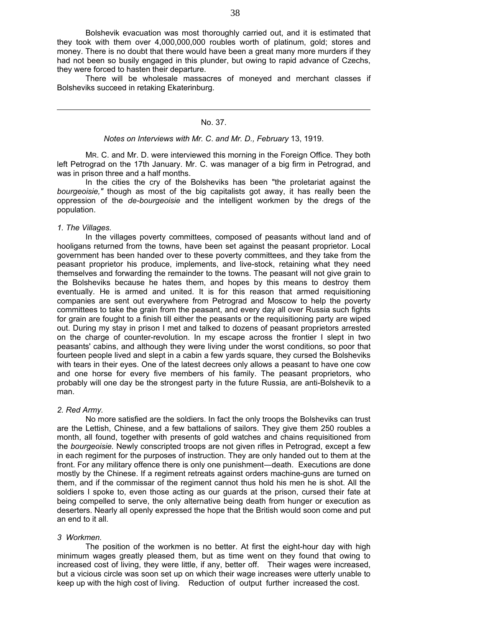Bolshevik evacuation was most thoroughly carried out, and it is estimated that they took with them over 4,000,000,000 roubles worth of platinum, gold; stores and money. There is no doubt that there would have been a great many more murders if they had not been so busily engaged in this plunder, but owing to rapid advance of Czechs, they were forced to hasten their departure.

 There will be wholesale massacres of moneyed and merchant classes if Bolsheviks succeed in retaking Ekaterinburg.

# No. 37.

#### *Notes on Interviews with Mr. C*. *and Mr. D., February* 13, 1919.

 MR. C. and Mr. D. were interviewed this morning in the Foreign Office. They both left Petrograd on the 17th January. Mr. C. was manager of a big firm in Petrograd, and was in prison three and a half months.

 In the cities the cry of the Bolsheviks has been "the proletariat against the *bourgeoisie,"* though as most of the big capitalists got away, it has really been the oppression of the *de-bourgeoisie* and the intelligent workmen by the dregs of the population.

## *1. The Villages.*

 In the villages poverty committees, composed of peasants without land and of hooligans returned from the towns, have been set against the peasant proprietor. Local government has been handed over to these poverty committees, and they take from the peasant proprietor his produce, implements, and live-stock, retaining what they need themselves and forwarding the remainder to the towns. The peasant will not give grain to the Bolsheviks because he hates them, and hopes by this means to destroy them eventually. He is armed and united. It is for this reason that armed requisitioning companies are sent out everywhere from Petrograd and Moscow to help the poverty committees to take the grain from the peasant, and every day all over Russia such fights for grain are fought to a finish till either the peasants or the requisitioning party are wiped out. During my stay in prison I met and talked to dozens of peasant proprietors arrested on the charge of counter-revolution. In my escape across the frontier I slept in two peasants' cabins, and although they were living under the worst conditions, so poor that fourteen people lived and slept in a cabin a few yards square, they cursed the Bolsheviks with tears in their eyes. One of the latest decrees only allows a peasant to have one cow and one horse for every five members of his family. The peasant proprietors, who probably will one day be the strongest party in the future Russia, are anti-Bolshevik to a man.

## *2. Red Army.*

 No more satisfied are the soldiers. In fact the only troops the Bolsheviks can trust are the Lettish, Chinese, and a few battalions of sailors. They give them 250 roubles a month, all found, together with presents of gold watches and chains requisitioned from the *bourgeoisie.* Newly conscripted troops are not given rifles in Petrograd, except a few in each regiment for the purposes of instruction. They are only handed out to them at the front. For any military offence there is only one punishment―death. Executions are done mostly by the Chinese. If a regiment retreats against orders machine-guns are turned on them, and if the commissar of the regiment cannot thus hold his men he is shot. All the soldiers I spoke to, even those acting as our guards at the prison, cursed their fate at being compelled to serve, the only alternative being death from hunger or execution as deserters. Nearly all openly expressed the hope that the British would soon come and put an end to it all.

# *3 Workmen.*

 The position of the workmen is no better. At first the eight-hour day with high minimum wages greatly pleased them, but as time went on they found that owing to increased cost of living, they were little, if any, better off. Their wages were increased, but a vicious circle was soon set up on which their wage increases were utterly unable to keep up with the high cost of living. Reduction of output further increased the cost.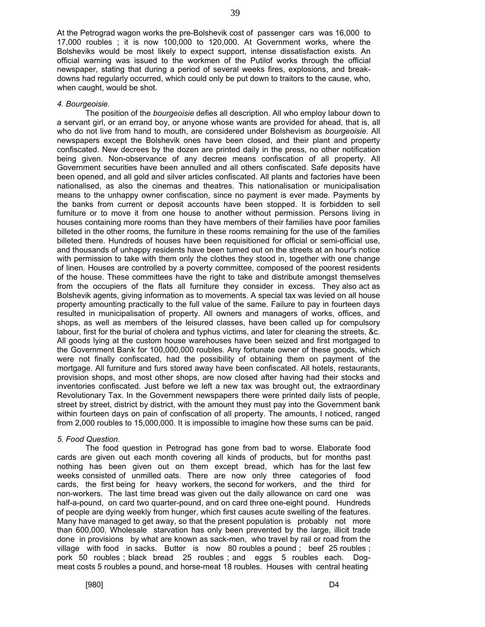At the Petrograd wagon works the pre-Bolshevik cost of passenger cars was 16,000 to 17,000 roubles ; it is now 100,000 to 120,000. At Government works, where the Bolsheviks would be most likely to expect support, intense dissatisfaction exists. An official warning was issued to the workmen of the Putilof works through the official newspaper, stating that during a period of several weeks fires, explosions, and breakdowns had regularly occurred, which could only be put down to traitors to the cause, who, when caught, would be shot.

# *4. Bourgeoisie.*

 The position of the *bourgeoisie* defies all description. All who employ labour down to a servant girl, or an errand boy, or anyone whose wants are provided for ahead, that is, all who do not live from hand to mouth, are considered under Bolshevism as *bourgeoisie.* All newspapers except the Bolshevik ones have been closed, and their plant and property confiscated. New decrees by the dozen are printed daily in the press, no other notification being given. Non-observance of any decree means confiscation of all property. All Government securities have been annulled and all others confiscated. Safe deposits have been opened, and all gold and silver articles confiscated. All plants and factories have been nationalised, as also the cinemas and theatres. This nationalisation or municipalisation means to the unhappy owner confiscation, since no payment is ever made. Payments by the banks from current or deposit accounts have been stopped. It is forbidden to sell furniture or to move it from one house to another without permission. Persons living in houses containing more rooms than they have members of their families have poor families billeted in the other rooms, the furniture in these rooms remaining for the use of the families billeted there. Hundreds of houses have been requisitioned for official or semi-official use, and thousands of unhappy residents have been turned out on the streets at an hour's notice with permission to take with them only the clothes they stood in, together with one change of linen. Houses are controlled by a poverty committee, composed of the poorest residents of the house. These committees have the right to take and distribute amongst themselves from the occupiers of the flats all furniture they consider in excess. They also act as Bolshevik agents, giving information as to movements. A special tax was levied on all house property amounting practically to the full value of the same. Failure to pay in fourteen days resulted in municipalisation of property. All owners and managers of works, offices, and shops, as well as members of the leisured classes, have been called up for compulsory labour, first for the burial of cholera and typhus victims, and later for cleaning the streets, &c. All goods lying at the custom house warehouses have been seized and first mortgaged to the Government Bank for 100,000,000 roubles. Any fortunate owner of these goods, which were not finally confiscated, had the possibility of obtaining them on payment of the mortgage. All furniture and furs stored away have been confiscated. All hotels, restaurants, provision shops, and most other shops, are now closed after having had their stocks and inventories confiscated. Just before we left a new tax was brought out, the extraordinary Revolutionary Tax. In the Government newspapers there were printed daily lists of people, street by street, district by district, with the amount they must pay into the Government bank within fourteen days on pain of confiscation of all property. The amounts, I noticed, ranged from 2,000 roubles to 15,000,000. It is impossible to imagine how these sums can be paid.

# *5. Food Question.*

 The food question in Petrograd has gone from bad to worse. Elaborate food cards are given out each month covering all kinds of products, but for months past nothing has been given out on them except bread, which has for the last few weeks consisted of unmilled oats. There are now only three categories of food cards, the first being for heavy workers, the second for workers, and the third for non-workers. The last time bread was given out the daily allowance on card one was half-a-pound, on card two quarter-pound, and on card three one-eight pound. Hundreds of people are dying weekly from hunger, which first causes acute swelling of the features. Many have managed to get away, so that the present population is probably not more than 600,000. Wholesale starvation has only been prevented by the large, illicit trade done in provisions by what are known as sack-men, who travel by rail or road from the village with food in sacks. Butter is now 80 roubles a pound ; beef 25 roubles ; pork 50 roubles ; black bread 25 roubles ; and eggs 5 roubles each. Dogmeat costs 5 roubles a pound, and horse-meat 18 roubles. Houses with central heating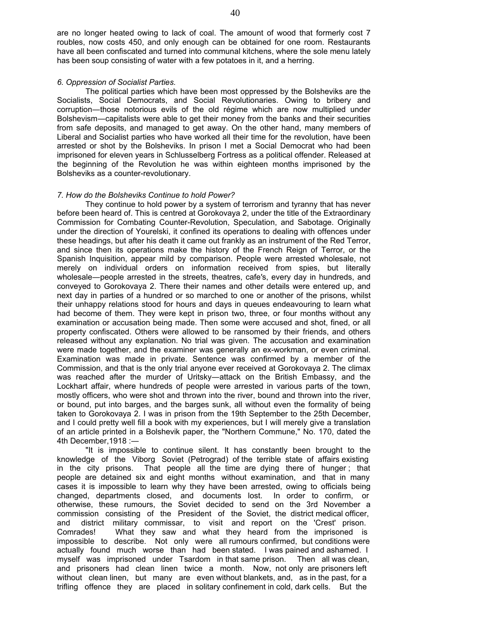are no longer heated owing to lack of coal. The amount of wood that formerly cost 7 roubles, now costs 450, and only enough can be obtained for one room. Restaurants have all been confiscated and turned into communal kitchens, where the sole menu lately has been soup consisting of water with a few potatoes in it, and a herring.

#### *6. Oppression of Socialist Parties.*

 The political parties which have been most oppressed by the Bolsheviks are the Socialists, Social Democrats, and Social Revolutionaries. Owing to bribery and corruption―those notorious evils of the old régime which are now multiplied under Bolshevism―capitalists were able to get their money from the banks and their securities from safe deposits, and managed to get away. On the other hand, many members of Liberal and Socialist parties who have worked all their time for the revolution, have been arrested or shot by the Bolsheviks. In prison I met a Social Democrat who had been imprisoned for eleven years in Schlusselberg Fortress as a political offender. Released at the beginning of the Revolution he was within eighteen months imprisoned by the Bolsheviks as a counter-revolutionary.

#### *7. How do the Bolsheviks Continue to hold Power?*

 They continue to hold power by a system of terrorism and tyranny that has never before been heard of. This is centred at Gorokovaya 2, under the title of the Extraordinary Commission for Combating Counter-Revolution, Speculation, and Sabotage. Originally under the direction of Yourelski, it confined its operations to dealing with offences under these headings, but after his death it came out frankly as an instrument of the Red Terror, and since then its operations make the history of the French Reign of Terror, or the Spanish Inquisition, appear mild by comparison. People were arrested wholesale, not merely on individual orders on information received from spies, but literally wholesale―people arrested in the streets, theatres, cafe′s, every day in hundreds, and conveyed to Gorokovaya 2. There their names and other details were entered up, and next day in parties of a hundred or so marched to one or another of the prisons, whilst their unhappy relations stood for hours and days in queues endeavouring to learn what had become of them. They were kept in prison two, three, or four months without any examination or accusation being made. Then some were accused and shot, fined, or all property confiscated. Others were allowed to be ransomed by their friends, and others released without any explanation. No trial was given. The accusation and examination were made together, and the examiner was generally an ex-workman, or even criminal. Examination was made in private. Sentence was confirmed by a member of the Commission, and that is the only trial anyone ever received at Gorokovaya 2. The climax was reached after the murder of Uritsky―attack on the British Embassy, and the Lockhart affair, where hundreds of people were arrested in various parts of the town, mostly officers, who were shot and thrown into the river, bound and thrown into the river, or bound, put into barges, and the barges sunk, all without even the formality of being taken to Gorokovaya 2. I was in prison from the 19th September to the 25th December, and I could pretty well fill a book with my experiences, but I will merely give a translation of an article printed in a Bolshevik paper, the "Northern Commune," No. 170, dated the 4th December,1918 :―

"It is impossible to continue silent. It has constantly been brought to the knowledge of the Viborg Soviet (Petrograd) of the terrible state of affairs existing in the city prisons. That people all the time are dying there of hunger ; that people are detained six and eight months without examination, and that in many cases it is impossible to learn why they have been arrested, owing to officials being changed, departments closed, and documents lost. In order to confirm, or otherwise, these rumours, the Soviet decided to send on the 3rd November a commission consisting of the President of the Soviet, the district medical officer, and district military commissar, to visit and report on the 'Crest' prison. Comrades! What they saw and what they heard from the imprisoned is impossible to describe. Not only were all rumours confirmed, but conditions were actually found much worse than had been stated. I was pained and ashamed. I myself was imprisoned under Tsardom in that same prison. Then all was clean, and prisoners had clean linen twice a month. Now, not only are prisoners left without clean linen, but many are even without blankets, and, as in the past, for a trifling offence they are placed in solitary confinement in cold, dark cells. But the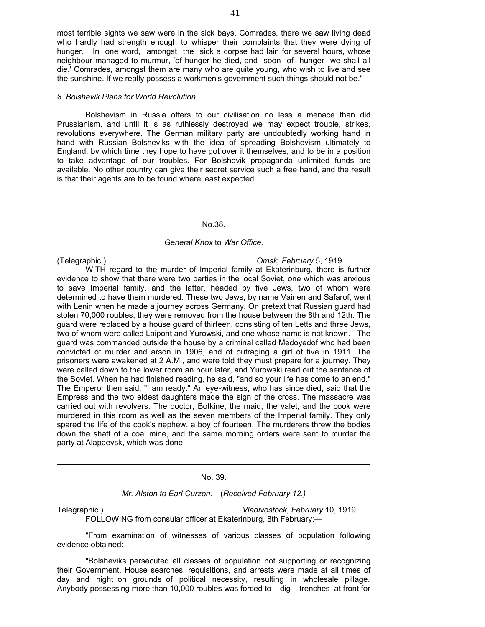most terrible sights we saw were in the sick bays. Comrades, there we saw living dead who hardly had strength enough to whisper their complaints that they were dying of hunger. In one word, amongst the sick a corpse had lain for several hours, whose neighbour managed to murmur, 'of hunger he died, and soon of hunger we shall all die.' Comrades, amongst them are many who are quite young, who wish to live and see the sunshine. If we really possess a workmen's government such things should not be."

#### *8. Bolshevik Plans for World Revolution.*

 Bolshevism in Russia offers to our civilisation no less a menace than did Prussianism, and until it is as ruthlessly destroyed we may expect trouble, strikes, revolutions everywhere. The German military party are undoubtedly working hand in hand with Russian Bolsheviks with the idea of spreading Bolshevism ultimately to England, by which time they hope to have got over it themselves, and to be in a position to take advantage of our troubles. For Bolshevik propaganda unlimited funds are available. No other country can give their secret service such a free hand, and the result is that their agents are to be found where least expected.

# No.38.

#### *General Knox* to *War Office.*

(Telegraphic.) *Omsk, February* 5, 1919. WITH regard to the murder of Imperial family at Ekaterinburg, there is further evidence to show that there were two parties in the local Soviet, one which was anxious to save Imperial family, and the latter, headed by five Jews, two of whom were determined to have them murdered. These two Jews, by name Vainen and Safarof, went with Lenin when he made a journey across Germany. On pretext that Russian guard had stolen 70,000 roubles, they were removed from the house between the 8th and 12th. The guard were replaced by a house guard of thirteen, consisting of ten Letts and three Jews, two of whom were called Laipont and Yurowski, and one whose name is not known. The guard was commanded outside the house by a criminal called Medoyedof who had been convicted of murder and arson in 1906, and of outraging a girl of five in 1911. The prisoners were awakened at 2 A.M., and were told they must prepare for a journey. They were called down to the lower room an hour later, and Yurowski read out the sentence of the Soviet. When he had finished reading, he said, "and so your life has come to an end." The Emperor then said, "I am ready." An eye-witness, who has since died, said that the Empress and the two eldest daughters made the sign of the cross. The massacre was carried out with revolvers. The doctor, Botkine, the maid, the valet, and the cook were murdered in this room as well as the seven members of the Imperial family. They only spared the life of the cook's nephew, a boy of fourteen. The murderers threw the bodies down the shaft of a coal mine, and the same morning orders were sent to murder the party at Alapaevsk, which was done.

# No. 39.

# *Mr. Alston to Earl Curzon.*―(*Received February 12.)*

Telegraphic.) *Vladivostock, February* 10, 1919. FOLLOWING from consular officer at Ekaterinburg, 8th February:—

 "From examination of witnesses of various classes of population following evidence obtained:—

 "Bolsheviks persecuted all classes of population not supporting or recognizing their Government. House searches, requisitions, and arrests were made at all times of day and night on grounds of political necessity, resulting in wholesale pillage. Anybody possessing more than 10,000 roubles was forced to dig trenches at front for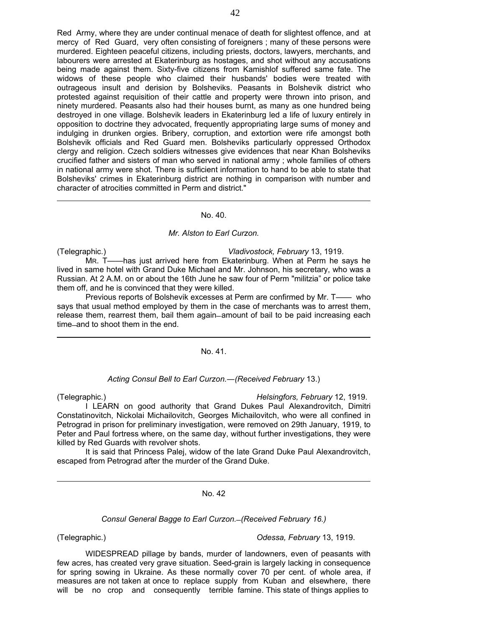Red Army, where they are under continual menace of death for slightest offence, and at mercy of Red Guard, very often consisting of foreigners ; many of these persons were murdered. Eighteen peaceful citizens, including priests, doctors, lawyers, merchants, and labourers were arrested at Ekaterinburg as hostages, and shot without any accusations being made against them. Sixty-five citizens from Kamishlof suffered same fate. The widows of these people who claimed their husbands' bodies were treated with outrageous insult and derision by Bolsheviks. Peasants in Bolshevik district who protested against requisition of their cattle and property were thrown into prison, and ninety murdered. Peasants also had their houses burnt, as many as one hundred being destroyed in one village. Bolshevik leaders in Ekaterinburg led a life of luxury entirely in opposition to doctrine they advocated, frequently appropriating large sums of money and indulging in drunken orgies. Bribery, corruption, and extortion were rife amongst both Bolshevik officials and Red Guard men. Bolsheviks particularly oppressed Orthodox clergy and religion. Czech soldiers witnesses give evidences that near Khan Bolsheviks crucified father and sisters of man who served in national army ; whole families of others in national army were shot. There is sufficient information to hand to be able to state that Bolsheviks' crimes in Ekaterinburg district are nothing in comparison with number and character of atrocities committed in Perm and district."

#### No. 40.

#### *Mr. Alston to Earl Curzon.*

#### (Telegraphic.) *Vladivostock, February* 13, 1919.

 MR. T——has just arrived here from Ekaterinburg. When at Perm he says he lived in same hotel with Grand Duke Michael and Mr. Johnson, his secretary, who was a Russian. At 2 A.M. on or about the 16th June he saw four of Perm "militzia" or police take them off, and he is convinced that they were killed.

 Previous reports of Bolshevik excesses at Perm are confirmed by Mr. T—— who says that usual method employed by them in the case of merchants was to arrest them, release them, rearrest them, bail them again-amount of bail to be paid increasing each time and to shoot them in the end.

# No. 41.

# *Acting Consul Bell to Earl Curzon.*―*(Received February* 13.)

(Telegraphic.) *Helsingfors, February* 12, 1919. I LEARN on good authority that Grand Dukes Paul Alexandrovitch, Dimitri Constatinovitch, Nickolai Michailovitch, Georges Michailovitch, who were all confined in Petrograd in prison for preliminary investigation, were removed on 29th January, 1919, to Peter and Paul fortress where, on the same day, without further investigations, they were killed by Red Guards with revolver shots.

 It is said that Princess Palej, widow of the late Grand Duke Paul Alexandrovitch, escaped from Petrograd after the murder of the Grand Duke.

#### No. 42

# *Consul General Bagge to Earl Curzon.* ̶*(Received February 16.)*

(Telegraphic.) *Odessa, February* 13, 1919.

 WIDESPREAD pillage by bands, murder of landowners, even of peasants with few acres, has created very grave situation. Seed-grain is largely lacking in consequence for spring sowing in Ukraine. As these normally cover 70 per cent. of whole area, if measures are not taken at once to replace supply from Kuban and elsewhere, there will be no crop and consequently terrible famine. This state of things applies to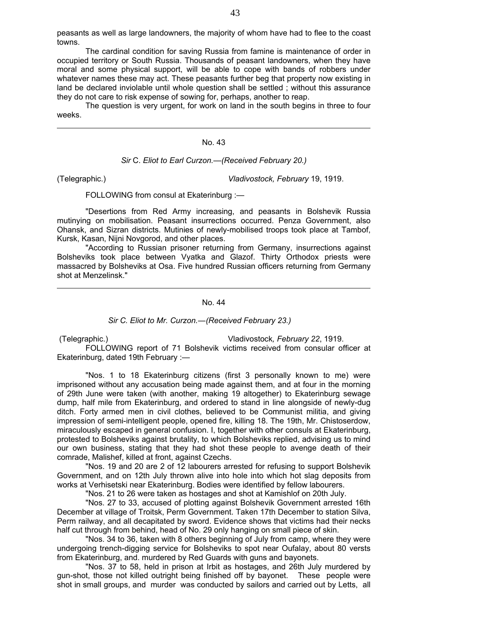peasants as well as large landowners, the majority of whom have had to flee to the coast towns.

 The cardinal condition for saving Russia from famine is maintenance of order in occupied territory or South Russia. Thousands of peasant landowners, when they have moral and some physical support, will be able to cope with bands of robbers under whatever names these may act. These peasants further beg that property now existing in land be declared inviolable until whole question shall be settled ; without this assurance they do not care to risk expense of sowing for, perhaps, another to reap.

 The question is very urgent, for work on land in the south begins in three to four weeks.

No. 43

# *Sir* C. *Eliot to Earl Curzon.*—*(Received February 20.)*

(Telegraphic.) *Vladivostock, February* 19, 1919.

FOLLOWING from consul at Ekaterinburg :—

 "Desertions from Red Army increasing, and peasants in Bolshevik Russia mutinying on mobilisation. Peasant insurrections occurred. Penza Government, also Ohansk, and Sizran districts. Mutinies of newly-mobilised troops took place at Tambof, Kursk, Kasan, Nijni Novgorod, and other places.

 "According to Russian prisoner returning from Germany, insurrections against Bolsheviks took place between Vyatka and Glazof. Thirty Orthodox priests were massacred by Bolsheviks at Osa. Five hundred Russian officers returning from Germany shot at Menzelinsk."

No. 44

*Sir C. Eliot to Mr. Curzon.*―*(Received February 23.)* 

(Telegraphic.) Vladivostock*, February 22*, 1919.

 FOLLOWING report of 71 Bolshevik victims received from consular officer at Ekaterinburg, dated 19th February :—

 "Nos. 1 to 18 Ekaterinburg citizens (first 3 personally known to me) were imprisoned without any accusation being made against them, and at four in the morning of 29th June were taken (with another, making 19 altogether) to Ekaterinburg sewage dump, half mile from Ekaterinburg, and ordered to stand in line alongside of newly-dug ditch. Forty armed men in civil clothes, believed to be Communist militia, and giving impression of semi-intelligent people, opened fire, killing 18. The 19th, Mr. Chistoserdow, miraculously escaped in general confusion. I, together with other consuls at Ekaterinburg, protested to Bolsheviks against brutality, to which Bolsheviks replied, advising us to mind our own business, stating that they had shot these people to avenge death of their comrade, Malishef, killed at front, against Czechs.

 "Nos. 19 and 20 are 2 of 12 labourers arrested for refusing to support Bolshevik Government, and on 12th July thrown alive into hole into which hot slag deposits from works at Verhisetski near Ekaterinburg. Bodies were identified by fellow labourers.

"Nos. 21 to 26 were taken as hostages and shot at Kamishlof on 20th July.

 "Nos. 27 to 33, accused of plotting against Bolshevik Government arrested 16th December at village of Troitsk, Perm Government. Taken 17th December to station Silva, Perm railway, and all decapitated by sword. Evidence shows that victims had their necks half cut through from behind, head of No. 29 only hanging on small piece of skin.

 "Nos. 34 to 36, taken with 8 others beginning of July from camp, where they were undergoing trench-digging service for Bolsheviks to spot near Oufalay, about 80 versts from Ekaterinburg, and. murdered by Red Guards with guns and bayonets.

 "Nos. 37 to 58, held in prison at Irbit as hostages, and 26th July murdered by gun-shot, those not killed outright being finished off by bayonet. These people were shot in small groups, and murder was conducted by sailors and carried out by Letts, all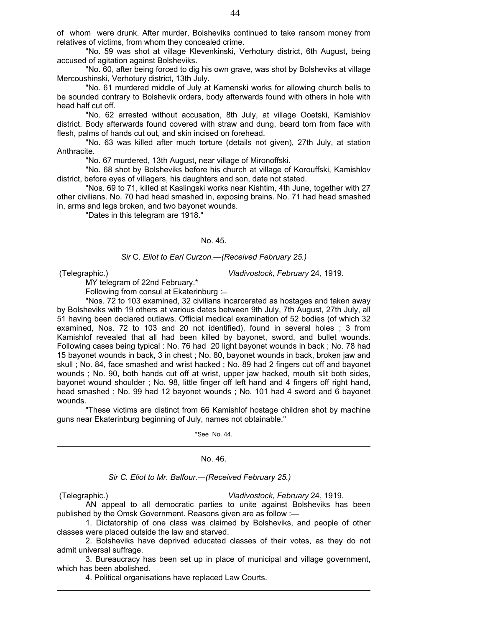of whom were drunk. After murder, Bolsheviks continued to take ransom money from relatives of victims, from whom they concealed crime.

 "No. 59 was shot at village Klevenkinski, Verhotury district, 6th August, being accused of agitation against Bolsheviks.

 "No. 60, after being forced to dig his own grave, was shot by Bolsheviks at village Mercoushinski, Verhotury district, 13th July.

 "No. 61 murdered middle of July at Kamenski works for allowing church bells to be sounded contrary to Bolshevik orders, body afterwards found with others in hole with head half cut off.

 "No. 62 arrested without accusation, 8th July, at village Ooetski, Kamishlov district. Body afterwards found covered with straw and dung, beard torn from face with flesh, palms of hands cut out, and skin incised on forehead.

 "No. 63 was killed after much torture (details not given), 27th July, at station Anthracite.

"No. 67 murdered, 13th August, near village of Mironoffski.

 "No. 68 shot by Bolsheviks before his church at village of Korouffski, Kamishlov district, before eyes of villagers, his daughters and son, date not stated.

 "Nos. 69 to 71, killed at Kaslingski works near Kishtim, 4th June, together with 27 other civilians. No. 70 had head smashed in, exposing brains. No. 71 had head smashed in, arms and legs broken, and two bayonet wounds.

"Dates in this telegram are 1918."

## No. 45.

## *Sir* C. *Eliot to Earl Curzon.—(Received February 25.)*

(Telegraphic.) *Vladivostock, February* 24, 1919.

MY telegram of 22nd February.\*

Following from consul at Ekaterinburg :-

 "Nos. 72 to 103 examined, 32 civilians incarcerated as hostages and taken away by Bolsheviks with 19 others at various dates between 9th July, 7th August, 27th July, all 51 having been declared outlaws. Official medical examination of 52 bodies (of which 32 examined, Nos. 72 to 103 and 20 not identified), found in several holes ; 3 from Kamishlof revealed that all had been killed by bayonet, sword, and bullet wounds. Following cases being typical : No. 76 had 20 light bayonet wounds in back ; No. 78 had 15 bayonet wounds in back, 3 in chest ; No. 80, bayonet wounds in back, broken jaw and skull ; No. 84, face smashed and wrist hacked ; No. 89 had 2 fingers cut off and bayonet wounds ; No. 90, both hands cut off at wrist, upper jaw hacked, mouth slit both sides, bayonet wound shoulder ; No. 98, little finger off left hand and 4 fingers off right hand, head smashed ; No. 99 had 12 bayonet wounds ; No. 101 had 4 sword and 6 bayonet wounds.

 "These victims are distinct from 66 Kamishlof hostage children shot by machine guns near Ekaterinburg beginning of July, names not obtainable."

\*See No. 44.

No. 46.

*Sir C. Eliot to Mr. Balfour.*―*(Received February 25.)* 

 (Telegraphic.) *Vladivostock, February* 24, 1919. AN appeal to all democratic parties to unite against Bolsheviks has been published by the Omsk Government. Reasons given are as follow :—

 1. Dictatorship of one class was claimed by Bolsheviks, and people of other classes were placed outside the law and starved.

 2. Bolsheviks have deprived educated classes of their votes, as they do not admit universal suffrage.

 3. Bureaucracy has been set up in place of municipal and village government, which has been abolished.

4. Political organisations have replaced Law Courts.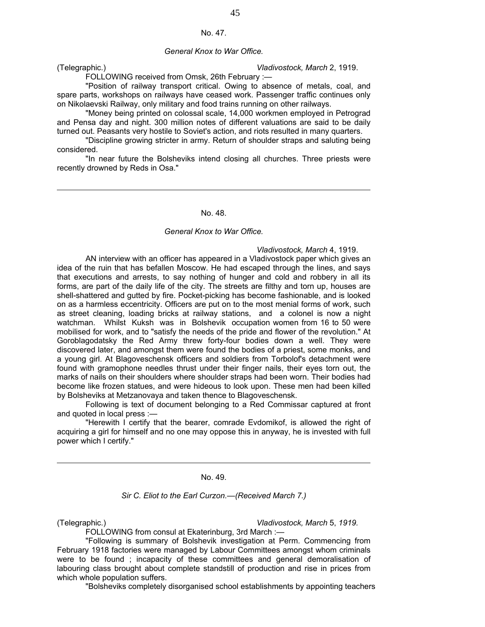45

# No. 47.

# *General Knox to War Office.*

(Telegraphic.) *Vladivostock, March* 2, 1919.

FOLLOWING received from Omsk, 26th February :—

 "Position of railway transport critical. Owing to absence of metals, coal, and spare parts, workshops on railways have ceased work. Passenger traffic continues only on Nikolaevski Railway, only military and food trains running on other railways.

 "Money being printed on colossal scale, 14,000 workmen employed in Petrograd and Pensa day and night. 300 million notes of different valuations are said to be daily turned out. Peasants very hostile to Soviet's action, and riots resulted in many quarters.

 "Discipline growing stricter in army. Return of shoulder straps and saluting being considered.

 "In near future the Bolsheviks intend closing all churches. Three priests were recently drowned by Reds in Osa."

#### No. 48.

#### *General Knox to War Office.*

#### *Vladivostock, March* 4, 1919.

 AN interview with an officer has appeared in a Vladivostock paper which gives an idea of the ruin that has befallen Moscow. He had escaped through the lines, and says that executions and arrests, to say nothing of hunger and cold and robbery in all its forms, are part of the daily life of the city. The streets are filthy and torn up, houses are shell-shattered and gutted by fire. Pocket-picking has become fashionable, and is looked on as a harmless eccentricity. Officers are put on to the most menial forms of work, such as street cleaning, loading bricks at railway stations, and a colonel is now a night watchman. Whilst Kuksh was in Bolshevik occupation women from 16 to 50 were mobilised for work, and to "satisfy the needs of the pride and flower of the revolution." At Goroblagodatsky the Red Army threw forty-four bodies down a well. They were discovered later, and amongst them were found the bodies of a priest, some monks, and a young girl. At Blagoveschensk officers and soldiers from Torbolof's detachment were found with gramophone needles thrust under their finger nails, their eyes torn out, the marks of nails on their shoulders where shoulder straps had been worn. Their bodies had become like frozen statues, and were hideous to look upon. These men had been killed by Bolsheviks at Metzanovaya and taken thence to Blagoveschensk.

 Following is text of document belonging to a Red Commissar captured at front and quoted in local press :—

 "Herewith I certify that the bearer, comrade Evdomikof, is allowed the right of acquiring a girl for himself and no one may oppose this in anyway, he is invested with full power which I certify."

#### No. 49.

*Sir C. Eliot to the Earl Curzon.—(Received March 7.)* 

(Telegraphic.) *Vladivostock, March* 5, *1919.* 

FOLLOWING from consul at Ekaterinburg, 3rd March :—

 "Following is summary of Bolshevik investigation at Perm. Commencing from February 1918 factories were managed by Labour Committees amongst whom criminals were to be found ; incapacity of these committees and general demoralisation of labouring class brought about complete standstill of production and rise in prices from which whole population suffers.

"Bolsheviks completely disorganised school establishments by appointing teachers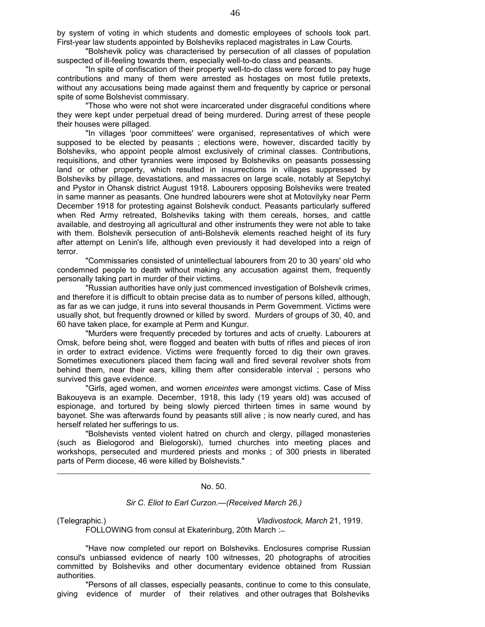by system of voting in which students and domestic employees of schools took part. First-year law students appointed by Bolsheviks replaced magistrates in Law Courts.

 "Bolshevik policy was characterised by persecution of all classes of population suspected of ill-feeling towards them, especially well-to-do class and peasants.

 "In spite of confiscation of their property well-to-do class were forced to pay huge contributions and many of them were arrested as hostages on most futile pretexts, without any accusations being made against them and frequently by caprice or personal spite of some Bolshevist commissary.

 "Those who were not shot were incarcerated under disgraceful conditions where they were kept under perpetual dread of being murdered. During arrest of these people their houses were pillaged.

 "In villages 'poor committees' were organised, representatives of which were supposed to be elected by peasants ; elections were, however, discarded tacitly by Bolsheviks, who appoint people almost exclusively of criminal classes. Contributions, requisitions, and other tyrannies were imposed by Bolsheviks on peasants possessing land or other property, which resulted in insurrections in villages suppressed by Bolsheviks by pillage, devastations, and massacres on large scale, notably at Sepytchyi and Pystor in Ohansk district August 1918. Labourers opposing Bolsheviks were treated in same manner as peasants. One hundred labourers were shot at Motovilyky near Perm December 1918 for protesting against Bolshevik conduct. Peasants particularly suffered when Red Army retreated, Bolsheviks taking with them cereals, horses, and cattle available, and destroying all agricultural and other instruments they were not able to take with them. Bolshevik persecution of anti-Bolshevik elements reached height of its fury after attempt on Lenin's life, although even previously it had developed into a reign of terror.

 "Commissaries consisted of unintellectual labourers from 20 to 30 years' old who condemned people to death without making any accusation against them, frequently personally taking part in murder of their victims.

 "Russian authorities have only just commenced investigation of Bolshevik crimes, and therefore it is difficult to obtain precise data as to number of persons killed, although, as far as we can judge, it runs into several thousands in Perm Government. Victims were usually shot, but frequently drowned or killed by sword. Murders of groups of 30, 40, and 60 have taken place, for example at Perm and Kungur.

 "Murders were frequently preceded by tortures and acts of cruelty. Labourers at Omsk, before being shot, were flogged and beaten with butts of rifles and pieces of iron in order to extract evidence. Victims were frequently forced to dig their own graves. Sometimes executioners placed them facing wall and fired several revolver shots from behind them, near their ears, killing them after considerable interval ; persons who survived this gave evidence.

 "Girls, aged women, and women *enceintes* were amongst victims. Case of Miss Bakouyeva is an example. December, 1918, this lady (19 years old) was accused of espionage, and tortured by being slowly pierced thirteen times in same wound by bayonet. She was afterwards found by peasants still alive ; is now nearly cured, and has herself related her sufferings to us.

 "Bolshevists vented violent hatred on church and clergy, pillaged monasteries (such as Bielogorod and Bielogorski), turned churches into meeting places and workshops, persecuted and murdered priests and monks ; of 300 priests in liberated parts of Perm diocese, 46 were killed by Bolshevists."

#### No. 50.

#### *Sir C*. *Eliot to Earl Curzon.—(Received March 26.)*

(Telegraphic.) *Vladivostock, March* 21, 1919.

FOLLOWING from consul at Ekaterinburg, 20th March :-

 "Have now completed our report on Bolsheviks. Enclosures comprise Russian consul's unbiassed evidence of nearly 100 witnesses, 20 photographs of atrocities committed by Bolsheviks and other documentary evidence obtained from Russian authorities.

 "Persons of all classes, especially peasants, continue to come to this consulate, giving evidence of murder of their relatives and other outrages that Bolsheviks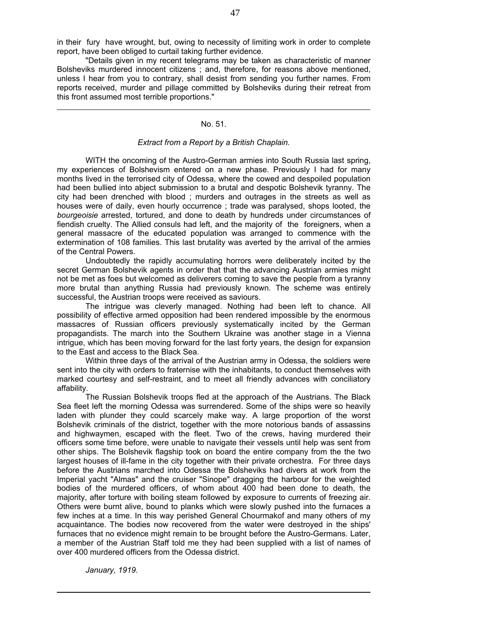in their fury have wrought, but, owing to necessity of limiting work in order to complete report, have been obliged to curtail taking further evidence.

 "Details given in my recent telegrams may be taken as characteristic of manner Bolsheviks murdered innocent citizens ; and, therefore, for reasons above mentioned, unless I hear from you to contrary, shall desist from sending you further names. From reports received, murder and pillage committed by Bolsheviks during their retreat from this front assumed most terrible proportions."

## No. 51.

## *Extract from a Report by a British Chaplain.*

 WITH the oncoming of the Austro-German armies into South Russia last spring, my experiences of Bolshevism entered on a new phase. Previously I had for many months lived in the terrorised city of Odessa, where the cowed and despoiled population had been bullied into abject submission to a brutal and despotic Bolshevik tyranny. The city had been drenched with blood ; murders and outrages in the streets as well as houses were of daily, even hourly occurrence ; trade was paralysed, shops looted, the *bourgeoisie* arrested, tortured, and done to death by hundreds under circumstances of fiendish cruelty. The Allied consuls had left, and the majority of the foreigners, when a general massacre of the educated population was arranged to commence with the extermination of 108 families. This last brutality was averted by the arrival of the armies of the Central Powers.

 Undoubtedly the rapidly accumulating horrors were deliberately incited by the secret German Bolshevik agents in order that that the advancing Austrian armies might not be met as foes but welcomed as deliverers coming to save the people from a tyranny more brutal than anything Russia had previously known. The scheme was entirely successful, the Austrian troops were received as saviours.

 The intrigue was cleverly managed. Nothing had been left to chance. All possibility of effective armed opposition had been rendered impossible by the enormous massacres of Russian officers previously systematically incited by the German propagandists. The march into the Southern Ukraine was another stage in a Vienna intrigue, which has been moving forward for the last forty years, the design for expansion to the East and access to the Black Sea.

 Within three days of the arrival of the Austrian army in Odessa, the soldiers were sent into the city with orders to fraternise with the inhabitants, to conduct themselves with marked courtesy and self-restraint, and to meet all friendly advances with conciliatory affability.

 The Russian Bolshevik troops fled at the approach of the Austrians. The Black Sea fleet left the morning Odessa was surrendered. Some of the ships were so heavily laden with plunder they could scarcely make way. A large proportion of the worst Bolshevik criminals of the district, together with the more notorious bands of assassins and highwaymen, escaped with the fleet. Two of the crews, having murdered their officers some time before, were unable to navigate their vessels until help was sent from other ships. The Bolshevik flagship took on board the entire company from the the two largest houses of ill-fame in the city together with their private orchestra. For three days before the Austrians marched into Odessa the Bolsheviks had divers at work from the Imperial yacht "Almas" and the cruiser "Sinope" dragging the harbour for the weighted bodies of the murdered officers, of whom about 400 had been done to death, the majority, after torture with boiling steam followed by exposure to currents of freezing air. Others were burnt alive, bound to planks which were slowly pushed into the furnaces a few inches at a time. In this way perished General Chourmakof and many others of my acquaintance. The bodies now recovered from the water were destroyed in the ships' furnaces that no evidence might remain to be brought before the Austro-Germans. Later, a member of the Austrian Staff told me they had been supplied with a list of names of over 400 murdered officers from the Odessa district.

 *January, 1919.*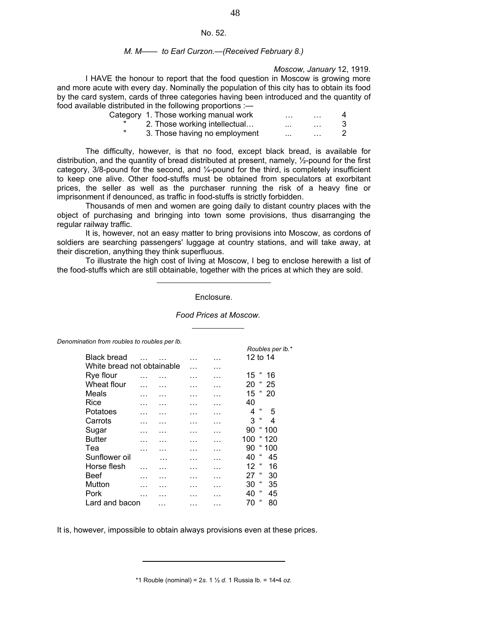## No. 52.

## *M. M—— to Earl Curzon.—(Received February 8.)*

*Moscow, January* 12, 1919.

 I HAVE the honour to report that the food question in Moscow is growing more and more acute with every day. Nominally the population of this city has to obtain its food by the card system, cards of three categories having been introduced and the quantity of food available distributed in the following proportions :—

| Category 1. Those working manual work | $\cdots$ | .        |  |
|---------------------------------------|----------|----------|--|
| 2. Those working intellectual         | $\cdots$ | $\cdots$ |  |
| 3. Those having no employment         |          | .        |  |

 The difficulty, however, is that no food, except black bread, is available for distribution, and the quantity of bread distributed at present, namely, ½-pound for the first category,  $3/8$ -pound for the second, and  $\frac{1}{4}$ -pound for the third, is completely insufficient to keep one alive. Other food-stuffs must be obtained from speculators at exorbitant prices, the seller as well as the purchaser running the risk of a heavy fine or imprisonment if denounced, as traffic in food-stuffs is strictly forbidden.

 Thousands of men and women are going daily to distant country places with the object of purchasing and bringing into town some provisions, thus disarranging the regular railway traffic.

 It is, however, not an easy matter to bring provisions into Moscow, as cordons of soldiers are searching passengers' luggage at country stations, and will take away, at their discretion, anything they think superfluous.

 To illustrate the high cost of living at Moscow, I beg to enclose herewith a list of the food-stuffs which are still obtainable, together with the prices at which they are sold.

Enclosure.

*Food Prices at Moscow.* 

*Denomination from roubles to roubles per lb.* 

|                            |  |   |   |   | Roubles per lb.*               |
|----------------------------|--|---|---|---|--------------------------------|
| <b>Black bread</b>         |  |   | . | . | 12 to 14                       |
| White bread not obtainable |  |   |   | . |                                |
| Rye flour                  |  |   |   | . | 15<br>16                       |
| Wheat flour                |  | . | . | . | 25<br>20                       |
| Meals                      |  | . | . | . | ű<br>15<br>20                  |
| Rice                       |  |   |   | . | 40                             |
| Potatoes                   |  |   |   | . | ĸ<br>5<br>4                    |
| Carrots                    |  |   |   | . | $\epsilon$<br>3<br>4           |
| Sugar                      |  |   |   |   | 100<br>90                      |
| <b>Butter</b>              |  | . | . | . | 120<br>100                     |
| Tea                        |  |   | . | . | 100<br>90                      |
| Sunflower oil              |  |   |   |   | "<br>40<br>45                  |
| Horse flesh                |  | . | . | . | ť<br>12<br>16                  |
| Beef                       |  | . |   | . | "<br>30<br>27                  |
| Mutton                     |  |   |   | . | $^{16}$<br>35<br>30            |
| Pork                       |  |   |   | . | $\boldsymbol{\mu}$<br>45<br>40 |
| Lard and bacon             |  |   | . | . | "<br>80<br>70                  |
|                            |  |   |   |   |                                |

It is, however, impossible to obtain always provisions even at these prices.

\*1 Rouble (nominal) = 2*s*. 1 ½ *d.* 1 Russia lb. = 14•4 *oz.*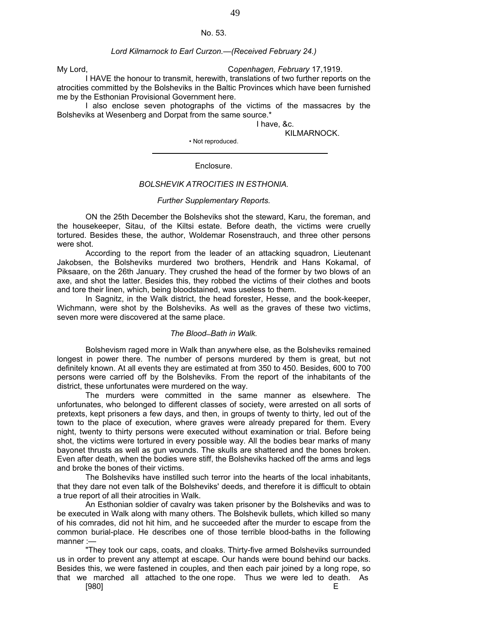#### No. 53.

# *Lord Kilmarnock to Earl Curzon.—(Received February 24.)*

## My Lord, C*openhagen, February* 17,1919.

 I HAVE the honour to transmit, herewith, translations of two further reports on the atrocities committed by the Bolsheviks in the Baltic Provinces which have been furnished me by the Esthonian Provisional Government here.

 I also enclose seven photographs of the victims of the massacres by the Bolsheviks at Wesenberg and Dorpat from the same source.\*

#### I have, &c.

KILMARNOCK.

• Not reproduced.

### Enclosure.

## *BOLSHEVIK ATROCITIES IN ESTHONIA.*

## *Further Supplementary Reports.*

 ON the 25th December the Bolsheviks shot the steward, Karu, the foreman, and the housekeeper, Sitau, of the Kiltsi estate. Before death, the victims were cruelly tortured. Besides these, the author, Woldemar Rosenstrauch, and three other persons were shot.

 According to the report from the leader of an attacking squadron, Lieutenant Jakobsen, the Bolsheviks murdered two brothers, Hendrik and Hans Kokamal, of Piksaare, on the 26th January. They crushed the head of the former by two blows of an axe, and shot the latter. Besides this, they robbed the victims of their clothes and boots and tore their linen, which, being bloodstained, was useless to them.

 In Sagnitz, in the Walk district, the head forester, Hesse, and the book-keeper, Wichmann, were shot by the Bolsheviks. As well as the graves of these two victims, seven more were discovered at the same place.

## *The Blood\_Bath in Walk.*

 Bolshevism raged more in Walk than anywhere else, as the Bolsheviks remained longest in power there. The number of persons murdered by them is great, but not definitely known. At all events they are estimated at from 350 to 450. Besides, 600 to 700 persons were carried off by the Bolsheviks. From the report of the inhabitants of the district, these unfortunates were murdered on the way.

 The murders were committed in the same manner as elsewhere. The unfortunates, who belonged to different classes of society, were arrested on all sorts of pretexts, kept prisoners a few days, and then, in groups of twenty to thirty, led out of the town to the place of execution, where graves were already prepared for them. Every night, twenty to thirty persons were executed without examination or trial. Before being shot, the victims were tortured in every possible way. All the bodies bear marks of many bayonet thrusts as well as gun wounds. The skulls are shattered and the bones broken. Even after death, when the bodies were stiff, the Bolsheviks hacked off the arms and legs and broke the bones of their victims.

 The Bolsheviks have instilled such terror into the hearts of the local inhabitants, that they dare not even talk of the Bolsheviks' deeds, and therefore it is difficult to obtain a true report of all their atrocities in Walk.

 An Esthonian soldier of cavalry was taken prisoner by the Bolsheviks and was to be executed in Walk along with many others. The Bolshevik bullets, which killed so many of his comrades, did not hit him, and he succeeded after the murder to escape from the common burial-place. He describes one of those terrible blood-baths in the following manner :—

 "They took our caps, coats, and cloaks. Thirty-five armed Bolsheviks surrounded us in order to prevent any attempt at escape. Our hands were bound behind our backs. Besides this, we were fastened in couples, and then each pair joined by a long rope, so that we marched all attached to the one rope. Thus we were led to death. As [980] E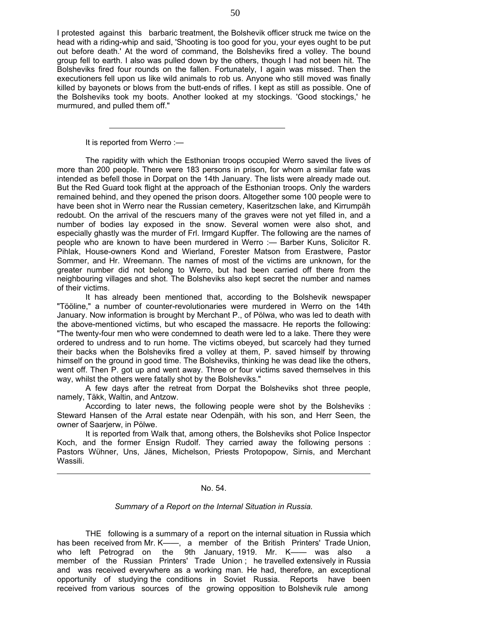I protested against this barbaric treatment, the Bolshevik officer struck me twice on the head with a riding-whip and said, 'Shooting is too good for you, your eyes ought to be put out before death.' At the word of command, the Bolsheviks fired a volley. The bound group fell to earth. I also was pulled down by the others, though I had not been hit. The Bolsheviks fired four rounds on the fallen. Fortunately, I again was missed. Then the executioners fell upon us like wild animals to rob us. Anyone who still moved was finally killed by bayonets or blows from the butt-ends of rifles. I kept as still as possible. One of the Bolsheviks took my boots. Another looked at my stockings. 'Good stockings,' he murmured, and pulled them off."

It is reported from Werro :—

 The rapidity with which the Esthonian troops occupied Werro saved the lives of more than 200 people. There were 183 persons in prison, for whom a similar fate was intended as befell those in Dorpat on the 14th January. The lists were already made out. But the Red Guard took flight at the approach of the Esthonian troops. Only the warders remained behind, and they opened the prison doors. Altogether some 100 people were to have been shot in Werro near the Russian cemetery, Kaseritzschen lake, and Kirrumpäh redoubt. On the arrival of the rescuers many of the graves were not yet filled in, and a number of bodies lay exposed in the snow. Several women were also shot, and especially ghastly was the murder of Frl. Irmgard Kupffer. The following are the names of people who are known to have been murdered in Werro :— Barber Kuns, Solicitor R. Pihlak, House-owners Kond and Wierland, Forester Matson from Erastwere, Pastor Sommer, and Hr. Wreemann. The names of most of the victims are unknown, for the greater number did not belong to Werro, but had been carried off there from the neighbouring villages and shot. The Bolsheviks also kept secret the number and names of their victims.

 It has already been mentioned that, according to the Bolshevik newspaper "Tööline," a number of counter-revolutionaries were murdered in Werro on the 14th January. Now information is brought by Merchant P., of Pölwa, who was led to death with the above-mentioned victims, but who escaped the massacre. He reports the following: "The twenty-four men who were condemned to death were led to a lake. There they were ordered to undress and to run home. The victims obeyed, but scarcely had they turned their backs when the Bolsheviks fired a volley at them, P. saved himself by throwing himself on the ground in good time. The Bolsheviks, thinking he was dead like the others, went off. Then P. got up and went away. Three or four victims saved themselves in this way, whilst the others were fatally shot by the Bolsheviks."

 A few days after the retreat from Dorpat the Bolsheviks shot three people, namely, Täkk, Waltin, and Antzow.

 According to later news, the following people were shot by the Bolsheviks : Steward Hansen of the Arral estate near Odenpäh, with his son, and Herr Seen, the owner of Saarjerw, in Pölwe.

 It is reported from Walk that, among others, the Bolsheviks shot Police Inspector Koch, and the former Ensign Rudolf. They carried away the following persons : Pastors Wϋhner, Uns, Jänes, Michelson, Priests Protopopow, Sirnis, and Merchant Wassili.

# No. 54.

## *Summary of a Report on the Internal Situation in Russia.*

 THE following is a summary of a report on the internal situation in Russia which has been received from Mr. K——, a member of the British Printers' Trade Union, who left Petrograd on the 9th January, 1919. Mr. K—— was also a member of the Russian Printers' Trade Union ; he travelled extensively in Russia and was received everywhere as a working man. He had, therefore, an exceptional opportunity of studying the conditions in Soviet Russia. Reports have been received from various sources of the growing opposition to Bolshevik rule among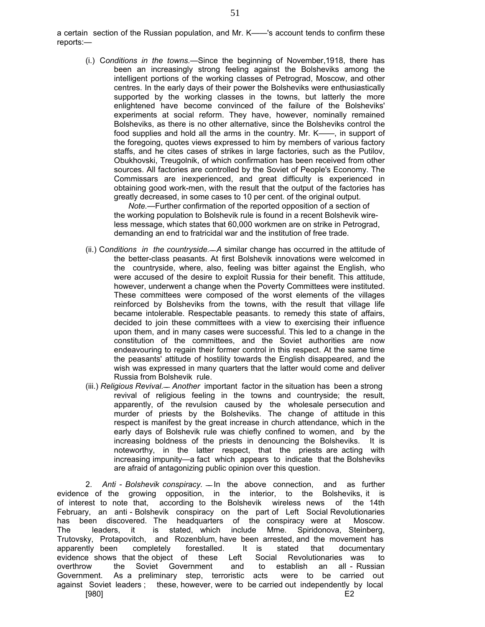a certain section of the Russian population, and Mr. K——'s account tends to confirm these reports:—

(i.) C*onditions in the towns.*—Since the beginning of November,1918, there has been an increasingly strong feeling against the Bolsheviks among the intelligent portions of the working classes of Petrograd, Moscow, and other centres. In the early days of their power the Bolsheviks were enthusiastically supported by the working classes in the towns, but latterly the more enlightened have become convinced of the failure of the Bolsheviks' experiments at social reform. They have, however, nominally remained Bolsheviks, as there is no other alternative, since the Bolsheviks control the food supplies and hold all the arms in the country. Mr. K——, in support of the foregoing, quotes views expressed to him by members of various factory staffs, and he cites cases of strikes in large factories, such as the Putilov, Obukhovski, Treugolnik, of which confirmation has been received from other sources. All factories are controlled by the Soviet of People's Economy. The Commissars are inexperienced, and great difficulty is experienced in obtaining good work-men, with the result that the output of the factories has greatly decreased, in some cases to 10 per cent. of the original output.

 *Note.*—Further confirmation of the reported opposition of a section of the working population to Bolshevik rule is found in a recent Bolshevik wire less message, which states that 60,000 workmen are on strike in Petrograd, demanding an end to fratricidal war and the institution of free trade.

- (ii.) C*onditions in the countryside. ̶̶ A* similar change has occurred in the attitude of the better-class peasants. At first Bolshevik innovations were welcomed in the countryside, where, also, feeling was bitter against the English, who were accused of the desire to exploit Russia for their benefit. This attitude, however, underwent a change when the Poverty Committees were instituted. These committees were composed of the worst elements of the villages reinforced by Bolsheviks from the towns, with the result that village life became intolerable. Respectable peasants. to remedy this state of affairs, decided to join these committees with a view to exercising their influence upon them, and in many cases were successful. This led to a change in the constitution of the committees, and the Soviet authorities are now endeavouring to regain their former control in this respect. At the same time the peasants' attitude of hostility towards the English disappeared, and the wish was expressed in many quarters that the latter would come and deliver Russia from Bolshevik rule.
- (iii.) *Religious Revival.* ̶̶ *Another* important factor in the situation has been a strong revival of religious feeling in the towns and countryside; the result, apparently, of the revulsion caused by the wholesale persecution and murder of priests by the Bolsheviks. The change of attitude in this respect is manifest by the great increase in church attendance, which in the early days of Bolshevik rule was chiefly confined to women, and by the increasing boldness of the priests in denouncing the Bolsheviks. It is noteworthy, in the latter respect, that the priests are acting with increasing impunity—a fact which appears to indicate that the Bolsheviks are afraid of antagonizing public opinion over this question.

 2. *Anti - Bolshevik conspiracy. ̶̶*In the above connection, and as further evidence of the growing opposition, in the interior, to the Bolsheviks, it is of interest to note that, according to the Bolshevik wireless news of the 14th February, an anti - Bolshevik conspiracy on the part of Left Social Revolutionaries has been discovered. The headquarters of the conspiracy were at Moscow. The leaders, it is stated, which include Mme. Spiridonova, Steinberg, Trutovsky, Protapovitch, and Rozenblum, have been arrested, and the movement has apparently been completely forestalled. It is stated that documentary evidence shows that the object of these Left Social Revolutionaries was to overthrow the Soviet Government and to establish an all - Russian Government. As a preliminary step, terroristic acts were to be carried out against Soviet leaders ; these, however, were to be carried out independently by local [980] E2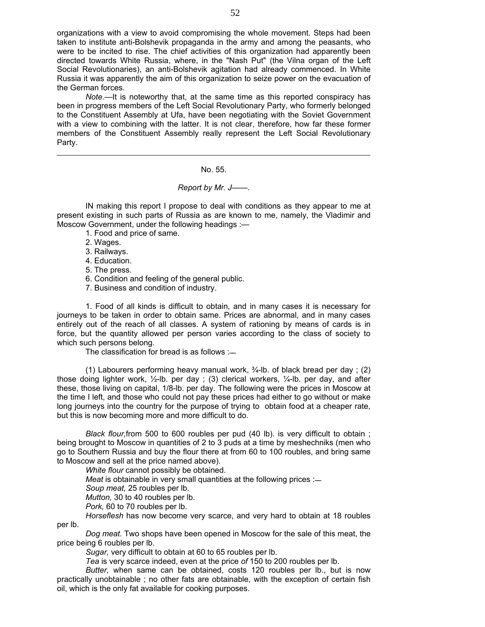organizations with a view to avoid compromising the whole movement. Steps had been taken to institute anti-Bolshevik propaganda in the army and among the peasants, who were to be incited to rise. The chief activities of this organization had apparently been directed towards White Russia, where, in the "Nash Put" (the Vilna organ of the Left Social Revolutionaries), an anti-Bolshevik agitation had already commenced. In White Russia it was apparently the aim of this organization to seize power on the evacuation of the German forces.

 *Note.*—It is noteworthy that, at the same time as this reported conspiracy has been in progress members of the Left Social Revolutionary Party, who formerly belonged to the Constituent Assembly at Ufa, have been negotiating with the Soviet Government with a view to combining with the latter. It is not clear, therefore, how far these former members of the Constituent Assembly really represent the Left Social Revolutionary Party.

# No. 55.

# *Report by Mr. J*——*.*

 IN making this report I propose to deal with conditions as they appear to me at present existing in such parts of Russia as are known to me, namely, the Vladimir and Moscow Government, under the following headings :—

- 1. Food and price of same.
- 2. Wages.

- 3. Railways.
- 4. Education.
- 5. The press.
- 6. Condition and feeling of the general public.
- 7. Business and condition of industry.

 1. Food of all kinds is difficult to obtain, and in many cases it is necessary for journeys to be taken in order to obtain same. Prices are abnormal, and in many cases entirely out of the reach of all classes. A system of rationing by means of cards is in force, but the quantity allowed per person varies according to the class of society to which such persons belong.

The classification for bread is as follows :—

(1) Labourers performing heavy manual work,  $\frac{3}{4}$ -lb. of black bread per day; (2) those doing lighter work, ½-lb. per day ; (3) clerical workers, ¼-lb. per day, and after these, those living on capital, 1/8-lb. per day. The following were the prices in Moscow at the time I left, and those who could not pay these prices had either to go without or make long journeys into the country for the purpose of trying to obtain food at a cheaper rate, but this is now becoming more and more difficult to do.

 *Black flour,*from 500 to 600 roubles per pud (40 lb). is very difficult to obtain ; being brought to Moscow in quantities of 2 to 3 puds at a time by meshechniks (men who go to Southern Russia and buy the flour there at from 60 to 100 roubles, and bring same to Moscow and sell at the price named above).

 *White flour* cannot possibly be obtained.

*Meat* is obtainable in very small quantities at the following prices :—

 *Soup meat,* 25 roubles per lb.

 *Mutton,* 30 to 40 roubles per lb.

 *Pork,* 60 to 70 roubles per lb.

 *Horseflesh* has now become very scarce, and very hard to obtain at 18 roubles per lb.

 *Dog meat.* Two shops have been opened in Moscow for the sale of this meat, the price being 6 roubles per lb.

 *Sugar,* very difficult to obtain at 60 to 65 roubles per lb.

 *Tea* is very scarce indeed, even at the price *of* 150 to 200 roubles per lb.

 *Butter,* when same can be obtained, costs 120 roubles per lb., but is now practically unobtainable ; no other fats are obtainable, with the exception of certain fish oil, which is the only fat available for cooking purposes.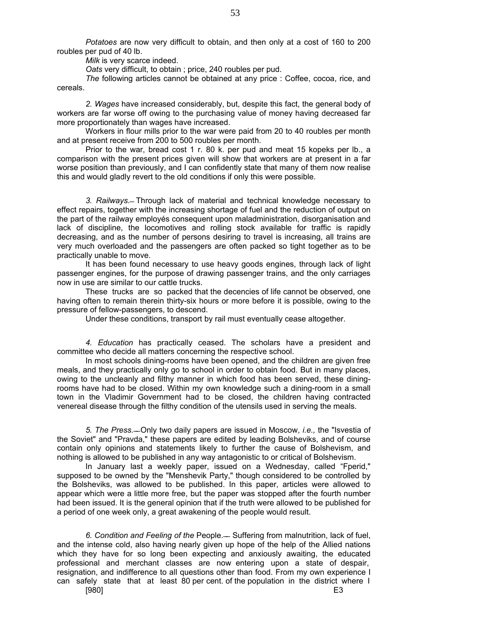*Potatoes* are now very difficult to obtain, and then only at a cost of 160 to 200 roubles per pud of 40 lb.

*Milk* is very scarce indeed.

 *Oats* very difficult, to obtain ; price, 240 roubles per pud.

 *The* following articles cannot be obtained at any price : Coffee, cocoa, rice, and cereals.

 *2. Wages* have increased considerably, but, despite this fact, the general body of workers are far worse off owing to the purchasing value of money having decreased far more proportionately than wages have increased.

 Workers in flour mills prior to the war were paid from 20 to 40 roubles per month and at present receive from 200 to 500 roubles per month.

Prior to the war, bread cost 1 r. 80 k. per pud and meat 15 kopeks per lb., a comparison with the present prices given will show that workers are at present in a far worse position than previously, and I can confidently state that many of them now realise this and would gladly revert to the old conditions if only this were possible.

 *3. Railways. ̶*Through lack of material and technical knowledge necessary to effect repairs, together with the increasing shortage of fuel and the reduction of output on the part of the railway employés consequent upon maladministration, disorganisation and lack of discipline, the locomotives and rolling stock available for traffic is rapidly decreasing, and as the number of persons desiring to travel is increasing, all trains are very much overloaded and the passengers are often packed so tight together as to be practically unable to move.

 It has been found necessary to use heavy goods engines, through lack of light passenger engines, for the purpose of drawing passenger trains, and the only carriages now in use are similar to our cattle trucks.

 These trucks are so packed that the decencies of life cannot be observed, one having often to remain therein thirty-six hours or more before it is possible, owing to the pressure of fellow-passengers, to descend.

Under these conditions, transport by rail must eventually cease altogether.

 *4. Education* has practically ceased. The scholars have a president and committee who decide all matters concerning the respective school.

 In most schools dining-rooms have been opened, and the children are given free meals, and they practically only go to school in order to obtain food. But in many places, owing to the uncleanly and filthy manner in which food has been served, these diningrooms have had to be closed. Within my own knowledge such a dining-room in a small town in the Vladimir Government had to be closed, the children having contracted venereal disease through the filthy condition of the utensils used in serving the meals.

 *5. The Press.* ̶̶Only two daily papers are issued in Moscow, *i.e.,* the "Isvestia of the Soviet" and "Pravda," these papers are edited by leading Bolsheviks, and of course contain only opinions and statements likely to further the cause of Bolshevism, and nothing is allowed to be published in any way antagonistic to or critical of Bolshevism.

 In January last a weekly paper, issued on a Wednesday, called "Fperid," supposed to be owned by the "Menshevik Party," though considered to be controlled by the Bolsheviks, was allowed to be published. In this paper, articles were allowed to appear which were a little more free, but the paper was stopped after the fourth number had been issued. It is the general opinion that if the truth were allowed to be published for a period of one week only, a great awakening of the people would result.

 *6. Condition and Feeling of the* People. ̶̶ Suffering from malnutrition, lack of fuel, and the intense cold, also having nearly given up hope of the help of the Allied nations which they have for so long been expecting and anxiously awaiting, the educated professional and merchant classes are now entering upon a state of despair, resignation, and indifference to all questions other than food. From my own experience I can safely state that at least 80 per cent. of the population in the district where I [980] E3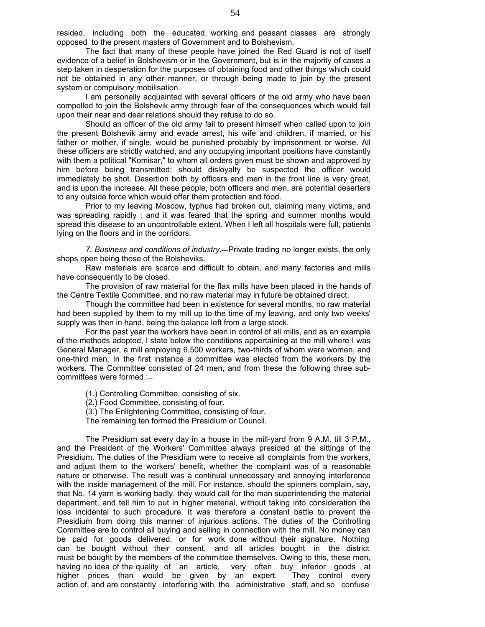resided, including both the educated, working and peasant classes are strongly opposed to the present masters of Government and to Bolshevism.

 The fact that many of these people have joined the Red Guard is not of itself evidence of a belief in Bolshevism or in the Government, but is in the majority of cases a step taken in desperation for the purposes of obtaining food and other things which could not be obtained in any other manner, or through being made to join by the present system or compulsory mobilisation.

 I am personally acquainted with several officers of the old army who have been compelled to join the Bolshevik army through fear of the consequences which would fall upon their near and dear relations should they refuse to do so.

 Should an officer of the old army fail to present himself when called upon to join the present Bolshevik army and evade arrest, his wife and children, if married, or his father or mother, if single, would be punished probably by imprisonment or worse. All these officers are strictly watched, and any occupying important positions have constantly with them a political "Komisar," to whom all orders given must be shown and approved by him before being transmitted; should disloyalty be suspected the officer would immediately be shot. Desertion both by officers and men in the front line is very great, and is upon the increase. All these people, both officers and men, are potential deserters to any outside force which would offer them protection and food.

 Prior to my leaving Moscow, typhus had broken out, claiming many victims, and was spreading rapidly ; and it was feared that the spring and summer months would spread this disease to an uncontrollable extent. When I left all hospitals were full, patients lying on the floors and in the corridors.

 *7. Business and conditions of industry.* ̶̶ Private trading no longer exists, the only shops open being those of the Bolsheviks.

 Raw materials are scarce and difficult to obtain, and many factories and mills have consequently to be closed.

 The provision of raw material for the flax mills have been placed in the hands of the Centre Textile Committee, and no raw material may in future be obtained direct.

 Though the committee had been in existence for several months, no raw material had been supplied by them to my mill up to the time of my leaving, and only two weeks' supply was then in hand, being the balance left from a large stock.

 For the past year the workers have been in control of all mills, and as an example of the methods adopted, I state below the conditions appertaining at the mill where I was General Manager, a mill employing 6,500 workers, two-thirds of whom were women, and one-third men. In the first instance a committee was elected from the workers by the workers. The Committee consisted of 24 men, and from these the following three subcommittees were formed :-

(1.) Controlling Committee, consisting of six.

(2.) Food Committee, consisting of four.

(3.) The Enlightening Committee, consisting of four.

The remaining ten formed the Presidium or Council.

 The Presidium sat every day in a house in the mill-yard from 9 A.M. till 3 P.M., and the President of the Workers' Committee always presided at the sittings of the Presidium. The duties of the Presidium were to receive all complaints from the workers, and adjust them to the workers' benefit, whether the complaint was of a reasonable nature or otherwise. The result was a continual unnecessary and annoying interference with the inside management of the mill. For instance, should the spinners complain, say, that No. 14 yarn is working badly, they would call for the man superintending the material department, and tell him to put in higher material, without taking into consideration the loss incidental to such procedure. It was therefore a constant battle to prevent the Presidium from doing this manner of injurious actions. The duties of the Controlling Committee are to control all buying and selling in connection with the mill. No money can be paid for goods delivered, or for work done without their signature. Nothing can be bought without their consent, and all articles bought in the district must be bought by the members of the committee themselves. Owing to this, these men, having no idea of the quality of an article, very often buy inferior goods at higher prices than would be given by an expert. They control every action of, and are constantly interfering with the administrative staff, and so confuse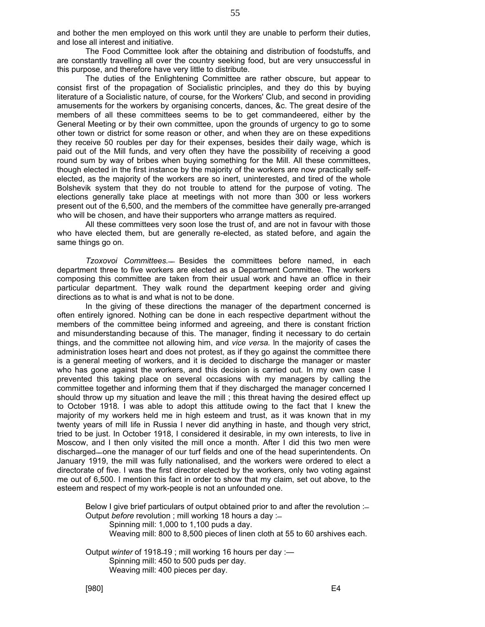and bother the men employed on this work until they are unable to perform their duties, and lose all interest and initiative.

 The Food Committee look after the obtaining and distribution of foodstuffs, and are constantly travelling all over the country seeking food, but are very unsuccessful in this purpose, and therefore have very little to distribute.

 The duties of the Enlightening Committee are rather obscure, but appear to consist first of the propagation of Socialistic principles, and they do this by buying literature of a Socialistic nature, of course, for the Workers' Club, and second in providing amusements for the workers by organising concerts, dances, &c. The great desire of the members of all these committees seems to be to get commandeered, either by the General Meeting or by their own committee, upon the grounds of urgency to go to some other town or district for some reason or other, and when they are on these expeditions they receive 50 roubles per day for their expenses, besides their daily wage, which is paid out of the Mill funds, and very often they have the possibility of receiving a good round sum by way of bribes when buying something for the Mill. All these committees, though elected in the first instance by the majority of the workers are now practically selfelected, as the majority of the workers are so inert, uninterested, and tired of the whole Bolshevik system that they do not trouble to attend for the purpose of voting. The elections generally take place at meetings with not more than 300 or less workers present out of the 6,500, and the members of the committee have generally pre-arranged who will be chosen, and have their supporters who arrange matters as required.

 All these committees very soon lose the trust of, and are not in favour with those who have elected them, but are generally re-elected, as stated before, and again the same things go on.

 *Tzoxovoi Committees.* ̶̶ Besides the committees before named, in each department three to five workers are elected as a Department Committee. The workers composing this committee are taken from their usual work and have an office in their particular department. They walk round the department keeping order and giving directions as to what is and what is not to be done.

 In the giving of these directions the manager of the department concerned is often entirely ignored. Nothing can be done in each respective department without the members of the committee being informed and agreeing, and there is constant friction and misunderstanding because of this. The manager, finding it necessary to do certain things, and the committee not allowing him, and *vice versa.* ln the majority of cases the administration loses heart and does not protest, as if they go against the committee there is a general meeting of workers, and it is decided to discharge the manager or master who has gone against the workers, and this decision is carried out. In my own case I prevented this taking place on several occasions with my managers by calling the committee together and informing them that if they discharged the manager concerned I should throw up my situation and leave the mill ; this threat having the desired effect up to October 1918*.* I was able to adopt this attitude owing to the fact that I knew the majority of my workers held me in high esteem and trust, as it was known that in my twenty years of mill life in Russia I never did anything in haste, and though very strict, tried to be just. In October 1918, I considered it desirable, in my own interests, to live in Moscow, and I then only visited the mill once a month. After I did this two men were discharged ̶̶ one the manager of our turf fields and one of the head superintendents. On January 1919, the mill was fully nationalised, and the workers were ordered to elect a directorate of five. I was the first director elected by the workers, only two voting against me out of 6,500. I mention this fact in order to show that my claim, set out above, to the esteem and respect of my work-people is not an unfounded one.

Below I give brief particulars of output obtained prior to and after the revolution :-Output *before* revolution ; mill working 18 hours a day :- Spinning mill: 1,000 to 1,100 puds a day. Weaving mill: 800 to 8,500 pieces of linen cloth at 55 to 60 arshives each.

Output *winter* of 1918–19; mill working 16 hours per day :- Spinning mill: 450 to 500 puds per day. Weaving mill: 400 pieces per day.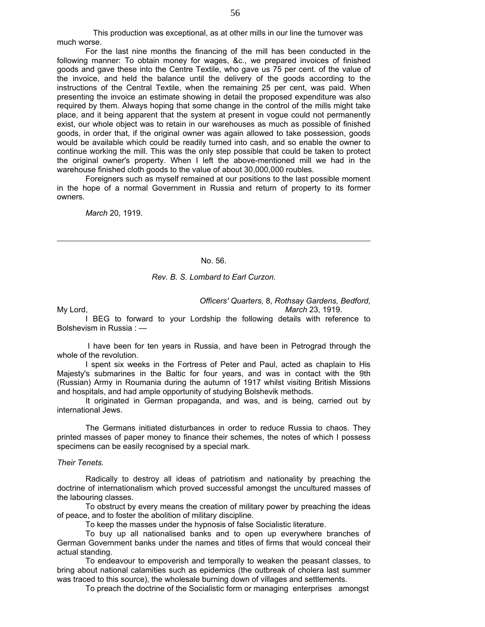This production was exceptional, as at other mills in our line the turnover was much worse.

 For the last nine months the financing of the mill has been conducted in the following manner: To obtain money for wages, &c., we prepared invoices of finished goods and gave these into the Centre Textile, who gave us 75 per cent. of the value of the invoice, and held the balance until the delivery of the goods according to the instructions of the Central Textile, when the remaining 25 per cent, was paid. When presenting the invoice an estimate showing in detail the proposed expenditure was also required by them. Always hoping that some change in the control of the mills might take place, and it being apparent that the system at present in vogue could not permanently exist, our whole object was to retain in our warehouses as much as possible of finished goods, in order that, if the original owner was again allowed to take possession, goods would be available which could be readily turned into cash, and so enable the owner to continue working the mill. This was the only step possible that could be taken to protect the original owner's property. When I left the above-mentioned mill we had in the warehouse finished cloth goods to the value of about 30,000,000 roubles.

 Foreigners such as myself remained at our positions to the last possible moment in the hope of a normal Government in Russia and return of property to its former owners.

 *March* 20, 1919.

#### No. 56.

# *Rev. B. S. Lombard to Earl Curzon.*

*Officers' Quarters,* 8, *Rothsay Gardens, Bedford,*  My Lord, *March* 23, 1919.

 I BEG to forward to your Lordship the following details with reference to Bolshevism in Russia : —

 I have been for ten years in Russia, and have been in Petrograd through the whole of the revolution.

 I spent six weeks in the Fortress of Peter and Paul, acted as chaplain to His Majesty's submarines in the Baltic for four years, and was in contact with the 9th (Russian) Army in Roumania during the autumn of 1917 whilst visiting British Missions and hospitals, and had ample opportunity of studying Bolshevik methods.

 It originated in German propaganda, and was, and is being, carried out by international Jews.

 The Germans initiated disturbances in order to reduce Russia to chaos. They printed masses of paper money to finance their schemes, the notes of which I possess specimens can be easily recognised by a special mark.

*Their Tenets.* 

 Radically to destroy all ideas of patriotism and nationality by preaching the doctrine of internationalism which proved successful amongst the uncultured masses of the labouring classes.

 To obstruct by every means the creation of military power by preaching the ideas of peace, and to foster the abolition of military discipline.

To keep the masses under the hypnosis of false Socialistic literature.

 To buy up all nationalised banks and to open up everywhere branches of German Government banks under the names and titles of firms that would conceal their actual standing.

 To endeavour to empoverish and temporally to weaken the peasant classes, to bring about national calamities such as epidemics (the outbreak of cholera last summer was traced to this source), the wholesale burning down of villages and settlements.

To preach the doctrine of the Socialistic form or managing enterprises amongst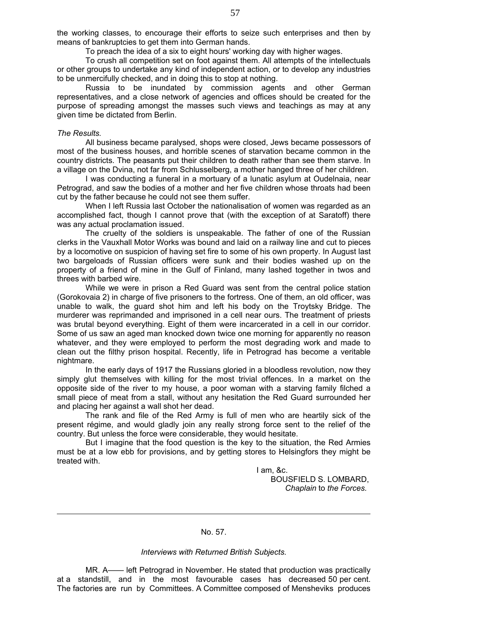the working classes, to encourage their efforts to seize such enterprises and then by means of bankruptcies to get them into German hands.

To preach the idea of a six to eight hours' working day with higher wages.

 To crush all competition set on foot against them. All attempts of the intellectuals or other groups to undertake any kind of independent action, or to develop any industries to be unmercifully checked, and in doing this to stop at nothing.

 Russia to be inundated by commission agents and other German representatives, and a close network of agencies and offices should be created for the purpose of spreading amongst the masses such views and teachings as may at any given time be dictated from Berlin.

## *The Results.*

 All business became paralysed, shops were closed, Jews became possessors of most of the business houses, and horrible scenes of starvation became common in the country districts. The peasants put their children to death rather than see them starve. In a village on the Dvina, not far from Schlusselberg, a mother hanged three of her children.

 I was conducting a funeral in a mortuary of a lunatic asylum at Oudelnaia, near Petrograd, and saw the bodies of a mother and her five children whose throats had been cut by the father because he could not see them suffer.

 When I left Russia last October the nationalisation of women was regarded as an accomplished fact, though I cannot prove that (with the exception of at Saratoff) there was any actual proclamation issued.

 The cruelty of the soldiers is unspeakable. The father of one of the Russian clerks in the Vauxhall Motor Works was bound and laid on a railway line and cut to pieces by a locomotive on suspicion of having set fire to some of his own property. In August last two bargeloads of Russian officers were sunk and their bodies washed up on the property of a friend of mine in the Gulf of Finland, many lashed together in twos and threes with barbed wire.

 While we were in prison a Red Guard was sent from the central police station (Gorokovaia 2) in charge of five prisoners to the fortress. One of them, an old officer, was unable to walk, the guard shot him and left his body on the Troytsky Bridge. The murderer was reprimanded and imprisoned in a cell near ours. The treatment of priests was brutal beyond everything. Eight of them were incarcerated in a cell in our corridor. Some of us saw an aged man knocked down twice one morning for apparently no reason whatever, and they were employed to perform the most degrading work and made to clean out the filthy prison hospital. Recently, life in Petrograd has become a veritable nightmare.

 In the early days of 1917 the Russians gloried in a bloodless revolution, now they simply glut themselves with killing for the most trivial offences. In a market on the opposite side of the river to my house, a poor woman with a starving family filched a small piece of meat from a stall, without any hesitation the Red Guard surrounded her and placing her against a wall shot her dead.

 The rank and file of the Red Army is full of men who are heartily sick of the present régime, and would gladly join any really strong force sent to the relief of the country. But unless the force were considerable, they would hesitate.

 But I imagine that the food question is the key to the situation, the Red Armies must be at a low ebb for provisions, and by getting stores to Helsingfors they might be treated with.

I am, &c.

 BOUSFIELD S. LOMBARD,  *Chaplain* to *the Forces.* 

## No. 57.

## *Interviews with Returned British Subjects.*

 MR. A—— left Petrograd in November. He stated that production was practically at a standstill, and in the most favourable cases has decreased 50 per cent. The factories are run by Committees. A Committee composed of Mensheviks produces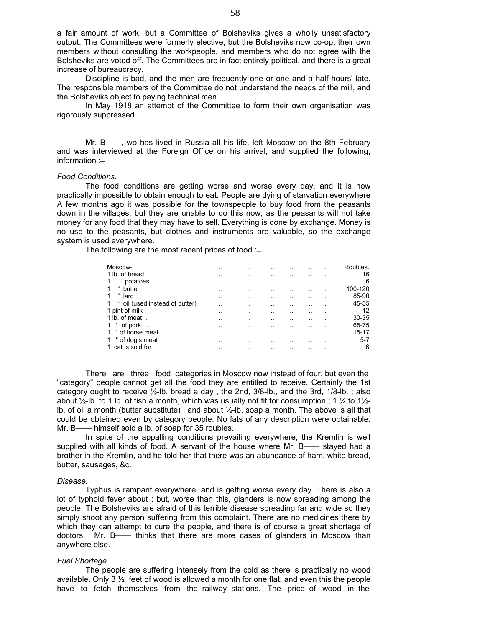a fair amount of work, but a Committee of Bolsheviks gives a wholly unsatisfactory output. The Committees were formerly elective, but the Bolsheviks now co-opt their own members without consulting the workpeople, and members who do not agree with the Bolsheviks are voted off. The Committees are in fact entirely political, and there is a great increase of bureaucracy.

 Discipline is bad, and the men are frequently one or one and a half hours' late. The responsible members of the Committee do not understand the needs of the mill, and the Bolsheviks object to paying technical men.

 In May 1918 an attempt of the Committee to form their own organisation was rigorously suppressed.

 Mr. B——, wo has lived in Russia all his life, left Moscow on the 8th February and was interviewed at the Foreign Office on his arrival, and supplied the following,  $information:$   $-$ 

#### *Food Conditions.*

 The food conditions are getting worse and worse every day, and it is now practically impossible to obtain enough to eat. People are dying of starvation everywhere A few months ago it was possible for the townspeople to buy food from the peasants down in the villages, but they are unable to do this now, as the peasants will not take money for any food that they may have to sell. Everything is done by exchange. Money is no use to the peasants, but clothes and instruments are valuable, so the exchange system is used everywhere.

The following are the most recent prices of food :-

| Moscow-                             |                      |                      |           |           |           |                      | Roubles.  |
|-------------------------------------|----------------------|----------------------|-----------|-----------|-----------|----------------------|-----------|
| 1 lb. of bread                      |                      |                      |           |           |           |                      | 16        |
| potatoes                            | $\ddotsc$            |                      |           |           |           |                      | 6         |
| butter                              | $\ddot{\phantom{0}}$ |                      |           |           |           | $\ddot{\phantom{0}}$ | 100-120   |
| lard<br>1                           | $\ddotsc$            |                      |           |           |           |                      | 85-90     |
| " oil (used instead of butter)<br>1 |                      |                      |           |           |           |                      | 45-55     |
| 1 pint of milk                      |                      |                      |           |           |           |                      | 12        |
| 1 lb. of meat.                      |                      |                      |           |           |           | $\cdot$ .            | 30-35     |
| " of pork $\ldots$                  | $\cdot$ .            | $\ddot{\phantom{0}}$ |           |           | $\cdot$ . | $\cdot$ .            | $65 - 75$ |
| 1 " of horse meat                   | $\ddotsc$            | $\ddotsc$            | $\cdot$ . | $\ddotsc$ | $\cdot$ . | $\ddotsc$            | 15-17     |
| 1 " of dog's meat                   |                      | $\ddotsc$            |           |           | $\cdot$ . | $\cdot$ .            | $5 - 7$   |
| 1 cat is sold for                   |                      |                      |           |           |           |                      | 6         |
|                                     |                      |                      |           |           |           |                      |           |

 There are three food categories in Moscow now instead of four, but even the "category" people cannot get all the food they are entitled to receive. Certainly the 1st category ought to receive ½-lb. bread a day , the 2nd, 3/8-lb., and the 3rd, 1/8-lb. ; also about  $\frac{1}{2}$ -lb. to 1 lb. of fish a month, which was usually not fit for consumption ; 1  $\frac{1}{4}$  to 1 $\frac{1}{2}$ lb. of oil a month (butter substitute) ; and about ½-lb. soap a month. The above is all that could be obtained even by category people. No fats of any description were obtainable. Mr. B—— himself sold a lb. of soap for 35 roubles.

 In spite of the appalling conditions prevailing everywhere, the Kremlin is well supplied with all kinds of food. A servant of the house where Mr. B—— stayed had a brother in the Kremlin, and he told her that there was an abundance of ham, white bread, butter, sausages, &c.

#### *Disease.*

 Typhus is rampant everywhere, and is getting worse every day. There is also a lot of typhoid fever about ; but, worse than this, glanders is now spreading among the people. The Bolsheviks are afraid of this terrible disease spreading far and wide so they simply shoot any person suffering from this complaint. There are no medicines there by which they can attempt to cure the people, and there is of course a great shortage of doctors. Mr. B—— thinks that there are more cases of glanders in Moscow than anywhere else.

## *Fuel Shortage.*

 The people are suffering intensely from the cold as there is practically no wood available. Only  $3\frac{1}{2}$  feet of wood is allowed a month for one flat, and even this the people have to fetch themselves from the railway stations. The price of wood in the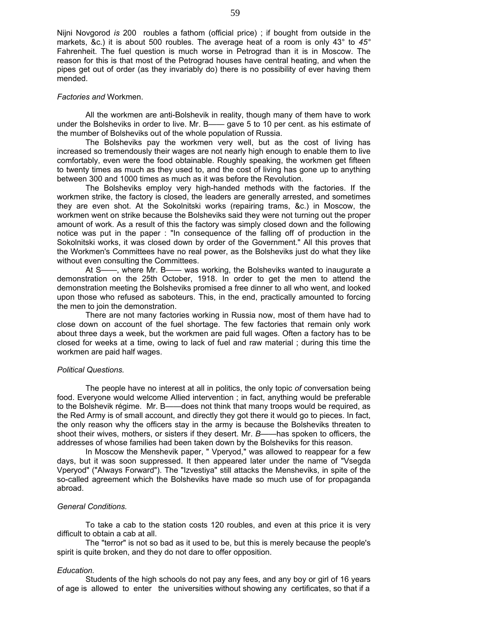Nijni Novgorod *is* 200 roubles a fathom (official price) ; if bought from outside in the markets, &c.) it is about 500 roubles. The average heat of a room is only 43° to *45°*  Fahrenheit. The fuel question is much worse in Petrograd than it is in Moscow. The reason for this is that most of the Petrograd houses have central heating, and when the pipes get out of order (as they invariably do) there is no possibility of ever having them mended.

#### *Factories and* Workmen.

All the workmen are anti-Bolshevik in reality, though many of them have to work under the Bolsheviks in order to live. Mr. B—— gave 5 to 10 per cent. as his estimate of the mumber of Bolsheviks out of the whole population of Russia.

 The Bolsheviks pay the workmen very well, but as the cost of living has increased so tremendously their wages are not nearly high enough to enable them to live comfortably, even were the food obtainable. Roughly speaking, the workmen get fifteen to twenty times as much as they used to, and the cost of living has gone up to anything between 300 and 1000 times as much as it was before the Revolution.

 The Bolsheviks employ very high-handed methods with the factories. If the workmen strike, the factory is closed, the leaders are generally arrested, and sometimes they are even shot. At the Sokolnitski works (repairing trams, &c.) in Moscow, the workmen went on strike because the Bolsheviks said they were not turning out the proper amount of work. As a result of this the factory was simply closed down and the following notice was put in the paper : "In consequence of the falling off of production in the Sokolnitski works, it was closed down by order of the Government." All this proves that the Workmen's Committees have no real power, as the Bolsheviks just do what they like without even consulting the Committees.

 At S——, where Mr. B—― was working, the Bolsheviks wanted to inaugurate a demonstration on the 25th October, 1918. In order to get the men to attend the demonstration meeting the Bolsheviks promised a free dinner to all who went, and looked upon those who refused as saboteurs. This, in the end, practically amounted to forcing the men to join the demonstration.

 There are not many factories working in Russia now, most of them have had to close down on account of the fuel shortage. The few factories that remain only work about three days a week, but the workmen are paid full wages. Often a factory has to be closed for weeks at a time, owing to lack of fuel and raw material ; during this time the workmen are paid half wages.

#### *Political Questions.*

 The people have no interest at all in politics, the only topic *of* conversation being food. Everyone would welcome Allied intervention ; in fact, anything would be preferable to the Bolshevik régime. Mr. B——does not think that many troops would be required, as the Red Army is of small account, and directly they got there it would go to pieces. In fact, the only reason why the officers stay in the army is because the Bolsheviks threaten to shoot their wives, mothers, or sisters if they desert. Mr. *B*——has spoken to officers, the addresses of whose families had been taken down by the Bolsheviks for this reason.

 In Moscow the Menshevik paper, " Vperyod," was allowed to reappear for a few days, but it was soon suppressed. It then appeared later under the name of "Vsegda Vperyod" ("Always Forward"). The "Izvestiya" still attacks the Mensheviks, in spite of the so-called agreement which the Bolsheviks have made so much use of for propaganda abroad.

#### *General Conditions.*

 To take a cab to the station costs 120 roubles, and even at this price it is very difficult to obtain a cab at all.

 The "terror" is not so bad as it used to be, but this is merely because the people's spirit is quite broken, and they do not dare to offer opposition.

#### *Education.*

 Students of the high schools do not pay any fees, and any boy or girl of 16 years of age is allowed to enter the universities without showing any certificates, so that if a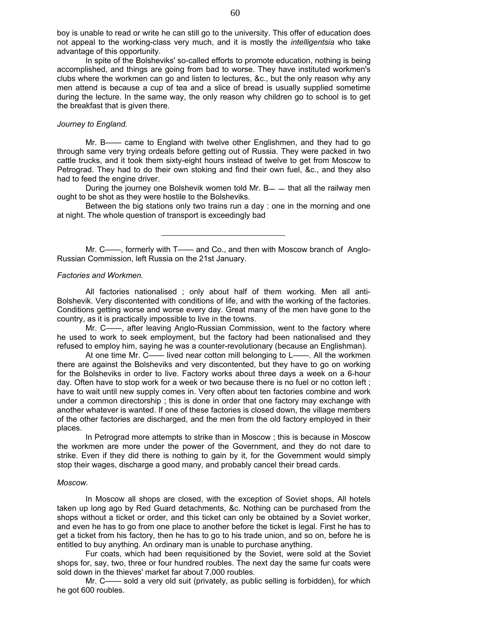boy is unable to read or write he can still go to the university. This offer of education does not appeal to the working-class very much, and it is mostly the *intelligentsia* who take advantage of this opportunity.

 In spite of the Bolsheviks' so-called efforts to promote education, nothing is being accomplished, and things are going from bad to worse. They have instituted workmen's clubs where the workmen can go and listen to lectures, &c., but the only reason why any men attend is because a cup of tea and a slice of bread is usually supplied sometime during the lecture. In the same way, the only reason why children go to school is to get the breakfast that is given there.

## *Journey to England.*

 Mr. B—— came to England with twelve other Englishmen, and they had to go through same very trying ordeals before getting out of Russia. They were packed in two cattle trucks, and it took them sixty-eight hours instead of twelve to get from Moscow to Petrograd. They had to do their own stoking and find their own fuel, &c., and they also had to feed the engine driver.

During the journey one Bolshevik women told Mr.  $B \rightarrow$  that all the railway men ought to be shot as they were hostile to the Bolsheviks.

 Between the big stations only two trains run a day : one in the morning and one at night. The whole question of transport is exceedingly bad

 Mr. C——, formerly with T—— and Co., and then with Moscow branch of Anglo-Russian Commission, left Russia on the 21st January.

## *Factories and Workmen.*

 All factories nationalised ; only about half of them working. Men all anti-Bolshevik. Very discontented with conditions of life, and with the working of the factories. Conditions getting worse and worse every day. Great many of the men have gone to the country, as it is practically impossible to live in the towns.

 Mr. C——, after leaving Anglo-Russian Commission, went to the factory where he used to work to seek employment, but the factory had been nationalised and they refused to employ him, saying he was a counter-revolutionary (because an Englishman).

 At one time Mr. C—— lived near cotton mill belonging to L——. All the workmen there are against the Bolsheviks and very discontented, but they have to go on working for the Bolsheviks in order to live. Factory works about three days a week on a 6-hour day. Often have to stop work for a week or two because there is no fuel or no cotton left ; have to wait until new supply comes in. Very often about ten factories combine and work under a common directorship ; this is done in order that one factory may exchange with another whatever is wanted. If one of these factories is closed down, the village members of the other factories are discharged, and the men from the old factory employed in their places.

 In Petrograd more attempts to strike than in Moscow ; this is because in Moscow the workmen are more under the power of the Government, and they do not dare to strike. Even if they did there is nothing to gain by it, for the Government would simply stop their wages, discharge a good many, and probably cancel their bread cards.

#### *Moscow.*

 In Moscow all shops are closed, with the exception of Soviet shops, All hotels taken up long ago by Red Guard detachments, &c. Nothing can be purchased from the shops without a ticket or order, and this ticket can only be obtained by a Soviet worker, and even he has to go from one place to another before the ticket is legal. First he has to get a ticket from his factory, then he has to go to his trade union, and so on, before he is entitled to buy anything. An ordinary man is unable to purchase anything.

 Fur coats, which had been requisitioned by the Soviet, were sold at the Soviet shops for, say, two, three or four hundred roubles. The next day the same fur coats were sold down in the thieves' market far about 7,000 roubles.

 Mr. C—— sold a very old suit (privately, as public selling is forbidden), for which he got 600 roubles.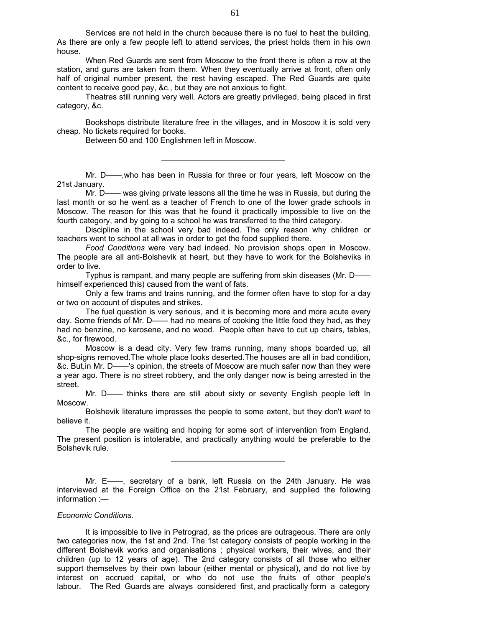Services are not held in the church because there is no fuel to heat the building. As there are only a few people left to attend services, the priest holds them in his own house.

 When Red Guards are sent from Moscow to the front there is often a row at the station, and guns are taken from them. When they eventually arrive at front, often only half of original number present, the rest having escaped. The Red Guards are quite content to receive good pay, &c., but they are not anxious to fight.

 Theatres still running very well. Actors are greatly privileged, being placed in first category, &c.

 Bookshops distribute literature free in the villages, and in Moscow it is sold very cheap. No tickets required for books.

Between 50 and 100 Englishmen left in Moscow.

 Mr. D——,who has been in Russia for three or four years, left Moscow on the 21st January.

 Mr. D—— was giving private lessons all the time he was in Russia, but during the last month or so he went as a teacher of French to one of the lower grade schools in Moscow. The reason for this was that he found it practically impossible to live on the fourth category, and by going to a school he was transferred to the third category.

 Discipline in the school very bad indeed. The only reason why children or teachers went to school at all was in order to get the food supplied there.

 *Food Conditions* were very bad indeed. No provision shops open in Moscow. The people are all anti-Bolshevik at heart, but they have to work for the Bolsheviks in order to live.

 Typhus is rampant, and many people are suffering from skin diseases (Mr. D— himself experienced this) caused from the want of fats.

 Only a few trams and trains running, and the former often have to stop for a day or two on account of disputes and strikes.

 The fuel question is very serious, and it is becoming more and more acute every day. Some friends of Mr. D—— had no means of cooking the little food they had, as they had no benzine, no kerosene, and no wood. People often have to cut up chairs, tables, &c., for firewood.

 Moscow is a dead city. Very few trams running, many shops boarded up, all shop-signs removed.The whole place looks deserted.The houses are all in bad condition, &c. But,in Mr. D——'s opinion, the streets of Moscow are much safer now than they were a year ago. There is no street robbery, and the only danger now is being arrested in the street.

 Mr. D—— thinks there are still about sixty or seventy English people left In Moscow.

 Bolshevik literature impresses the people to some extent, but they don't *want* to believe it.

 The people are waiting and hoping for some sort of intervention from England. The present position is intolerable, and practically anything would be preferable to the Bolshevik rule.

 Mr. E——, secretary of a bank, left Russia on the 24th January. He was interviewed at the Foreign Office on the 21st February, and supplied the following information :—

# *Economic Conditions.*

 It is impossible to live in Petrograd, as the prices are outrageous. There are only two categories now, the 1st and 2nd. The 1st category consists of people working in the different Bolshevik works and organisations ; physical workers, their wives, and their children (up to 12 years of age). The 2nd category consists of all those who either support themselves by their own labour (either mental or physical), and do not live by interest on accrued capital, or who do not use the fruits of other people's labour. The Red Guards are always considered first, and practically form a category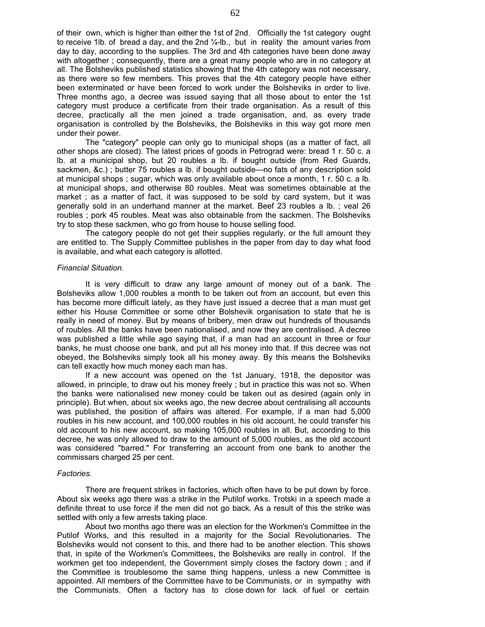of their own, which is higher than either the 1st of 2nd. Officially the 1st category ought to receive 1lb. of bread a day, and the 2nd ¼-lb., but in reality the amount varies from day to day, according to the supplies. The 3rd and 4th categories have been done away with altogether ; consequently, there are a great many people who are in no category at all. The Bolsheviks published statistics showing that the 4th category was not necessary, as there were so few members. This proves that the 4th category people have either been exterminated or have been forced to work under the Bolsheviks in order to live. Three months ago, a decree was issued saying that all those about to enter the 1st category must produce a certificate from their trade organisation. As a result of this decree, practically all the men joined a trade organisation, and, as every trade organisation is controlled by the Bolsheviks, the Bolsheviks in this way got more men under their power.

 The "category" people can only go to municipal shops (as a matter of fact, all other shops are closed). The latest prices of goods in Petrograd were: bread 1 r. 50 c. a lb. at a municipal shop, but 20 roubles a lb. if bought outside (from Red Guards, sackmen, &c.) ; butter 75 roubles a lb. if bought outside—no fats of any description sold at municipal shops ; sugar, which was only available about once a month, 1 r. 50 c. a lb. at municipal shops, and otherwise 80 roubles. Meat was sometimes obtainable at the market ; as a matter of fact, it was supposed to be sold by card system, but it was generally sold in an underhand manner at the market. Beef 23 roubles a lb. ; veal 26 roubles ; pork 45 roubles. Meat was also obtainable from the sackmen. The Bolsheviks try to stop these sackmen, who go from house to house selling food.

 The category people do not get their supplies regularly, or the full amount they are entitled to. The Supply Committee publishes in the paper from day to day what food is available, and what each category is allotted.

#### *Financial Situation.*

 It is very difficult to draw any large amount of money out of a bank. The Bolsheviks allow 1,000 roubles a month to be taken out from an account, but even this has become more difficult lately, as they have just issued a decree that a man must get either his House Committee or some other Bolshevik organisation to state that he is really in need of money. But by means of bribery, men draw out hundreds of thousands of roubles. All the banks have been nationalised, and now they are centralised. A decree was published a little while ago saying that, if a man had an account in three or four banks, he must choose one bank, and put all his money into that. If this decree was not obeyed, the Bolsheviks simply took all his money away. By this means the Bolsheviks can tell exactly how much money each man has.

 If a new account was opened on the 1st January, 1918, the depositor was allowed, in principle, to draw out his money freely ; but in practice this was not so. When the banks were nationalised new money could be taken out as desired (again only in principle). But when, about six weeks ago, the new decree about centralising all accounts was published, the position of affairs was altered. For example, if a man had 5,000 roubles in his new account, and 100,000 roubles in his old account, he could transfer his old account to his new account, so making 105,000 roubles in all. But, according to this decree, he was only allowed to draw to the amount of 5,000 roubles, as the old account was considered "barred." For transferring an account from one bank to another the commissars charged 25 per cent.

#### *Factories.*

 There are frequent strikes in factories, which often have to be put down by force. About six weeks ago there was a strike in the Putilof works. Trotski in a speech made a definite threat to use force if the men did not go back. As a result of this the strike was settled with only a few arrests taking place.

 About two months ago there was an election for the Workmen's Committee in the Putilof Works, and this resulted in a majority for the Social Revolutionaries. The Bolsheviks would not consent to this, and there had to be another election. This shows that, in spite of the Workmen's Committees, the Bolsheviks are really in control. If the workmen get too independent, the Government simply closes the factory down ; and if the Committee is troublesome the same thing happens, unless a new Committee is appointed. All members of the Committee have to be Communists, or in sympathy with the Communists. Often a factory has to close down for lack of fuel or certain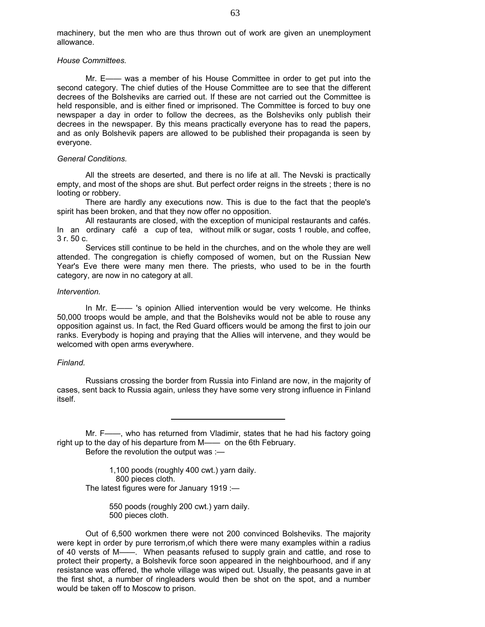machinery, but the men who are thus thrown out of work are given an unemployment allowance.

## *House Committees.*

 Mr. E—— was a member of his House Committee in order to get put into the second category. The chief duties of the House Committee are to see that the different decrees of the Bolsheviks are carried out. If these are not carried out the Committee is held responsible, and is either fined or imprisoned. The Committee is forced to buy one newspaper a day in order to follow the decrees, as the Bolsheviks only publish their decrees in the newspaper. By this means practically everyone has to read the papers, and as only Bolshevik papers are allowed to be published their propaganda is seen by everyone.

## *General Conditions.*

 All the streets are deserted, and there is no life at all. The Nevski is practically empty, and most of the shops are shut. But perfect order reigns in the streets ; there is no looting or robbery.

 There are hardly any executions now. This is due to the fact that the people's spirit has been broken, and that they now offer no opposition.

 All restaurants are closed, with the exception of municipal restaurants and cafés. In an ordinary café a cup of tea, without milk or sugar, costs 1 rouble, and coffee, 3 r. 50 c.

 Services still continue to be held in the churches, and on the whole they are well attended. The congregation is chiefly composed of women, but on the Russian New Year's Eve there were many men there. The priests, who used to be in the fourth category, are now in no category at all.

## *Intervention.*

 In Mr. E—— 's opinion Allied intervention would be very welcome. He thinks 50,000 troops would be ample, and that the Bolsheviks would not be able to rouse any opposition against us. In fact, the Red Guard officers would be among the first to join our ranks. Everybody is hoping and praying that the Allies will intervene, and they would be welcomed with open arms everywhere.

## *Finland.*

 Russians crossing the border from Russia into Finland are now, in the majority of cases, sent back to Russia again, unless they have some very strong influence in Finland itself.

 Mr. F——, who has returned from Vladimir, states that he had his factory going right up to the day of his departure from M—— on the 6th February. Before the revolution the output was :—

 1,100 poods (roughly 400 cwt.) yarn daily. 800 pieces cloth. The latest figures were for January 1919 :—

> 550 poods (roughly 200 cwt.) yarn daily. 500 pieces cloth.

 Out of 6,500 workmen there were not 200 convinced Bolsheviks. The majority were kept in order by pure terrorism,of which there were many examples within a radius of 40 versts of M——. When peasants refused to supply grain and cattle, and rose to protect their property, a Bolshevik force soon appeared in the neighbourhood, and if any resistance was offered, the whole village was wiped out. Usually, the peasants gave in at the first shot, a number of ringleaders would then be shot on the spot, and a number would be taken off to Moscow to prison.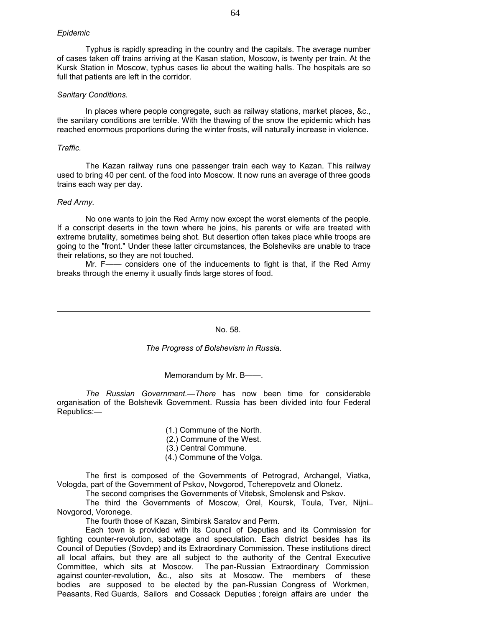#### *Epidemic*

 Typhus is rapidly spreading in the country and the capitals. The average number of cases taken off trains arriving at the Kasan station, Moscow, is twenty per train. At the Kursk Station in Moscow, typhus cases lie about the waiting halls. The hospitals are so full that patients are left in the corridor.

## *Sanitary Conditions.*

 In places where people congregate, such as railway stations, market places, &c., the sanitary conditions are terrible. With the thawing of the snow the epidemic which has reached enormous proportions during the winter frosts, will naturally increase in violence.

## *Traffic.*

 The Kazan railway runs one passenger train each way to Kazan. This railway used to bring 40 per cent. of the food into Moscow. It now runs an average of three goods trains each way per day.

#### *Red Army.*

 No one wants to join the Red Army now except the worst elements of the people. If a conscript deserts in the town where he joins, his parents or wife are treated with extreme brutality, sometimes being shot. But desertion often takes place while troops are going to the "front." Under these latter circumstances, the Bolsheviks are unable to trace their relations, so they are not touched.

 Mr. F—— considers one of the inducements to fight is that, if the Red Army breaks through the enemy it usually finds large stores of food.

#### No. 58.

*The Progress of Bolshevism in Russia.* 

Memorandum by Mr. B——.

 *The Russian Government.—There* has now been time for considerable organisation of the Bolshevik Government. Russia has been divided into four Federal Republics:*—* 

- (1.) Commune of the North.
- (2.) Commune of the West.
- (3.) Central Commune.
- (4.) Commune of the Volga.

 The first is composed of the Governments of Petrograd, Archangel, Viatka, Vologda, part of the Government of Pskov, Novgorod, Tcherepovetz and Olonetz.

The second comprises the Governments of Vitebsk, Smolensk and Pskov.

The third the Governments of Moscow, Orel, Koursk, Toula, Tver, Nijni-Novgorod, Voronege.

The fourth those of Kazan, Simbirsk Saratov and Perm.

 Each town is provided with its Council of Deputies and its Commission for fighting counter-revolution, sabotage and speculation. Each district besides has its Council of Deputies (Sovdep) and its Extraordinary Commission. These institutions direct all local affairs, but they are all subject to the authority of the Central Executive Committee, which sits at Moscow. The pan-Russian Extraordinary Commission against counter-revolution, &c., also sits at Moscow. The members of these bodies are supposed to be elected by the pan-Russian Congress of Workmen, Peasants, Red Guards, Sailors and Cossack Deputies ; foreign affairs are under the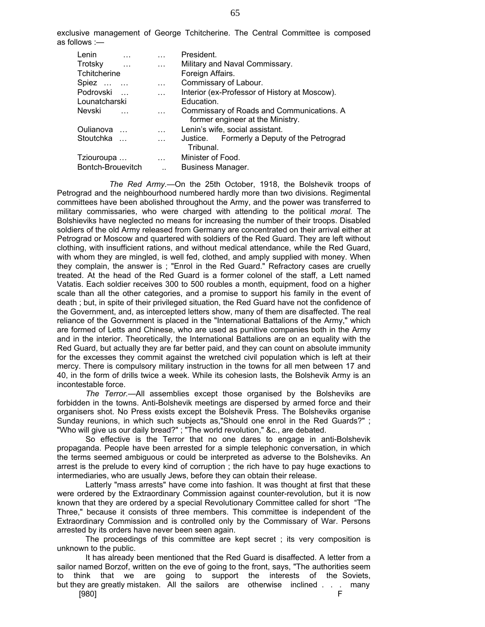exclusive management of George Tchitcherine. The Central Committee is composed as follows :—

| Lenin             |        |           | President.                                                                    |
|-------------------|--------|-----------|-------------------------------------------------------------------------------|
| Trotsky           |        |           | Military and Naval Commissary.                                                |
| Tchitcherine      |        |           | Foreign Affairs.                                                              |
| Spiez             |        |           | Commissary of Labour.                                                         |
| Podrovski         |        | $\ddotsc$ | Interior (ex-Professor of History at Moscow).                                 |
| Lounatcharski     |        |           | Education.                                                                    |
| Nevski            |        |           | Commissary of Roads and Communications. A<br>former engineer at the Ministry. |
| Oulianova         | $\sim$ |           | Lenin's wife, social assistant.                                               |
| Stoutchka         |        |           | Formerly a Deputy of the Petrograd<br>Justice.<br>Tribunal.                   |
| Tziouroupa        |        |           | Minister of Food.                                                             |
| Bontch-Brouevitch |        |           | Business Manager.                                                             |

 *The Red Army.—*On the 25th October, 1918, the Bolshevik troops of Petrograd and the neighbourhood numbered hardly more than two divisions. Regimental committees have been abolished throughout the Army, and the power was transferred to military commissaries, who were charged with attending to the political *moral.* The Bolshieviks have neglected no means for increasing the number of their troops. Disabled soldiers of the old Army released from Germany are concentrated on their arrival either at Petrograd or Moscow and quartered with soldiers of the Red Guard. They are left without clothing, with insufficient rations, and without medical attendance, while the Red Guard, with whom they are mingled, is well fed, clothed, and amply supplied with money. When they complain, the answer is ; "Enrol in the Red Guard." Refractory cases are cruelly treated. At the head of the Red Guard is a former colonel of the staff, a Lett named Vatatis. Each soldier receives 300 to 500 roubles a month, equipment, food on a higher scale than all the other categories, and a promise to support his family in the event of death ; but, in spite of their privileged situation, the Red Guard have not the confidence of the Government, and, as intercepted letters show, many of them are disaffected. The real reliance of the Government is placed in the "International Battalions of the Army," which are formed of Letts and Chinese, who are used as punitive companies both in the Army and in the interior. Theoretically, the International Battalions are on an equality with the Red Guard, but actually they are far better paid, and they can count on absolute immunity for the excesses they commit against the wretched civil population which is left at their mercy. There is compulsory military instruction in the towns for all men between 17 and 40, in the form of drills twice a week. While its cohesion lasts, the Bolshevik Army is an incontestable force.

 *The Terror.*—All assemblies except those organised by the Bolsheviks are forbidden in the towns. Anti-Bolshevik meetings are dispersed by armed force and their organisers shot. No Press exists except the Bolshevik Press. The Bolsheviks organise Sunday reunions, in which such subjects as,"Should one enrol in the Red Guards?" ; "Who will give us our daily bread?" ; "The world revolution," &c., are debated.

 So effective is the Terror that no one dares to engage in anti-Bolshevik propaganda. People have been arrested for a simple telephonic conversation, in which the terms seemed ambiguous or could be interpreted as adverse to the Bolsheviks. An arrest is the prelude to every kind of corruption ; the rich have to pay huge exactions to intermediaries, who are usually Jews, before they can obtain their release.

 Latterly "mass arrests" have come into fashion. It was thought at first that these were ordered by the Extraordinary Commission against counter-revolution, but it is now known that they are ordered by a special Revolutionary Committee called for short "The Three," because it consists of three members. This committee is independent of the Extraordinary Commission and is controlled only by the Commissary of War. Persons arrested by its orders have never been seen again.

 The proceedings of this committee are kept secret ; its very composition is unknown to the public.

 It has already been mentioned that the Red Guard is disaffected. A letter from a sailor named Borzof, written on the eve of going to the front, says, "The authorities seem to think that we are going to support the interests of the Soviets, but they are greatly mistaken. All the sailors are otherwise inclined . . . many [980] F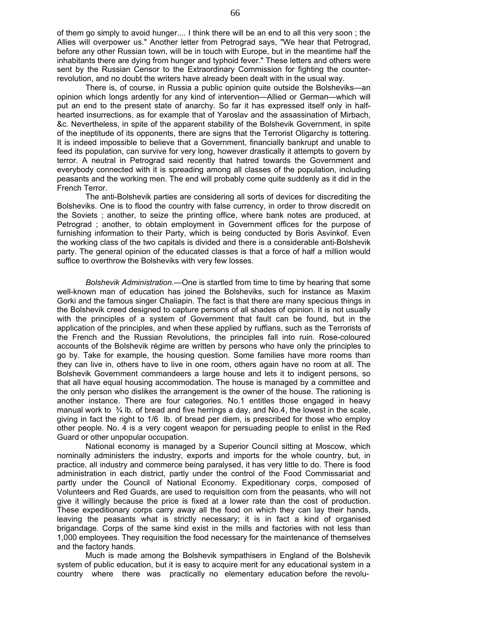of them go simply to avoid hunger.... I think there will be an end to all this very soon ; the Allies will overpower us." Another letter from Petrograd says, "We hear that Petrograd, before any other Russian town, will be in touch with Europe, but in the meantime half the inhabitants there are dying from hunger and typhoid fever." These letters and others were sent by the Russian Censor to the Extraordinary Commission for fighting the counterrevolution, and no doubt the writers have already been dealt with in the usual way.

 There is, of course, in Russia a public opinion quite outside the Bolsheviks—an opinion which longs ardently for any kind of intervention—Allied or German—which will put an end to the present state of anarchy. So far it has expressed itself only in halfhearted insurrections, as for example that of Yaroslav and the assassination of Mirbach, &c. Nevertheless, in spite of the apparent stability of the Bolshevik Government, in spite of the ineptitude of its opponents, there are signs that the Terrorist Oligarchy is tottering. It is indeed impossible to believe that a Government, financially bankrupt and unable to feed its population, can survive for very long, however drastically it attempts to govern by terror. A neutral in Petrograd said recently that hatred towards the Government and everybody connected with it is spreading among all classes of the population, including peasants and the working men. The end will probably come quite suddenly as it did in the French Terror.

 The anti-Bolshevik parties are considering all sorts of devices for discrediting the Bolsheviks. One is to flood the country with false currency, in order to throw discredit on the Soviets ; another, to seize the printing office, where bank notes are produced, at Petrograd ; another, to obtain employment in Government offices for the purpose of furnishing information to their Party, which is being conducted by Boris Asvinkof. Even the working class of the two capitals is divided and there is a considerable anti-Bolshevik party. The general opinion of the educated classes is that a force of half a million would suffice to overthrow the Bolsheviks with very few losses.

 *Bolshevik Administration.—*One is startled from time to time by hearing that some well-known man of education has joined the Bolsheviks, such for instance as Maxim Gorki and the famous singer Chaliapin. The fact is that there are many specious things in the Bolshevik creed designed to capture persons of all shades of opinion. It is not usually with the principles of a system of Government that fault can be found, but in the application of the principles, and when these applied by ruffians, such as the Terrorists of the French and the Russian Revolutions, the principles fall into ruin. Rose-coloured accounts of the Bolshevik régime are written by persons who have only the principles to go by. Take for example, the housing question. Some families have more rooms than they can live in, others have to live in one room, others again have no room at all. The Bolshevik Government commandeers a large house and lets it to indigent persons, so that all have equal housing accommodation. The house is managed by a committee and the only person who dislikes the arrangement is the owner of the house. The rationing is another instance. There are four categories. No.1 entitles those engaged in heavy manual work to  $\frac{3}{4}$  lb. of bread and five herrings a day, and No.4, the lowest in the scale, giving in fact the right to 1/6 lb. of bread per diem, is prescribed for those who employ other people. No. 4 is a very cogent weapon for persuading people to enlist in the Red Guard or other unpopular occupation.

 National economy is managed by a Superior Council sitting at Moscow, which nominally administers the industry, exports and imports for the whole country, but, in practice, all industry and commerce being paralysed, it has very little to do. There is food administration in each district, partly under the control of the Food Commissariat and partly under the Council of National Economy. Expeditionary corps, composed of Volunteers and Red Guards, are used to requisition corn from the peasants, who will not give it willingly because the price is fixed at a lower rate than the cost of production. These expeditionary corps carry away all the food on which they can lay their hands, leaving the peasants what is strictly necessary; it is in fact a kind of organised brigandage. Corps of the same kind exist in the mills and factories with not less than 1,000 employees. They requisition the food necessary for the maintenance of themselves and the factory hands.

 Much is made among the Bolshevik sympathisers in England of the Bolshevik system of public education, but it is easy to acquire merit for any educational system in a country where there was practically no elementary education before the revolu-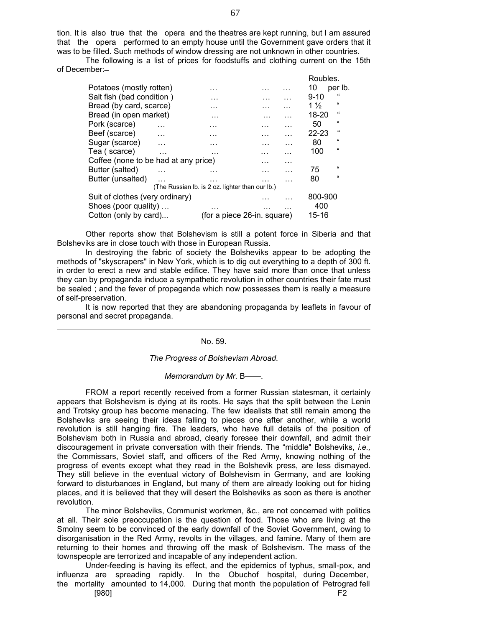tion. It is also true that the opera and the theatres are kept running, but I am assured that the opera performed to an empty house until the Government gave orders that it was to be filled. Such methods of window dressing are not unknown in other countries.

 The following is a list of prices for foodstuffs and clothing current on the 15th of December:-

|                                      |                                                 |                                          |   |     | Roubles.       |                            |
|--------------------------------------|-------------------------------------------------|------------------------------------------|---|-----|----------------|----------------------------|
| Potatoes (mostly rotten)             |                                                 | .                                        | . |     | 10             | per lb.                    |
| Salt fish (bad condition)            |                                                 | .                                        | . | .   | $9 - 10$       |                            |
| Bread (by card, scarce)              |                                                 | .                                        | . | .   | $1\frac{1}{2}$ | $^{16}$                    |
| Bread (in open market)               |                                                 | .                                        | . |     | 18-20          | "                          |
| Pork (scarce)                        | $\cdots$                                        | .                                        | . | .   | 50             | $^{16}$                    |
| Beef (scarce)                        | $\cdots$                                        | $\cdots$                                 | . | .   | 22-23          | $\epsilon$                 |
| Sugar (scarce)                       | $\cdots$                                        | .                                        | . | .   | 80             | "                          |
| Tea (scarce)                         | $\cdots$                                        | .                                        | . | .   | 100            | $\epsilon$                 |
| Coffee (none to be had at any price) |                                                 |                                          | . | .   |                |                            |
| Butter (salted)                      |                                                 |                                          | . | .   | 75             | $\mathfrak{c}\mathfrak{c}$ |
| Butter (unsalted)                    |                                                 | .                                        | . |     | 80             | $^{16}$                    |
|                                      | (The Russian Ib. is 2 oz. lighter than our Ib.) |                                          |   |     |                |                            |
| Suit of clothes (very ordinary)      |                                                 |                                          |   |     | 800-900        |                            |
| Shoes (poor quality)                 |                                                 |                                          |   | 400 |                |                            |
| Cotton (only by card)                |                                                 | $15 - 16$<br>(for a piece 26-in. square) |   |     |                |                            |

 Other reports show that Bolshevism is still a potent force in Siberia and that Bolsheviks are in close touch with those in European Russia.

 In destroying the fabric of society the Bolsheviks appear to be adopting the methods of "skyscrapers" in New York, which is to dig out everything to a depth of 300 ft. in order to erect a new and stable edifice. They have said more than once that unless they can by propaganda induce a sympathetic revolution in other countries their fate must be sealed ; and the fever of propaganda which now possesses them is really a measure of self-preservation.

 It is now reported that they are abandoning propaganda by leaflets in favour of personal and secret propaganda.

### No. 59.

# *The Progress of Bolshevism Abroad.*

#### *Memorandum by Mr.* B——.

 FROM a report recently received from a former Russian statesman, it certainly appears that Bolshevism is dying at its roots. He says that the split between the Lenin and Trotsky group has become menacing. The few idealists that still remain among the Bolsheviks are seeing their ideas falling to pieces one after another, while a world revolution is still hanging fire. The leaders, who have full details of the position of Bolshevism both in Russia and abroad, clearly foresee their downfall, and admit their discouragement in private conversation with their friends. The "middle" Bolsheviks, *i.e.,*  the Commissars, Soviet staff, and officers of the Red Army, knowing nothing of the progress of events except what they read in the Bolshevik press, are less dismayed. They still believe in the eventual victory of Bolshevism in Germany, and are looking forward to disturbances in England, but many of them are already looking out for hiding places, and it is believed that they will desert the Bolsheviks as soon as there is another revolution.

 The minor Bolsheviks, Communist workmen, &c., are not concerned with politics at all. Their sole preoccupation is the question of food. Those who are living at the Smolny seem to be convinced of the early downfall of the Soviet Government, owing to disorganisation in the Red Army, revolts in the villages, and famine. Many of them are returning to their homes and throwing off the mask of Bolshevism. The mass of the townspeople are terrorized and incapable of any independent action.

 Under-feeding is having its effect, and the epidemics of typhus, small-pox, and influenza are spreading rapidly. In the Obuchof hospital, during December, the mortality amounted to 14,000. During that month the population of Petrograd fell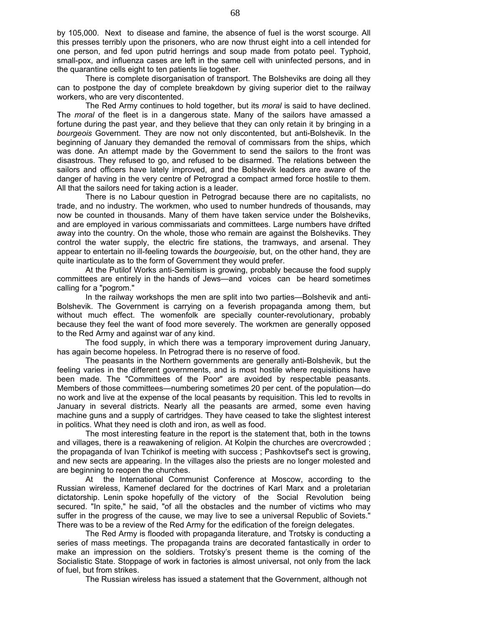by 105,000. Next to disease and famine, the absence of fuel is the worst scourge. All this presses terribly upon the prisoners, who are now thrust eight into a cell intended for one person, and fed upon putrid herrings and soup made from potato peel. Typhoid, small-pox, and influenza cases are left in the same cell with uninfected persons, and in the quarantine cells eight to ten patients lie together.

 There is complete disorganisation of transport. The Bolsheviks are doing all they can to postpone the day of complete breakdown by giving superior diet to the railway workers, who are very discontented.

 The Red Army continues to hold together, but its *moral* is said to have declined. The *moral* of the fleet is in a dangerous state. Many of the sailors have amassed a fortune during the past year, and they believe that they can only retain it by bringing in a *bourgeois* Government. They are now not only discontented, but anti-Bolshevik. In the beginning of January they demanded the removal of commissars from the ships, which was done. An attempt made by the Government to send the sailors to the front was disastrous. They refused to go, and refused to be disarmed. The relations between the sailors and officers have lately improved, and the Bolshevik leaders are aware of the danger of having in the very centre of Petrograd a compact armed force hostile to them. All that the sailors need for taking action is a leader.

 There is no Labour question in Petrograd because there are no capitalists, no trade, and no industry. The workmen, who used to number hundreds of thousands, may now be counted in thousands. Many of them have taken service under the Bolsheviks, and are employed in various commissariats and committees. Large numbers have drifted away into the country. On the whole, those who remain are against the Bolsheviks. They control the water supply, the electric fire stations, the tramways, and arsenal. They appear to entertain no ill-feeling towards the *bourgeoisie,* but, on the other hand, they are quite inarticulate as to the form of Government they would prefer.

 At the Putilof Works anti-Semitism is growing, probably because the food supply committees are entirely in the hands of Jews—and voices can be heard sometimes calling for a "pogrom."

 In the railway workshops the men are split into two parties—Bolshevik and anti-Bolshevik. The Government is carrying on a feverish propaganda among them, but without much effect. The womenfolk are specially counter-revolutionary, probably because they feel the want of food more severely. The workmen are generally opposed to the Red Army and against war of any kind.

 The food supply, in which there was a temporary improvement during January, has again become hopeless. In Petrograd there is no reserve of food.

 The peasants in the Northern governments are generally anti-Bolshevik, but the feeling varies in the different governments, and is most hostile where requisitions have been made. The "Committees of the Poor" are avoided by respectable peasants. Members of those committees—numbering sometimes 20 per cent. of the population—do no work and live at the expense of the local peasants by requisition. This led to revolts in January in several districts. Nearly all the peasants are armed, some even having machine guns and a supply of cartridges. They have ceased to take the slightest interest in politics. What they need is cloth and iron, as well as food.

 The most interesting feature in the report is the statement that, both in the towns and villages, there is a reawakening of religion. At Kolpin the churches are overcrowded ; the propaganda of Ivan Tchirikof is meeting with success ; Pashkovtsef's sect is growing, and new sects are appearing. In the villages also the priests are no longer molested and are beginning to reopen the churches.

 At the International Communist Conference at Moscow, according to the Russian wireless, Kamenef declared for the doctrines of Karl Marx and a proletarian dictatorship. Lenin spoke hopefully of the victory of the Social Revolution being secured. "In spite," he said, "of all the obstacles and the number of victims who may suffer in the progress of the cause, we may live to see a universal Republic of Soviets." There was to be a review of the Red Army for the edification of the foreign delegates.

 The Red Army is flooded with propaganda literature, and Trotsky is conducting a series of mass meetings. The propaganda trains are decorated fantastically in order to make an impression on the soldiers. Trotsky's present theme is the coming of the Socialistic State. Stoppage of work in factories is almost universal, not only from the lack of fuel, but from strikes.

The Russian wireless has issued a statement that the Government, although not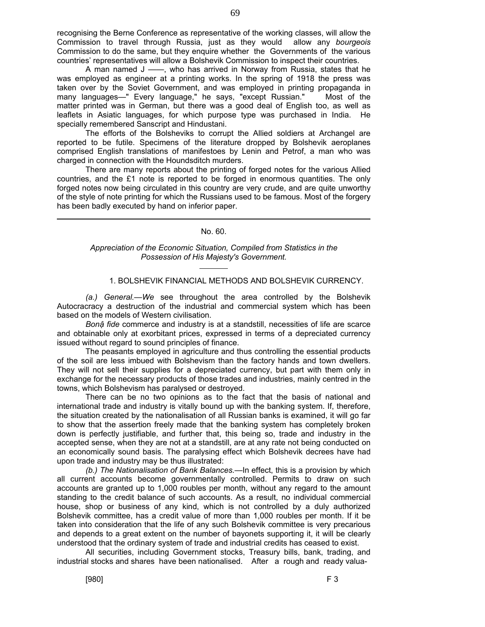recognising the Berne Conference as representative of the working classes, will allow the Commission to travel through Russia, just as they would allow any *bourgeois*  Commission to do the same, but they enquire whether the Governments of the various countries' representatives will allow a Bolshevik Commission to inspect their countries.

 A man named J ——, who has arrived in Norway from Russia, states that he was employed as engineer at a printing works. In the spring of 1918 the press was taken over by the Soviet Government, and was employed in printing propaganda in many languages—" Every language," he says, "except Russian." Most of the matter printed was in German, but there was a good deal of English too, as well as leaflets in Asiatic languages, for which purpose type was purchased in India. He specially remembered Sanscript and Hindustani.

 The efforts of the Bolsheviks to corrupt the Allied soldiers at Archangel are reported to be futile. Specimens of the literature dropped by Bolshevik aeroplanes comprised English translations of manifestoes by Lenin and Petrof, a man who was charged in connection with the Houndsditch murders.

 There are many reports about the printing of forged notes for the various Allied countries, and the £1 note is reported to be forged in enormous quantities. The only forged notes now being circulated in this country are very crude, and are quite unworthy of the style of note printing for which the Russians used to be famous. Most of the forgery has been badly executed by hand on inferior paper.

#### No. 60.

# *Appreciation of the Economic Situation, Compiled from Statistics in the Possession of His Majesty's Government.*

#### 1. BOLSHEVIK FINANCIAL METHODS AND BOLSHEVIK CURRENCY.

 *(a.) General.—We* see throughout the area controlled by the Bolshevik Autocracracy a destruction of the industrial and commercial system which has been based on the models of Western civilisation.

 *Bonậ fide* commerce and industry is at a standstill, necessities of life are scarce and obtainable only at exorbitant prices, expressed in terms of a depreciated currency issued without regard to sound principles of finance.

 The peasants employed in agriculture and thus controlling the essential products of the soil are less imbued with Bolshevism than the factory hands and town dwellers. They will not sell their supplies for a depreciated currency, but part with them only in exchange for the necessary products of those trades and industries, mainly centred in the towns, which Bolshevism has paralysed or destroyed.

 There can be no two opinions as to the fact that the basis of national and international trade and industry is vitally bound up with the banking system. If, therefore, the situation created by the nationalisation of all Russian banks is examined, it will go far to show that the assertion freely made that the banking system has completely broken down is perfectly justifiable, and further that, this being so, trade and industry in the accepted sense, when they are not at a standstill, are at any rate not being conducted on an economically sound basis. The paralysing effect which Bolshevik decrees have had upon trade and industry may be thus illustrated:

 *(b.) The Nationalisation of Bank Balances.*—In effect, this is a provision by which all current accounts become governmentally controlled. Permits to draw on such accounts are granted up to 1,000 roubles per month, without any regard to the amount standing to the credit balance of such accounts. As a result, no individual commercial house, shop or business of any kind, which is not controlled by a duly authorized Bolshevik committee, has a credit value of more than 1,000 roubles per month. If it be taken into consideration that the life of any such Bolshevik committee is very precarious and depends to a great extent on the number of bayonets supporting it, it will be clearly understood that the ordinary system of trade and industrial credits has ceased to exist.

All securities, including Government stocks, Treasury bills, bank, trading, and industrial stocks and shares have been nationalised. After a rough and ready valua-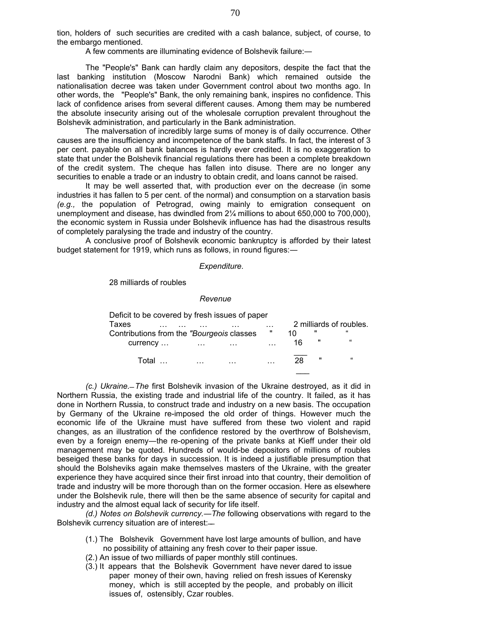tion, holders of such securities are credited with a cash balance, subject, of course, to the embargo mentioned.

A few comments are illuminating evidence of Bolshevik failure:―

 The "People's" Bank can hardly claim any depositors, despite the fact that the last banking institution (Moscow Narodni Bank) which remained outside the nationalisation decree was taken under Government control about two months ago. In other words, the "People's" Bank, the only remaining bank, inspires no confidence. This lack of confidence arises from several different causes. Among them may be numbered the absolute insecurity arising out of the wholesale corruption prevalent throughout the Bolshevik administration, and particularly in the Bank administration.

 The malversation of incredibly large sums of money is of daily occurrence. Other causes are the insufficiency and incompetence of the bank staffs. In fact, the interest of 3 per cent. payable on all bank balances is hardly ever credited. It is no exaggeration to state that under the Bolshevik financial regulations there has been a complete breakdown of the credit system. The cheque has fallen into disuse. There are no longer any securities to enable a trade or an industry to obtain credit, and loans cannot be raised.

 It may be well asserted that, with production ever on the decrease (in some industries it has fallen to 5 per cent. of the normal) and consumption on a starvation basis *(e.g.,* the population of Petrograd, owing mainly to emigration consequent on unemployment and disease, has dwindled from 2¼ millions to about 650,000 to 700,000), the economic system in Russia under Bolshevik influence has had the disastrous results of completely paralysing the trade and industry of the country.

 A conclusive proof of Bolshevik economic bankruptcy is afforded by their latest budget statement for 1919, which runs as follows, in round figures:―

#### *Expenditure.*

28 milliards of roubles

#### *Revenue*

| Deficit to be covered by fresh issues of paper |          |          |          |    |   |                         |
|------------------------------------------------|----------|----------|----------|----|---|-------------------------|
| Taxes<br>.                                     |          | .        | .        |    |   | 2 milliards of roubles. |
| Contributions from the "Bourgeois classes"     |          |          | "        |    |   | "                       |
| currency                                       | $\cdots$ | $\cdots$ | $\cdots$ | 16 | π | $^{16}$                 |
| Total                                          | $\cdots$ | $\cdots$ | $\cdots$ | 28 |   | $\epsilon$              |
|                                                |          |          |          |    |   |                         |

 *(c.) Ukraine.* ̶*The* first Bolshevik invasion of the Ukraine destroyed, as it did in Northern Russia, the existing trade and industrial life of the country. It failed, as it has done in Northern Russia, to construct trade and industry on a new basis. The occupation by Germany of the Ukraine re-imposed the old order of things. However much the economic life of the Ukraine must have suffered from these two violent and rapid changes, as an illustration of the confidence restored by the overthrow of Bolshevism, even by a foreign enemy―the re-opening of the private banks at Kieff under their old management may be quoted. Hundreds of would-be depositors of millions of roubles beseiged these banks for days in succession. It is indeed a justifiable presumption that should the Bolsheviks again make themselves masters of the Ukraine, with the greater experience they have acquired since their first inroad into that country, their demolition of trade and industry will be more thorough than on the former occasion. Here as elsewhere under the Bolshevik rule, there will then be the same absence of security for capital and industry and the almost equal lack of security for life itself.

 *(d.) Notes on Bolshevik currency.―The* following observations with regard to the Bolshevik currency situation are of interest:-

- (1.) The Bolshevik Government have lost large amounts of bullion, and have no possibility of attaining any fresh cover to their paper issue.
- (2.) An issue of two milliards of paper monthly still continues.
- (3.) It appears that the Bolshevik Government have never dared to issue paper money of their own, having relied on fresh issues of Kerensky money, which is still accepted by the people, and probably on illicit issues of, ostensibly, Czar roubles.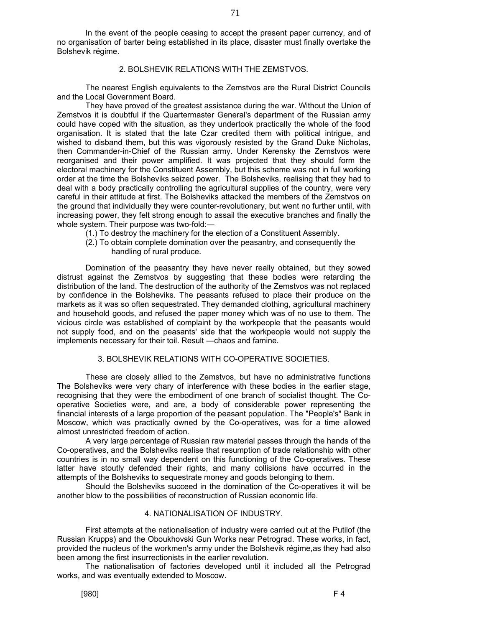In the event of the people ceasing to accept the present paper currency, and of no organisation of barter being established in its place, disaster must finally overtake the Bolshevik régime.

# 2. BOLSHEVIK RELATIONS WITH THE ZEMSTVOS.

The nearest English equivalents to the Zemstvos are the Rural District Councils and the Local Government Board.

 They have proved of the greatest assistance during the war. Without the Union of Zemstvos it is doubtful if the Quartermaster General's department of the Russian army could have coped with the situation, as they undertook practically the whole of the food organisation. It is stated that the late Czar credited them with political intrigue, and wished to disband them, but this was vigorously resisted by the Grand Duke Nicholas, then Commander-in-Chief of the Russian army. Under Kerensky the Zemstvos were reorganised and their power amplified. It was projected that they should form the electoral machinery for the Constituent Assembly, but this scheme was not in full working order at the time the Bolsheviks seized power. The Bolsheviks, realising that they had to deal with a body practically controlling the agricultural supplies of the country, were very careful in their attitude at first. The Bolsheviks attacked the members of the Zemstvos on the ground that individually they were counter-revolutionary, but went no further until, with increasing power, they felt strong enough to assail the executive branches and finally the whole system. Their purpose was two-fold:―

- (1.) To destroy the machinery for the election of a Constituent Assembly.
- (2.) To obtain complete domination over the peasantry, and consequently the handling of rural produce.

 Domination of the peasantry they have never really obtained, but they sowed distrust against the Zemstvos by suggesting that these bodies were retarding the distribution of the land. The destruction of the authority of the Zemstvos was not replaced by confidence in the Bolsheviks. The peasants refused to place their produce on the markets as it was so often sequestrated. They demanded clothing, agricultural machinery and household goods, and refused the paper money which was of no use to them. The vicious circle was established of complaint by the workpeople that the peasants would not supply food, and on the peasants' side that the workpeople would not supply the implements necessary for their toil. Result ―chaos and famine.

# 3. BOLSHEVIK RELATIONS WITH CO-OPERATIVE SOCIETIES.

 These are closely allied to the Zemstvos, but have no administrative functions The Bolsheviks were very chary of interference with these bodies in the earlier stage, recognising that they were the embodiment of one branch of socialist thought. The Cooperative Societies were, and are, a body of considerable power representing the financial interests of a large proportion of the peasant population. The "People's" Bank in Moscow, which was practically owned by the Co-operatives, was for a time allowed almost unrestricted freedom of action.

 A very large percentage of Russian raw material passes through the hands of the Co-operatives, and the Bolsheviks realise that resumption of trade relationship with other countries is in no small way dependent on this functioning of the Co-operatives. These latter have stoutly defended their rights, and many collisions have occurred in the attempts of the Bolsheviks to sequestrate money and goods belonging to them.

 Should the Bolsheviks succeed in the domination of the Co-operatives it will be another blow to the possibilities of reconstruction of Russian economic life.

# 4. NATIONALISATION OF INDUSTRY.

 First attempts at the nationalisation of industry were carried out at the Putilof (the Russian Krupps) and the Oboukhovski Gun Works near Petrograd. These works, in fact, provided the nucleus of the workmen's army under the Bolshevik régime,as they had also been among the first insurrectionists in the earlier revolution.

 The nationalisation of factories developed until it included all the Petrograd works, and was eventually extended to Moscow.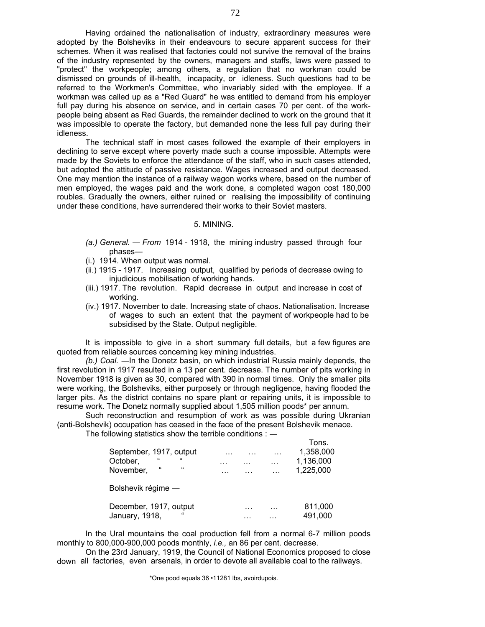Having ordained the nationalisation of industry, extraordinary measures were adopted by the Bolsheviks in their endeavours to secure apparent success for their schemes. When it was realised that factories could not survive the removal of the brains of the industry represented by the owners, managers and staffs, laws were passed to "protect" the workpeople; among others, a regulation that no workman could be dismissed on grounds of ill-health, incapacity, or idleness. Such questions had to be referred to the Workmen's Committee, who invariably sided with the employee. If a workman was called up as a "Red Guard" he was entitled to demand from his employer full pay during his absence on service, and in certain cases 70 per cent. of the workpeople being absent as Red Guards, the remainder declined to work on the ground that it was impossible to operate the factory, but demanded none the less full pay during their idleness.

 The technical staff in most cases followed the example of their employers in declining to serve except where poverty made such a course impossible. Attempts were made by the Soviets to enforce the attendance of the staff, who in such cases attended, but adopted the attitude of passive resistance. Wages increased and output decreased. One may mention the instance of a railway wagon works where, based on the number of men employed, the wages paid and the work done, a completed wagon cost 180,000 roubles. Gradually the owners, either ruined or realising the impossibility of continuing under these conditions, have surrendered their works to their Soviet masters.

#### 5. MINING.

- *(a.) General. ― From* 1914 1918, the mining industry passed through four phases*―*
- (i.) 1914. When output was normal.
- (ii.) 1915 1917. Increasing output, qualified by periods of decrease owing to injudicious mobilisation of working hands.
- (iii.) 1917. The revolution. Rapid decrease in output and increase in cost of working.
- (iv.) 1917. November to date. Increasing state of chaos. Nationalisation. Increase of wages to such an extent that the payment of workpeople had to be subsidised by the State. Output negligible.

 It is impossible to give in a short summary full details, but a few figures are quoted from reliable sources concerning key mining industries.

 *(b.) Coal. ―*In the Donetz basin, on which industrial Russia mainly depends, the first revolution in 1917 resulted in a 13 per cent. decrease. The number of pits working in November 1918 is given as 30, compared with 390 in normal times. Only the smaller pits were working, the Bolsheviks, either purposely or through negligence, having flooded the larger pits. As the district contains no spare plant or repairing units, it is impossible to resume work. The Donetz normally supplied about 1,505 million poods\* per annum.

 Such reconstruction and resumption of work as was possible during Ukranian (anti-Bolshevik) occupation has ceased in the face of the present Bolshevik menace.

The following statistics show the terrible conditions : *―*

| September, 1917, output<br>"<br>66<br>October,<br>$^{16}$<br>"<br>November, | $\cdots$<br>.<br>. | $\cdots$<br>. | $\cdots$<br>$\cdots$<br>$\cdots$ | Tons.<br>1,358,000<br>1,136,000<br>1,225,000 |
|-----------------------------------------------------------------------------|--------------------|---------------|----------------------------------|----------------------------------------------|
| Bolshevik régime -                                                          |                    |               |                                  |                                              |
| December, 1917, output<br>January, 1918,                                    |                    | $\cdots$<br>. | $\cdots$<br>.                    | 811,000<br>491,000                           |

 In the Ural mountains the coal production fell from a normal 6*-*7 million poods monthly to 800,000-900,000 poods monthly, *i.e.,* an 86 per cent. decrease.

 On the 23rd January, 1919, the Council of National Economics proposed to close down all factories, even arsenals, in order to devote all available coal to the railways.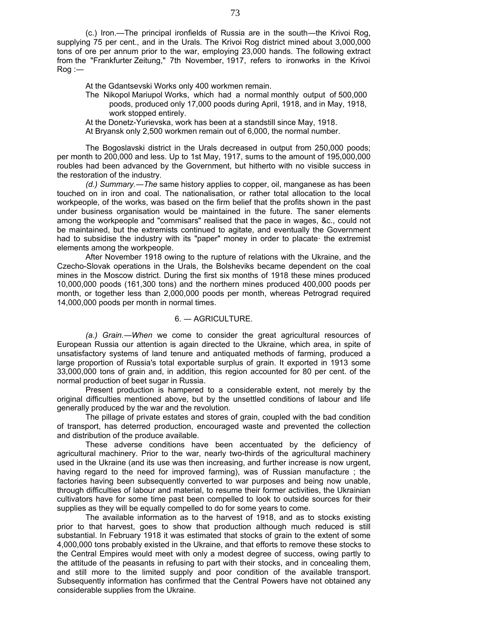(c.) Iron.—The principal ironfields of Russia are in the south*―*the Krivoi Rog, supplying 75 per cent., and in the Urals. The Krivoi Rog district mined about 3,000,000 tons of ore per annum prior to the war, employing 23,000 hands. The following extract from the "Frankfurter Zeitung," 7th November, 1917, refers to ironworks in the Krivoi Rog :*―*

At the Gdantsevski Works only 400 workmen remain.

- The Nikopol Mariupol Works, which had a normal monthly output of 500,000 poods, produced only 17,000 poods during April, 1918, and in May, 1918, work stopped entirely.
- At the Donetz-Yurievska, work has been at a standstill since May, 1918.
- At Bryansk only 2,500 workmen remain out of 6,000, the normal number.

 The Bogoslavski district in the Urals decreased in output from 250,000 poods; per month to 200,000 and less. Up to 1st May, 1917, sums to the amount of 195,000,000 roubles had been advanced by the Government, but hitherto with no visible success in the restoration of the industry.

 *(d.) Summary.―The* same history applies to copper, oil, manganese as has been touched on in iron and coal. The nationalisation, or rather total allocation to the local workpeople, of the works, was based on the firm belief that the profits shown in the past under business organisation would be maintained in the future. The saner elements among the workpeople and "commisars" realised that the pace in wages, &c., could not be maintained, but the extremists continued to agitate, and eventually the Government had to subsidise the industry with its "paper" money in order to placate the extremist elements among the workpeople.

 After November 1918 owing to the rupture of relations with the Ukraine, and the Czecho-Slovak operations in the Urals, the Bolsheviks became dependent on the coal mines in the Moscow district. During the first six months of 1918 these mines produced 10,000,000 poods (161,300 tons) and the northern mines produced 400,000 poods per month, or together less than 2,000,000 poods per month, whereas Petrograd required 14,000,000 poods per month in normal times.

# 6. *―* AGRICULTURE.

 *(a.) Grain.―When* we come to consider the great agricultural resources of European Russia our attention is again directed to the Ukraine, which area, in spite of unsatisfactory systems of land tenure and antiquated methods of farming, produced a large proportion of Russia's total exportable surplus of grain. It exported in 1913 some 33,000,000 tons of grain and, in addition, this region accounted for 80 per cent. of the normal production of beet sugar in Russia.

 Present production is hampered to a considerable extent, not merely by the original difficulties mentioned above, but by the unsettled conditions of labour and life generally produced by the war and the revolution.

 The pillage of private estates and stores of grain, coupled with the bad condition of transport, has deterred production, encouraged waste and prevented the collection and distribution of the produce available.

 These adverse conditions have been accentuated by the deficiency of agricultural machinery. Prior to the war, nearly two-thirds of the agricultural machinery used in the Ukraine (and its use was then increasing, and further increase is now urgent, having regard to the need for improved farming), was of Russian manufacture ; the factories having been subsequently converted to war purposes and being now unable, through difficulties of labour and material, to resume their former activities, the Ukrainian cultivators have for some time past been compelled to look to outside sources for their supplies as they will be equally compelled to do for some years to come.

 The available information as to the harvest of 1918, and as to stocks existing prior to that harvest, goes to show that production although much reduced is still substantial. In February 1918 it was estimated that stocks of grain to the extent of some 4,000,000 tons probably existed in the Ukraine, and that efforts to remove these stocks to the Central Empires would meet with only a modest degree of success, owing partly to the attitude of the peasants in refusing to part with their stocks, and in concealing them, and still more to the limited supply and poor condition of the available transport. Subsequently information has confirmed that the Central Powers have not obtained any considerable supplies from the Ukraine.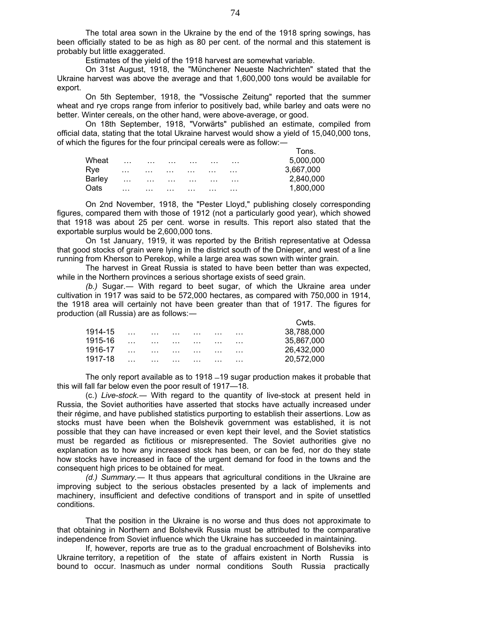The total area sown in the Ukraine by the end of the 1918 spring sowings, has been officially stated to be as high as 80 per cent. of the normal and this statement is probably but little exaggerated.

Estimates of the yield of the 1918 harvest are somewhat variable.

 On 31st August, 1918, the "Mϋnchener Neueste Nachrichten" stated that the Ukraine harvest was above the average and that 1,600,000 tons would be available for export.

 On 5th September, 1918, the "Vossische Zeitung" reported that the summer wheat and rye crops range from inferior to positively bad, while barley and oats were no better. Winter cereals, on the other hand, were above-average, or good.

 On 18th September, 1918, "Vorwärts" published an estimate, compiled from official data, stating that the total Ukraine harvest would show a yield of 15,040,000 tons, of which the figures for the four principal cereals were as follow:*―*

|          |          |          |          |          |   | Tons.     |
|----------|----------|----------|----------|----------|---|-----------|
| $\cdots$ | .        | .        | .        | .        | . | 5,000,000 |
| $\cdots$ | $\cdots$ | $\cdots$ | $\cdots$ | $\cdots$ | . | 3,667,000 |
| $\cdots$ | $\cdots$ | $\cdots$ | .        | .        | . | 2,840,000 |
| .        | .        | .        | .        | .        | . | 1,800,000 |
|          |          |          |          |          |   |           |

 On 2nd November, 1918, the "Pester Lloyd," publishing closely corresponding figures, compared them with those of 1912 (not a particularly good year), which showed that 1918 was about 25 per cent. worse in results. This report also stated that the exportable surplus would be 2,600,000 tons.

 On 1st January, 1919, it was reported by the British representative at Odessa that good stocks of grain were lying in the district south of the Dnieper, and west of a line running from Kherson to Perekop, while a large area was sown with winter grain.

 The harvest in Great Russia is stated to have been better than was expected, while in the Northern provinces a serious shortage exists of seed grain.

 *(b.)* Sugar.*―* With regard to beet sugar, of which the Ukraine area under cultivation in 1917 was said to be 572,000 hectares, as compared with 750,000 in 1914, the 1918 area will certainly not have been greater than that of 1917. The figures for production (all Russia) are as follows:*―*

|         |          |   |   |   |   |   | Cwts.      |
|---------|----------|---|---|---|---|---|------------|
| 1914-15 | $\cdots$ | . | . | . | . | . | 38,788,000 |
| 1915-16 | .        | . | . | . | . | . | 35,867,000 |
| 1916-17 | .        | . | . | . | . | . | 26.432.000 |
| 1917-18 | $\cdots$ | . | . | . | . | . | 20.572.000 |

 The only report available as to 1918 ̶ 19 sugar production makes it probable that this will fall far below even the poor result of 1917—18.

 (c.) *Live-stock.―* With regard to the quantity of live-stock at present held in Russia, the Soviet authorities have asserted that stocks have actually increased under their régime, and have published statistics purporting to establish their assertions. Low as stocks must have been when the Bolshevik government was established, it is not possible that they can have increased or even kept their level, and the Soviet statistics must be regarded as fictitious or misrepresented. The Soviet authorities give no explanation as to how any increased stock has been, or can be fed, nor do they state how stocks have increased in face of the urgent demand for food in the towns and the consequent high prices to be obtained for meat.

 *(d.) Summary.―* It thus appears that agricultural conditions in the Ukraine are improving subject to the serious obstacles presented by a lack of implements and machinery, insufficient and defective conditions of transport and in spite of unsettled conditions.

 That the position in the Ukraine is no worse and thus does not approximate to that obtaining in Northern and Bolshevik Russia must be attributed to the comparative independence from Soviet influence which the Ukraine has succeeded in maintaining.

 If, however, reports are true as to the gradual encroachment of Bolsheviks into Ukraine territory, a repetition of the state of affairs existent in North Russia is bound to occur. Inasmuch as under normal conditions South Russia practically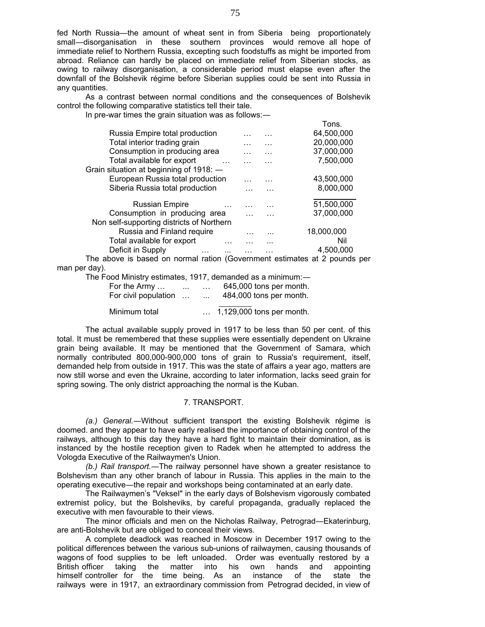fed North Russia—the amount of wheat sent in from Siberia being proportionately small*―*disorganisation in these southern provinces would remove all hope of immediate relief to Northern Russia, excepting such foodstuffs as might be imported from abroad. Reliance can hardly be placed on immediate relief from Siberian stocks, as owing to railway disorganisation, a considerable period must elapse even after the downfall of the Bolshevik régime before Siberian supplies could be sent into Russia in any quantities.

 As a contrast between normal conditions and the consequences of Bolshevik control the following comparative statistics tell their tale.

In pre-war times the grain situation was as follows:*―*

|   |   | Tons.      |
|---|---|------------|
| . | . | 64,500,000 |
| . | . | 20,000,000 |
| . | . | 37,000,000 |
|   |   | 7,500,000  |
|   |   |            |
| . | . | 43,500,000 |
| . | . | 8,000,000  |
|   | . | 51,500,000 |
|   | . | 37.000.000 |
|   |   |            |
| . | . | 18,000,000 |
| . |   | Nil        |
| . | . | 4,500,000  |
|   |   |            |

 The above is based on normal ration (Government estimates at 2 pounds per man per day).

The Food Ministry estimates, 1917, demanded as a minimum:*―*

| For the Army         | $\cdots$ | $\cdots$ | 645,000 tons per month.            |
|----------------------|----------|----------|------------------------------------|
| For civil population |          | $\cdots$ | 484,000 tons per month.            |
| Minimum total        |          |          | $\ldots$ 1,129,000 tons per month. |

 The actual available supply proved in 1917 to be less than 50 per cent. of this total. It must be remembered that these supplies were essentially dependent on Ukraine grain being available. It may be mentioned that the Government of Samara, which normally contributed 800,000-900,000 tons of grain to Russia's requirement, itself, demanded help from outside in 1917. This was the state of affairs a year ago, matters are now still worse and even the Ukraine, according to later information, lacks seed grain for spring sowing. The only district approaching the normal is the Kuban.

#### 7. TRANSPORT.

 *(a.) General.―*Without sufficient transport the existing Bolshevik régime is doomed. and they appear to have early realised the importance of obtaining control of the railways, although to this day they have a hard fight to maintain their domination, as is instanced by the hostile reception given to Radek when he attempted to address the Vologda Executive of the Railwaymen's Union.

 *(b.) Rail transport.―*The railway personnel have shown a greater resistance to Bolshevism than any other branch of labour in Russia. This applies in the main to the operating executive*―*the repair and workshops being contaminated at an early date.

The Railwaymen's "VekseI" in the earIy days of Bolshevism vigorously combated extremist policy, but the Bolsheviks, by careful propaganda, gradually replaced the executive with men favourable to their views.

 The minor officials and men on the Nicholas Railway, Petrograd*―*Ekaterinburg, are anti-Bolshevik but are obliged to conceal their views.

 A complete deadlock was reached in Moscow in December 1917 owing to the political differences between the various sub-unions of railwaymen, causing thousands of wagons of food supplies to be left unloaded. Order was eventually restored by a<br>British officer taking the matter into his own hands and appointing British officer taking the matter into his own hands and appointing himself-controller for the time being. As an instance of the state the himself controller for the time being. As an instance of the railways were in 1917, an extraordinary commission from Petrograd decided, in view of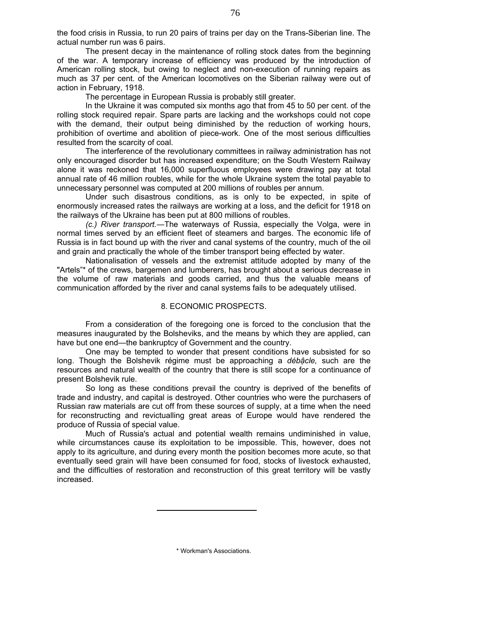the food crisis in Russia, to run 20 pairs of trains per day on the Trans-Siberian line. The actual number run was 6 pairs.

 The present decay in the maintenance of rolling stock dates from the beginning of the war. A temporary increase of efficiency was produced by the introduction of American rolling stock, but owing to neglect and non-execution of running repairs as much as 37 per cent. of the American locomotives on the Siberian railway were out of action in February, 1918.

The percentage in European Russia is probably still greater.

 In the Ukraine it was computed six months ago that from 45 to 50 per cent. of the rolling stock required repair. Spare parts are lacking and the workshops could not cope with the demand, their output being diminished by the reduction of working hours, prohibition of overtime and abolition of piece-work. One of the most serious difficulties resulted from the scarcity of coal.

 The interference of the revolutionary committees in railway administration has not only encouraged disorder but has increased expenditure; on the South Western Railway alone it was reckoned that 16,000 superfluous employees were drawing pay at total annual rate of 46 million roubles, while for the whole Ukraine system the total payable to unnecessary personnel was computed at 200 millions of roubles per annum.

 Under such disastrous conditions, as is only to be expected, in spite of enormously increased rates the railways are working at a loss, and the deficit for 1918 on the railways of the Ukraine has been put at 800 millions of roubles.

 *(c.) River transport.―*The waterways of Russia, especially the Volga, were in normal times served by an efficient fleet of steamers and barges. The economic life of Russia is in fact bound up with the river and canal systems of the country, much of the oil and grain and practically the whole of the timber transport being effected by water.

 Nationalisation of vessels and the extremist attitude adopted by many of the "Artels"\* of the crews, bargemen and lumberers, has brought about a serious decrease in the volume of raw materials and goods carried, and thus the valuable means of communication afforded by the river and canal systems fails to be adequately utilised.

# 8. ECONOMIC PROSPECTS.

 From a consideration of the foregoing one is forced to the conclusion that the measures inaugurated by the Bolsheviks, and the means by which they are applied, can have but one end—the bankruptcy of Government and the country.

 One may be tempted to wonder that present conditions have subsisted for so long. Though the Bolshevik régime must be approaching a *débậcle,* such are the resources and natural wealth of the country that there is still scope for a continuance of present Bolshevik rule.

 So long as these conditions prevail the country is deprived of the benefits of trade and industry, and capital is destroyed. Other countries who were the purchasers of Russian raw materials are cut off from these sources of supply, at a time when the need for reconstructing and revictualling great areas of Europe would have rendered the produce of Russia of special value.

 Much of Russia's actual and potential wealth remains undiminished in value, while circumstances cause its exploitation to be impossible. This, however, does not apply to its agriculture, and during every month the position becomes more acute, so that eventually seed grain will have been consumed for food, stocks of livestock exhausted, and the difficulties of restoration and reconstruction of this great territory will be vastly increased.

\* Workman's Associations.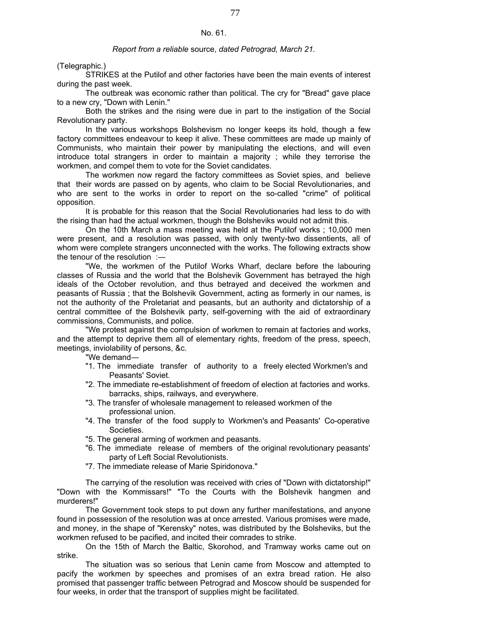## No. 61.

#### *Report from a reliable* source, *dated Petrograd, March 21.*

(Telegraphic.)

 STRIKES at the Putilof and other factories have been the main events of interest during the past week.

 The outbreak was economic rather than political. The cry for "Bread" gave place to a new cry, "Down with Lenin."

 Both the strikes and the rising were due in part to the instigation of the Social Revolutionary party.

 In the various workshops Bolshevism no longer keeps its hold, though a few factory committees endeavour to keep it alive. These committees are made up mainly of Communists, who maintain their power by manipulating the elections, and will even introduce total strangers in order to maintain a majority ; while they terrorise the workmen, and compel them to vote for the Soviet candidates.

 The workmen now regard the factory committees as Soviet spies, and believe that their words are passed on by agents, who claim to be Social Revolutionaries, and who are sent to the works in order to report on the so-called "crime" of political opposition.

 It is probable for this reason that the Social Revolutionaries had less to do with the rising than had the actual workmen, though the Bolsheviks would not admit this.

 On the 10th March a mass meeting was held at the Putilof works ; 10,000 men were present, and a resolution was passed, with only twenty-two dissentients, all of whom were complete strangers unconnected with the works. The following extracts show the tenour of the resolution :―

 "We, the workmen of the Putilof Works Wharf, declare before the labouring classes of Russia and the world that the Bolshevik Government has betrayed the high ideals of the October revolution, and thus betrayed and deceived the workmen and peasants of Russia ; that the Bolshevik Government, acting as formerly in our names, is not the authority of the Proletariat and peasants, but an authority and dictatorship of a central committee of the Bolshevik party, self-governing with the aid of extraordinary commissions, Communists, and police.

 "We protest against the compulsion of workmen to remain at factories and works, and the attempt to deprive them all of elementary rights, freedom of the press, speech, meetings, inviolability of persons, &c.

"We demand*―*

- "1. The immediate transfer of authority to a freely elected Workmen's and Peasants' Soviet.
- "2. The immediate re-establishment of freedom of election at factories and works. barracks, ships, railways, and everywhere.
- "3. The transfer of wholesale management to released workmen of the professional union.
- "4. The transfer of the food supply to Workmen's and Peasants' Co-operative Societies.
- "5. The general arming of workmen and peasants.
- "6. The immediate release of members of the original revolutionary peasants' party of Left Social Revolutionists.
- "7. The immediate release of Marie Spiridonova."

 The carrying of the resolution was received with cries of "Down with dictatorship!" "Down with the Kommissars!" "To the Courts with the Bolshevik hangmen and murderers!"

 The Government took steps to put down any further manifestations, and anyone found in possession of the resolution was at once arrested. Various promises were made, and money, in the shape of "Kerensky" notes, was distributed by the Bolsheviks, but the workmen refused to be pacified, and incited their comrades to strike.

 On the 15th of March the Baltic, Skorohod, and Tramway works came out on strike.

 The situation was so serious that Lenin came from Moscow and attempted to pacify the workmen by speeches and promises of an extra bread ration. He also promised that passenger traffic between Petrograd and Moscow should be suspended for four weeks, in order that the transport of supplies might be facilitated.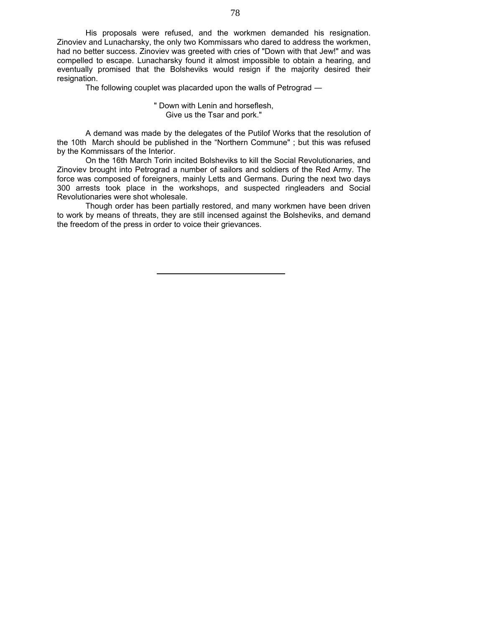His proposals were refused, and the workmen demanded his resignation. Zinoviev and Lunacharsky, the only two Kommissars who dared to address the workmen, had no better success. Zinoviev was greeted with cries of "Down with that Jew!" and was compelled to escape. Lunacharsky found it almost impossible to obtain a hearing, and eventually promised that the Bolsheviks would resign if the majority desired their resignation.

The following couplet was placarded upon the walls of Petrograd *―*

" Down with Lenin and horseflesh, Give us the Tsar and pork."

 A demand was made by the delegates of the Putilof Works that the resolution of the 10th March should be published in the "Northern Commune" ; but this was refused by the Kommissars of the Interior.

 On the 16th March Torin incited Bolsheviks to kill the Social Revolutionaries, and Zinoviev brought into Petrograd a number of sailors and soldiers of the Red Army. The force was composed of foreigners, mainly Letts and Germans. During the next two days 300 arrests took place in the workshops, and suspected ringleaders and Social Revolutionaries were shot wholesale.

 Though order has been partially restored, and many workmen have been driven to work by means of threats, they are still incensed against the Bolsheviks, and demand the freedom of the press in order to voice their grievances.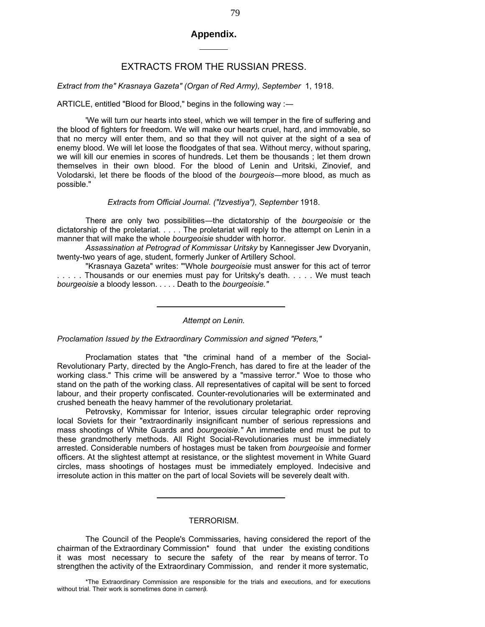# **Appendix.**

# EXTRACTS FROM THE RUSSIAN PRESS.

#### *Extract from the" Krasnaya Gazeta" (Organ of Red Army), September* 1, 1918.

ARTICLE, entitled "Blood for Blood," begins in the following way :*―*

 'We will turn our hearts into steel, which we will temper in the fire of suffering and the blood of fighters for freedom. We will make our hearts cruel, hard, and immovable, so that no mercy will enter them, and so that they will not quiver at the sight of a sea of enemy blood. We will let loose the floodgates of that sea. Without mercy, without sparing, we will kill our enemies in scores of hundreds. Let them be thousands ; let them drown themselves in their own blood. For the blood of Lenin and Uritski, Zinovief, and Volodarski, let there be floods of the blood of the *bourgeois―*more blood, as much as possible."

#### *Extracts from Official Journal. ("Izvestiya"), September* 1918.

 There are only two possibilities*―*the dictatorship of the *bourgeoisie* or the dictatorship of the proletariat. . . . . The proletariat will reply to the attempt on Lenin in a manner that will make the whole *bourgeoisie* shudder with horror.

 *Assassination at Petrograd of Kommissar Uritsky* by Kannegisser Jew Dvoryanin, twenty-two years of age, student, formerly Junker of Artillery School.

 "Krasnaya Gazeta" writes: "'Whole *bourgeoisie* must answer for this act of terror . . . . . Thousands or our enemies must pay for Uritsky's death. . . . . We must teach *bourgeoisie* a bloody lesson. . . . . Death to the *bourgeoisie."* 

*Attempt on Lenin.* 

*Proclamation Issued by the Extraordinary Commission and signed "Peters,"* 

 Proclamation states that "the criminal hand of a member of the Social-Revolutionary Party, directed by the Anglo-French, has dared to fire at the leader of the working class." This crime will be answered by a "massive terror." Woe to those who stand on the path of the working class. All representatives of capital will be sent to forced labour, and their property confiscated. Counter-revolutionaries will be exterminated and crushed beneath the heavy hammer of the revolutionary proletariat.

 Petrovsky, Kommissar for Interior, issues circular telegraphic order reproving local Soviets for their "extraordinarily insignificant number of serious repressions and mass shootings of White Guards and *bourgeoisie."* An immediate end must be put to these grandmotherly methods. All Right Social-Revolutionaries must be immediately arrested. Considerable numbers of hostages must be taken from *bourgeoisie* and former officers. At the slightest attempt at resistance, or the slightest movement in White Guard circles, mass shootings of hostages must be immediately employed. Indecisive and irresolute action in this matter on the part of local Soviets will be severely dealt with.

#### TERRORISM.

 The Council of the People's Commissaries, having considered the report of the chairman of the Extraordinary Commission\* found that under the existing conditions it was most necessary to secure the safety of the rear by means of terror. To strengthen the activity of the Extraordinary Commission, and render it more systematic,

 <sup>\*</sup>The Extraordinary Commission are responsible for the trials and executions, and for executions without trial. Their work is sometimes done in *camerậ.*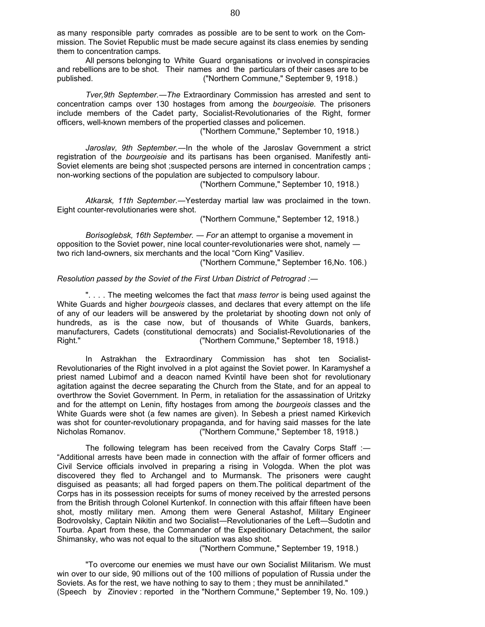as many responsible party comrades as possible are to be sent to work on the Commission. The Soviet Republic must be made secure against its class enemies by sending them to concentration camps.

 All persons belonging to White Guard organisations or involved in conspiracies and rebellions are to be shot. Their names and the particulars of their cases are to be published. ("Northern Commune," September 9, 1918.)

 *Tver,9th September.―The* Extraordinary Commission has arrested and sent to concentration camps over 130 hostages from among the *bourgeoisie.* The prisoners include members of the Cadet party, Socialist-Revolutionaries of the Right, former officers, well-known members of the propertied classes and policemen.

("Northern Commune," September 10, 1918.)

 *Jaroslav, 9th September.―*In the whole of the Jaroslav Government a strict registration of the *bourgeoisie* and its partisans has been organised. Manifestly anti-Soviet elements are being shot ; suspected persons are interned in concentration camps ; non-working sections of the population are subjected to compulsory labour.

("Northern Commune," September 10, 1918.)

 *Atkarsk, 11th September.―*Yesterday martial law was proclaimed in the town. Eight counter-revolutionaries were shot.

("Northern Commune," September 12, 1918.)

*Borisoglebsk, 16th September. ― For* an attempt to organise a movement in opposition to the Soviet power, nine local counter-revolutionaries were shot, namely *―* two rich land-owners, six merchants and the local "Corn King" Vasiliev.

("Northern Commune," September 16,No. 106.)

# *Resolution passed by the Soviet of the First Urban District of Petrograd :―*

 ". . . . The meeting welcomes the fact that *mass terror* is being used against the White Guards and higher *bourgeois* classes, and declares that every attempt on the life of any of our leaders will be answered by the proletariat by shooting down not only of hundreds, as is the case now, but of thousands of White Guards, bankers, manufacturers, Cadets (constitutional democrats) and Socialist-Revolutionaries of the Right." ("Northern Commune," September 18, 1918.)

 In Astrakhan the Extraordinary Commission has shot ten Socialist-Revolutionaries of the Right involved in a plot against the Soviet power. In Karamyshef a priest named Lubimof and a deacon named Kvintil have been shot for revolutionary agitation against the decree separating the Church from the State, and for an appeal to overthrow the Soviet Government. In Perm, in retaliation for the assassination of Uritzky and for the attempt on Lenin, fifty hostages from among the *bourgeois* classes and the White Guards were shot (a few names are given). In Sebesh a priest named Kirkevich was shot for counter-revolutionary propaganda, and for having said masses for the late Nicholas Romanov. ("Northern Commune," September 18, 1918.)

 The following telegram has been received from the Cavalry Corps Staff :*―* "Additional arrests have been made in connection with the affair of former officers and Civil Service officials involved in preparing a rising in Vologda. When the plot was discovered they fled to Archangel and to Murmansk. The prisoners were caught disguised as peasants; all had forged papers on them.The political department of the Corps has in its possession receipts for sums of money received by the arrested persons from the British through Colonel Kurtenkof. In connection with this affair fifteen have been shot, mostly military men. Among them were General Astashof, Military Engineer Bodrovolsky, Captain Nikitin and two Socialist*―*Revolutionaries of the Left*―*Sudotin and Tourba. Apart from these, the Commander of the Expeditionary Detachment, the sailor Shimansky, who was not equal to the situation was also shot.

("Northern Commune," September 19, 1918.)

 "To overcome our enemies we must have our own Socialist Militarism. We must win over to our side, 90 millions out of the 100 millions of population of Russia under the Soviets. As for the rest, we have nothing to say to them ; they must be annihilated." (Speech by Zinoviev : reported in the "Northern Commune," September 19, No. 109.)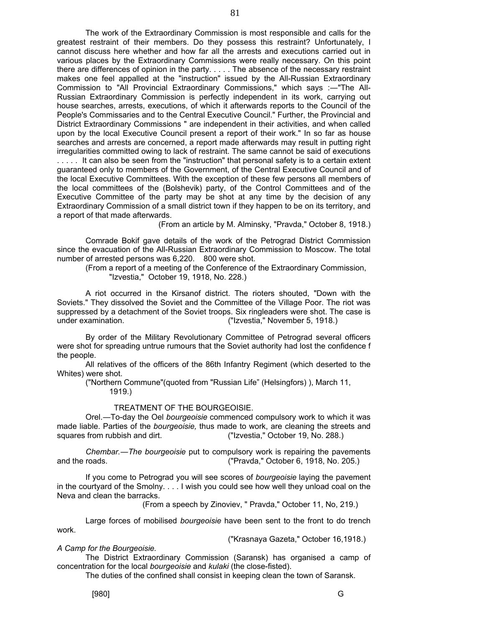The work of the Extraordinary Commission is most responsible and calls for the greatest restraint of their members. Do they possess this restraint? Unfortunately, I cannot discuss here whether and how far all the arrests and executions carried out in various places by the Extraordinary Commissions were really necessary. On this point there are differences of opinion in the party. . . . . The absence of the necessary restraint makes one feel appalled at the "instruction" issued by the All-Russian Extraordinary Commission to "All Provincial Extraordinary Commissions," which says :―"The All-Russian Extraordinary Commission is perfectly independent in its work, carrying out house searches, arrests, executions, of which it afterwards reports to the Council of the People's Commissaries and to the Central Executive Council." Further, the Provincial and District Extraordinary Commissions " are independent in their activities, and when called upon by the local Executive Council present a report of their work." In so far as house searches and arrests are concerned, a report made afterwards may result in putting right irregularities committed owing to lack of restraint. The same cannot be said of executions ..... It can also be seen from the "instruction" that personal safety is to a certain extent guaranteed only to members of the Government, of the Central Executive Council and of the local Executive Committees. With the exception of these few persons all members of the local committees of the (Bolshevik) party, of the Control Committees and of the Executive Committee of the party may be shot at any time by the decision of any Extraordinary Commission of a small district town if they happen to be on its territory, and a report of that made afterwards.

(From an article by M. Alminsky, "Pravda," October 8, 1918.)

 Comrade Bokif gave details of the work of the Petrograd District Commission since the evacuation of the All-Russian Extraordinary Commission to Moscow. The total number of arrested persons was 6,220. 800 were shot.

 (From a report of a meeting of the Conference of the Extraordinary Commission, "Izvestia," October 19, 1918, No. 228.)

 A riot occurred in the Kirsanof district. The rioters shouted, "Down with the Soviets." They dissolved the Soviet and the Committee of the Village Poor. The riot was suppressed by a detachment of the Soviet troops. Six ringleaders were shot. The case is under examination. ("Izvestia," November 5, 1918.)

 By order of the Military Revolutionary Committee of Petrograd several officers were shot for spreading untrue rumours that the Soviet authority had lost the confidence f the people.

 All relatives of the officers of the 86th Infantry Regiment (which deserted to the Whites) were shot.

("Northern Commune"(quoted from "Russian Life" (Helsingfors) ), March 11,

1919.)

TREATMENT OF THE BOURGEOISIE.

 Orel.*―*To-day the Oel *bourgeoisie* commenced compulsory work to which it was made liable. Parties of the *bourgeoisie,* thus made to work, are cleaning the streets and squares from rubbish and dirt. ("Izvestia," October 19, No. 288.)

 *Chembar.―The bourgeoisie* put to compulsory work is repairing the pavements and the roads. ("Pravda," October 6, 1918, No. 205.)

 If you come to Petrograd you will see scores of *bourgeoisie* laying the pavement in the courtyard of the Smolny. . . . I wish you could see how well they unload coal on the Neva and clean the barracks.

(From a speech by Zinoviev, " Pravda," October 11, No, 219.)

 Large forces of mobilised *bourgeoisie* have been sent to the front to do trench work.

("Krasnaya Gazeta," October 16,1918.)

*A Camp for the Bourgeoisie.* 

 The District Extraordinary Commission (Saransk) has organised a camp of concentration for the local *bourgeoisie* and *kulaki* (the close-fisted).

The duties of the confined shall consist in keeping clean the town of Saransk.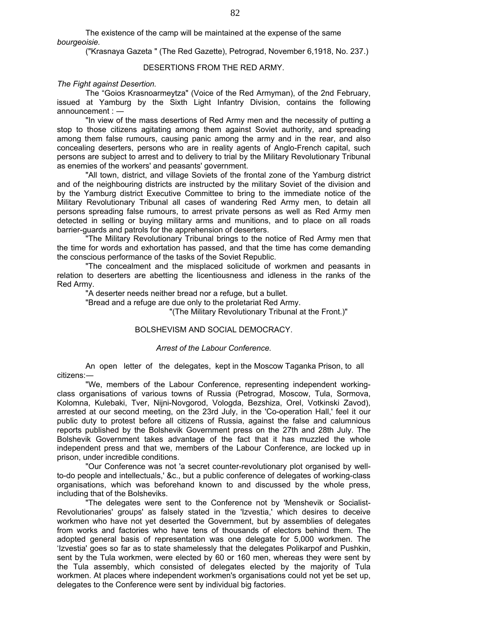The existence of the camp will be maintained at the expense of the same *bourgeoisie.* 

("Krasnaya Gazeta " (The Red Gazette), Petrograd, November 6,1918, No. 237.)

#### DESERTIONS FROM THE RED ARMY.

#### *The Fight against Desertion.*

 The "Goios Krasnoarmeytza" (Voice of the Red Armyman), of the 2nd February, issued at Yamburg by the Sixth Light Infantry Division, contains the following announcement : *―*

 "In view of the mass desertions of Red Army men and the necessity of putting a stop to those citizens agitating among them against Soviet authority, and spreading among them false rumours, causing panic among the army and in the rear, and also concealing deserters, persons who are in reality agents of Anglo-French capital, such persons are subject to arrest and to delivery to trial by the Military Revolutionary Tribunal as enemies of the workers' and peasants' government.

 "All town, district, and village Soviets of the frontal zone of the Yamburg district and of the neighbouring districts are instructed by the military Soviet of the division and by the Yamburg district Executive Committee to bring to the immediate notice of the Military Revolutionary Tribunal all cases of wandering Red Army men, to detain all persons spreading false rumours, to arrest private persons as well as Red Army men detected in selling or buying military arms and munitions, and to place on all roads barrier-guards and patrols for the apprehension of deserters.

 "The Military Revolutionary Tribunal brings to the notice of Red Army men that the time for words and exhortation has passed, and that the time has come demanding the conscious performance of the tasks of the Soviet Republic.

 "The concealment and the misplaced solicitude of workmen and peasants in relation to deserters are abetting the licentiousness and idleness in the ranks of the Red Army.

"A deserter needs neither bread nor a refuge, but a bullet.

"Bread and a refuge are due only to the proletariat Red Army.

"(The Military Revolutionary Tribunal at the Front.)"

#### BOLSHEVISM AND SOCIAL DEMOCRACY.

#### *Arrest of the Labour Conference.*

 An open letter of the delegates, kept in the Moscow Taganka Prison, to all citizens:*―*

 "We, members of the Labour Conference, representing independent workingclass organisations of various towns of Russia (Petrograd, Moscow, Tula, Sormova, Kolomna, Kulebaki, Tver, Nijni-Novgorod, Vologda, Bezshiza, Orel, Votkinski Zavod), arrested at our second meeting, on the 23rd July, in the 'Co-operation Hall,' feel it our public duty to protest before all citizens of Russia, against the false and calumnious reports published by the Bolshevik Government press on the 27th and 28th July. The Bolshevik Government takes advantage of the fact that it has muzzled the whole independent press and that we, members of the Labour Conference, are locked up in prison, under incredible conditions.

 "Our Conference was not 'a secret counter-revolutionary plot organised by wellto-do people and intellectuals,' &c., but a public conference of delegates of working-class organisations, which was beforehand known to and discussed by the whole press, including that of the Bolsheviks.

 "The delegates were sent to the Conference not by 'Menshevik or Socialist-Revolutionaries' groups' as falsely stated in the 'Izvestia,' which desires to deceive workmen who have not yet deserted the Government, but by assemblies of delegates from works and factories who have tens of thousands of electors behind them. The adopted general basis of representation was one delegate for 5,000 workmen. The 'Izvestia' goes so far as to state shamelessly that the delegates Polikarpof and Pushkin, sent by the Tula workmen, were elected by 60 or 160 men, whereas they were sent by the Tula assembly, which consisted of delegates elected by the majority of Tula workmen. At places where independent workmen's organisations could not yet be set up, delegates to the Conference were sent by individual big factories.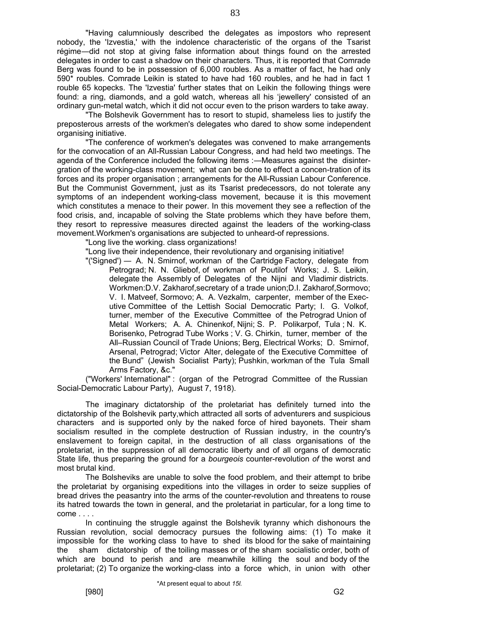"Having calumniously described the delegates as impostors who represent nobody, the 'Izvestia,' with the indolence characteristic of the organs of the Tsarist régime*―*did not stop at giving false information about things found on the arrested delegates in order to cast a shadow on their characters. Thus, it is reported that Comrade Berg was found to be in possession of 6,000 roubles. As a matter of fact, he had only 590\* roubles. Comrade Leikin is stated to have had 160 roubles, and he had in fact 1 rouble 65 kopecks. The 'Izvestia' further states that on Leikin the following things were found: a ring, diamonds, and a gold watch, whereas all his 'jewellery' consisted of an ordinary gun-metal watch, which it did not occur even to the prison warders to take away.

 "The Bolshevik Government has to resort to stupid, shameless lies to justify the preposterous arrests of the workmen's delegates who dared to show some independent organising initiative.

 "The conference of workmen's delegates was convened to make arrangements for the convocation of an All-Russian Labour Congress, and had held two meetings. The agenda of the Conference included the following items :*―*Measures against the disintergration of the working-class movement; what can be done to effect a concen-tration of its forces and its proper organisation ; arrangements for the All-Russian Labour Conference. But the Communist Government, just as its Tsarist predecessors, do not tolerate any symptoms of an independent working-class movement, because it is this movement which constitutes a menace to their power. In this movement they see a reflection of the food crisis, and, incapable of solving the State problems which they have before them, they resort to repressive measures directed against the leaders of the working-class movement.Workmen's organisations are subjected to unheard-of repressions.

"Long live the working. class organizations!

"Long live their independence, their revolutionary and organising initiative!

 "('Signed') *―* A. N. Smirnof, workman of the Cartridge Factory, delegate from Petrograd; N. N. Gliebof, of workman of Poutilof Works; J. S. Leikin, delegate the Assembly of Delegates of the Nijni and Vladimir districts. Workmen:D.V. Zakharof,secretary of a trade union;D.I. Zakharof,Sormovo; V. I. Matveef, Sormovo; A. A. Vezkalm, carpenter, member of the Executive Committee of the Lettish Social Democratic Party; I. G. Volkof, turner, member of the Executive Committee of the Petrograd Union of Metal Workers; A. A. Chinenkof, Nijni; S. P. Polikarpof, Tula ; N. K. Borisenko, Petrograd Tube Works ; V. G. Chirkin, turner, member of the All–Russian Council of Trade Unions; Berg, Electrical Works; D. Smirnof, Arsenal, Petrograd; Victor Alter, delegate of the Executive Committee of the Bund" (Jewish Socialist Party); Pushkin, workman of the Tula Small Arms Factory, &c."

 ("Workers' International" : (organ of the Petrograd Committee of the Russian Social-Democratic Labour Party), August 7, 1918).

 The imaginary dictatorship of the proletariat has definitely turned into the dictatorship of the Bolshevik party,which attracted all sorts of adventurers and suspicious characters and is supported only by the naked force of hired bayonets. Their sham socialism resulted in the complete destruction of Russian industry, in the country's enslavement to foreign capital, in the destruction of all class organisations of the proletariat, in the suppression of all democratic liberty and of all organs of democratic State life, thus preparing the ground for a *bourgeois* counter-revolution *of* the worst and most brutal kind.

The Bolsheviks are unable to solve the food problem, and their attempt to bribe the proletariat by organising expeditions into the villages in order to seize supplies of bread drives the peasantry into the arms of the counter-revolution and threatens to rouse its hatred towards the town in general, and the proletariat in particular, for a long time to come . . . .

In continuing the struggle against the Bolshevik tyranny which dishonours the Russian revolution, social democracy pursues the following aims: (1) To make it impossible for the working class to have to shed its blood for the sake of maintaining the sham dictatorship of the toiling masses or of the sham socialistic order, both of which are bound to perish and are meanwhile killing the soul and body of the proletariat; (2) To organize the working-class into a force which, in union with other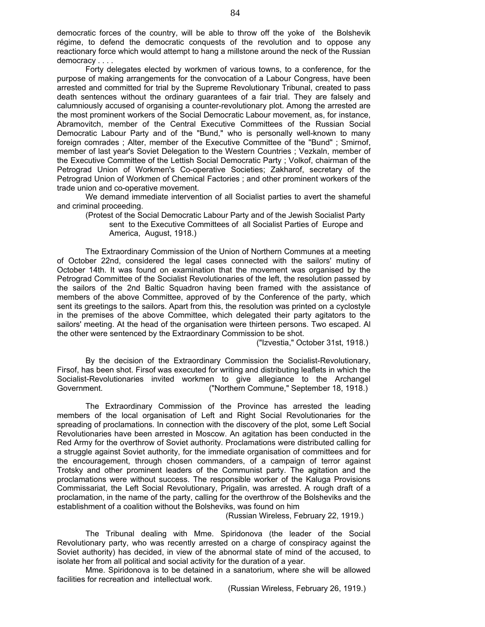democratic forces of the country, will be able to throw off the yoke of the Bolshevik régime, to defend the democratic conquests of the revolution and to oppose any reactionary force which would attempt to hang a millstone around the neck of the Russian democracy . . . .

Forty delegates elected by workmen of various towns, to a conference, for the purpose of making arrangements for the convocation of a Labour Congress, have been arrested and committed for trial by the Supreme Revolutionary Tribunal, created to pass death sentences without the ordinary guarantees of a fair trial. They are falsely and calumniously accused of organising a counter-revolutionary plot. Among the arrested are the most prominent workers of the Social Democratic Labour movement, as, for instance, Abramovitch, member of the Central Executive Committees of the Russian Social Democratic Labour Party and of the "Bund," who is personally well-known to many foreign comrades ; Alter, member of the Executive Committee of the "Bund" ; Smirnof, member of last year's Soviet Delegation to the Western Countries ; Vezkaln, member of the Executive Committee of the Lettish Social Democratic Party ; Volkof, chairman of the Petrograd Union of Workmen's Co-operative Societies; Zakharof, secretary of the Petrograd Union of Workmen of Chemical Factories ; and other prominent workers of the trade union and co-operative movement.

We demand immediate intervention of all Socialist parties to avert the shameful and criminal proceeding.

(Protest of the Social Democratic Labour Party and of the Jewish Socialist Party sent to the Executive Committees of all Socialist Parties of Europe and America, August, 1918.)

The Extraordinary Commission of the Union of Northern Communes at a meeting of October 22nd, considered the legal cases connected with the sailors' mutiny of October 14th. It was found on examination that the movement was organised by the Petrograd Committee of the Socialist Revolutionaries of the left, the resolution passed by the sailors of the 2nd Baltic Squadron having been framed with the assistance of members of the above Committee, approved of by the Conference of the party, which sent its greetings to the sailors. Apart from this, the resolution was printed on a cyclostyle in the premises of the above Committee, which delegated their party agitators to the sailors' meeting. At the head of the organisation were thirteen persons. Two escaped. Al the other were sentenced by the Extraordinary Commission to be shot.

("Izvestia," October 31st, 1918.)

By the decision of the Extraordinary Commission the Socialist-Revolutionary, Firsof, has been shot. Firsof was executed for writing and distributing leaflets in which the Socialist-Revolutionaries invited workmen to give allegiance to the Archangel Government. ("Northern Commune," September 18, 1918.)

The Extraordinary Commission of the Province has arrested the leading members of the local organisation of Left and Right Social Revolutionaries for the spreading of proclamations. In connection with the discovery of the plot, some Left Social Revolutionaries have been arrested in Moscow. An agitation has been conducted in the Red Army for the overthrow of Soviet authority. Proclamations were distributed calling for a struggle against Soviet authority, for the immediate organisation of committees and for the encouragement, through chosen commanders, of a campaign of terror against Trotsky and other prominent leaders of the Communist party. The agitation and the proclamations were without success. The responsible worker of the Kaluga Provisions Commissariat, the Left Social Revolutionary, Prigalin, was arrested. A rough draft of a proclamation, in the name of the party, calling for the overthrow of the Bolsheviks and the establishment of a coalition without the Bolsheviks, was found on him

(Russian Wireless, February 22, 1919.)

The Tribunal dealing with Mme. Spiridonova (the leader of the Social Revolutionary party, who was recently arrested on a charge of conspiracy against the Soviet authority) has decided, in view of the abnormal state of mind of the accused, to isolate her from all political and social activity for the duration of a year.

 Mme. Spiridonova is to be detained in a sanatorium, where she will be allowed facilities for recreation and intellectual work.

(Russian Wireless, February 26, 1919.)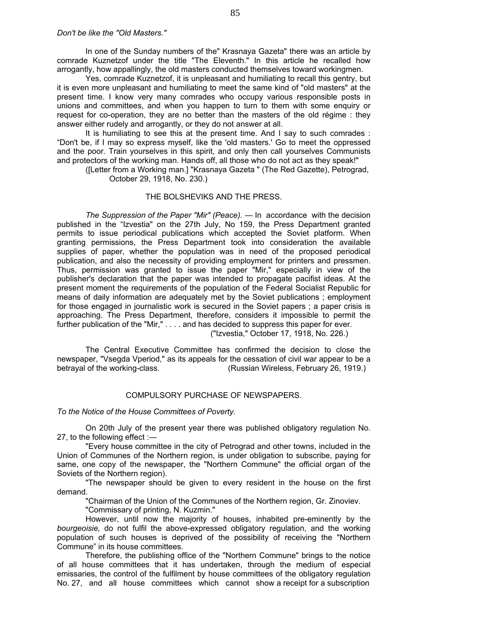In one of the Sunday numbers of the" Krasnaya Gazeta" there was an article by comrade Kuznetzof under the title "The Eleventh." In this article he recalled how arrogantly, how appallingly, the old masters conducted themselves toward workingmen.

 Yes, comrade Kuznetzof, it is unpleasant and humiliating to recall this gentry, but it is even more unpleasant and humiliating to meet the same kind of "old masters" at the present time. I know very many comrades who occupy various responsible posts in unions and committees, and when you happen to turn to them with some enquiry or request for co-operation, they are no better than the masters of the old régime : they answer either rudely and arrogantly, or they do not answer at all.

It is humiliating to see this at the present time. And I say to such comrades "Don't be, if I may so express myself, like the 'old masters.' Go to meet the oppressed and the poor. Train yourselves in this spirit, and only then call yourselves Communists and protectors of the working man. Hands off, all those who do not act as they speak!"

 ([Letter from a Working man.] "Krasnaya Gazeta " (The Red Gazette), Petrograd, October 29, 1918, No. 230.)

# THE BOLSHEVIKS AND THE PRESS.

 *The Suppression of the Paper "Mir" (Peace). ―* Inaccordance with the decision published in the "Izvestia" on the 27th July, No 159, the Press Department granted permits to issue periodical publications which accepted the Soviet platform. When granting permissions, the Press Department took into consideration the available supplies of paper, whether the population was in need of the proposed periodical publication, and also the necessity of providing employment for printers and pressmen. Thus, permission was granted to issue the paper "Mir," especially in view of the publisher's declaration that the paper was intended to propagate pacifist ideas. At the present moment the requirements of the population of the Federal Socialist Republic for means of daily information are adequately met by the Soviet publications ; employment for those engaged in journalistic work is secured in the Soviet papers ; a paper crisis is approaching. The Press Department, therefore, considers it impossible to permit the further publication of the "Mir," . . . . and has decided to suppress this paper for ever.

("Izvestia," October 17, 1918, No. 226.)

The Central Executive Committee has confirmed the decision to close the newspaper, "Vsegda Vperiod," as its appeals for the cessation of civil war appear to be a betrayal of the working-class. (Russian Wireless, February 26, 1919.)

# COMPULSORY PURCHASE OF NEWSPAPERS.

*To the Notice of the House Committees of Poverty.* 

 On 20th July of the present year there was published obligatory regulation No. 27, to the following effect :―

"Every house committee in the city of Petrograd and other towns, included in the Union of Communes of the Northern region, is under obligation to subscribe, paying for same, one copy of the newspaper, the "Northern Commune" the official organ of the Soviets of the Northern region).

"The newspaper should be given to every resident in the house on the first demand.

"Chairman of the Union of the Communes of the Northern region, Gr. Zinoviev.

"Commissary of printing, N. Kuzmin."

However, until now the majority of houses, inhabited pre-eminently by the *bourgeoisie,* do not fulfil the above-expressed obligatory regulation, and the working population of such houses is deprived of the possibility of receiving the "Northern Commune" in its house committees.

Therefore, the publishing office of the "Northern Commune" brings to the notice of all house committees that it has undertaken, through the medium of especial emissaries, the control of the fulfilment by house committees of the obligatory regulation No. 27, and all house committees which cannot show a receipt for a subscription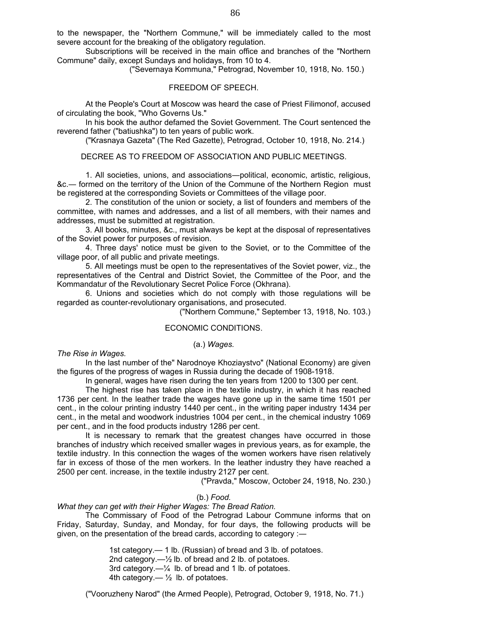to the newspaper, the "Northern Commune," will be immediately called to the most severe account for the breaking of the obligatory regulation.

Subscriptions will be received in the main office and branches of the "Northern Commune" daily, except Sundays and holidays, from 10 to 4.

("Severnaya Kommuna," Petrograd, November 10, 1918, No. 150.)

# FREEDOM OF SPEECH.

 At the People's Court at Moscow was heard the case of Priest Filimonof, accused of circulating the book, "Who Governs Us."

 In his book the author defamed the Soviet Government. The Court sentenced the reverend father ("batiushka") to ten years of public work.

("Krasnaya Gazeta" (The Red Gazette), Petrograd, October 10, 1918, No. 214.)

DECREE AS TO FREEDOM OF ASSOCIATION AND PUBLIC MEETINGS.

1. All societies, unions, and associations―political, economic, artistic, religious, &c.― formed on the territory of the Union of the Commune of the Northern Region must be registered at the corresponding Soviets or Committees of the village poor.

 2. The constitution of the union or society, a list of founders and members of the committee, with names and addresses, and a list of all members, with their names and addresses, must be submitted at registration.

 3. All books, minutes, &c., must always be kept at the disposal of representatives of the Soviet power for purposes of revision.

 4. Three days' notice must be given to the Soviet, or to the Committee of the village poor, of all public and private meetings.

 5. All meetings must be open to the representatives of the Soviet power, viz., the representatives of the Central and District Soviet, the Committee of the Poor, and the Kommandatur of the Revolutionary Secret Police Force (Okhrana).

 6. Unions and societies which do not comply with those regulations will be regarded as counter-revolutionary organisations, and prosecuted.

("Northern Commune," September 13, 1918, No. 103.)

# ECONOMIC CONDITIONS.

*The Rise in Wages.* 

# (a.) *Wages.*

 In the last number of the" Narodnoye Khoziaystvo" (National Economy) are given the figures of the progress of wages in Russia during the decade of 1908-1918.

In general, wages have risen during the ten years from 1200 to 1300 per cent.

 The highest rise has taken place in the textile industry, in which it has reached 1736 per cent. In the leather trade the wages have gone up in the same time 1501 per cent., in the colour printing industry 1440 per cent., in the writing paper industry 1434 per cent., in the metal and woodwork industries 1004 per cent., in the chemical industry 1069 per cent., and in the food products industry 1286 per cent.

It is necessary to remark that the greatest changes have occurred in those branches of industry which received smaller wages in previous years, as for example, the textile industry. In this connection the wages of the women workers have risen relatively far in excess of those of the men workers. In the leather industry they have reached a 2500 per cent. increase, in the textile industry 2127 per cent.

("Pravda," Moscow, October 24, 1918, No. 230.)

#### (b.) *Food.*

*What they can get with their Higher Wages: The Bread Ration.* 

 The Commissary of Food of the Petrograd Labour Commune informs that on Friday, Saturday, Sunday, and Monday, for four days, the following products will be given, on the presentation of the bread cards, according to category :―

> 1st category.— 1 lb. (Russian) of bread and 3 lb. of potatoes. 2nd category.—½ lb. of bread and 2 lb. of potatoes. 3rd category.—¼ lb. of bread and 1 lb. of potatoes. 4th category.—  $\frac{1}{2}$  lb. of potatoes.

("Vooruzheny Narod" (the Armed People), Petrograd, October 9, 1918, No. 71.)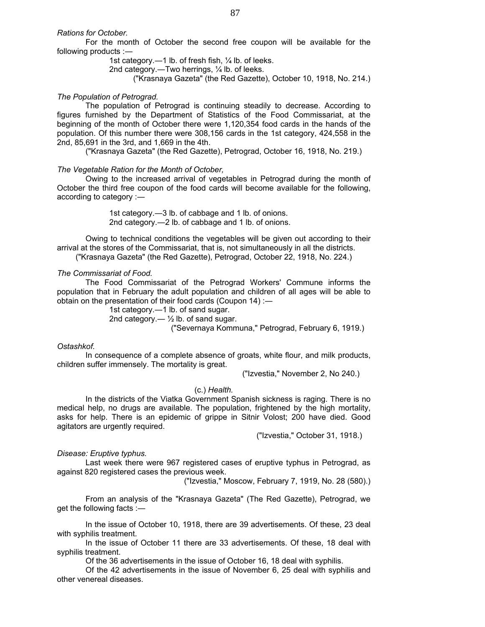#### *Rations for October.*

 For the month of October the second free coupon will be available for the following products :―

1st category.—1 lb. of fresh fish, 1/4 lb. of leeks. 2nd category.―Two herrings, ¼ lb. of leeks. ("Krasnaya Gazeta" (the Red Gazette), October 10, 1918, No. 214.)

#### *The Population of Petrograd.*

 The population of Petrograd is continuing steadily to decrease. According to figures furnished by the Department of Statistics of the Food Commissariat, at the beginning of the month of October there were 1,120,354 food cards in the hands of the population. Of this number there were 308,156 cards in the 1st category, 424,558 in the 2nd, 85,691 in the 3rd, and 1,669 in the 4th.

("Krasnaya Gazeta" (the Red Gazette), Petrograd, October 16, 1918, No. 219.)

#### *The Vegetable Ration for the Month of October,*

 Owing to the increased arrival of vegetables in Petrograd during the month of October the third free coupon of the food cards will become available for the following, according to category :―

> 1st category.―3 lb. of cabbage and 1 lb. of onions. 2nd category.―2 lb. of cabbage and 1 lb. of onions.

 Owing to technical conditions the vegetables will be given out according to their arrival at the stores of the Commissariat, that is, not simultaneously in all the districts. ("Krasnaya Gazeta" (the Red Gazette), Petrograd, October 22, 1918, No. 224.)

# *The Commissariat of Food.*

 The Food Commissariat of the Petrograd Workers' Commune informs the population that in February the adult population and children of all ages will be able to obtain on the presentation of their food cards (Coupon 14) :―

 1st category.―1 lb. of sand sugar. 2nd category.—  $\frac{1}{2}$  lb. of sand sugar. ("Severnaya Kommuna," Petrograd, February 6, 1919.)

# *Ostashkof.*

 In consequence of a complete absence of groats, white flour, and milk products, children suffer immensely. The mortality is great.

("Izvestia," November 2, No 240.)

#### (c.) *Health.*

 In the districts of the Viatka Government Spanish sickness is raging. There is no medical help, no drugs are available. The population, frightened by the high mortality, asks for help. There is an epidemic of grippe in Sitnir Volost; 200 have died. Good agitators are urgently required.

("Izvestia," October 31, 1918.)

#### *Disease: Eruptive typhus.*

Last week there were 967 registered cases of eruptive typhus in Petrograd, as against 820 registered cases the previous week.

("Izvestia," Moscow, February 7, 1919, No. 28 (580).)

From an analysis of the "Krasnaya Gazeta" (The Red Gazette), Petrograd, we get the following facts :―

 In the issue of October 10, 1918, there are 39 advertisements. Of these, 23 deal with syphilis treatment.

 In the issue of October 11 there are 33 advertisements. Of these, 18 deal with syphilis treatment.

Of the 36 advertisements in the issue of October 16, 18 deal with syphilis.

 Of the 42 advertisements in the issue of November 6, 25 deal with syphilis and other venereal diseases.